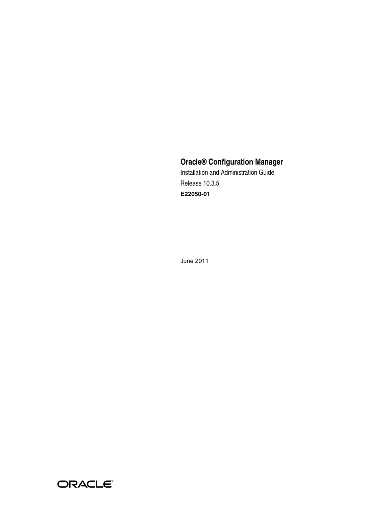# **Oracle® Configuration Manager**

Installation and Administration Guide Release 10.3.5 **E22050-01**

June 2011

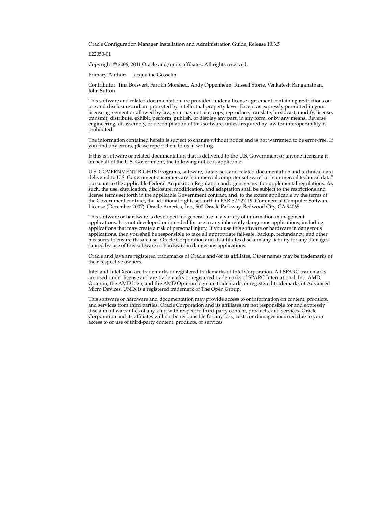Oracle Configuration Manager Installation and Administration Guide, Release 10.3.5

E22050-01

Copyright © 2006, 2011 Oracle and/or its affiliates. All rights reserved.

Primary Author: Jacqueline Gosselin

Contributor: Tina Boisvert, Farokh Morshed, Andy Oppenheim, Russell Storie, Venkatesh Ranganathan, John Sutton

This software and related documentation are provided under a license agreement containing restrictions on use and disclosure and are protected by intellectual property laws. Except as expressly permitted in your license agreement or allowed by law, you may not use, copy, reproduce, translate, broadcast, modify, license, transmit, distribute, exhibit, perform, publish, or display any part, in any form, or by any means. Reverse engineering, disassembly, or decompilation of this software, unless required by law for interoperability, is prohibited.

The information contained herein is subject to change without notice and is not warranted to be error-free. If you find any errors, please report them to us in writing.

If this is software or related documentation that is delivered to the U.S. Government or anyone licensing it on behalf of the U.S. Government, the following notice is applicable:

U.S. GOVERNMENT RIGHTS Programs, software, databases, and related documentation and technical data delivered to U.S. Government customers are "commercial computer software" or "commercial technical data" pursuant to the applicable Federal Acquisition Regulation and agency-specific supplemental regulations. As such, the use, duplication, disclosure, modification, and adaptation shall be subject to the restrictions and license terms set forth in the applicable Government contract, and, to the extent applicable by the terms of the Government contract, the additional rights set forth in FAR 52.227-19, Commercial Computer Software License (December 2007). Oracle America, Inc., 500 Oracle Parkway, Redwood City, CA 94065.

This software or hardware is developed for general use in a variety of information management applications. It is not developed or intended for use in any inherently dangerous applications, including applications that may create a risk of personal injury. If you use this software or hardware in dangerous applications, then you shall be responsible to take all appropriate fail-safe, backup, redundancy, and other measures to ensure its safe use. Oracle Corporation and its affiliates disclaim any liability for any damages caused by use of this software or hardware in dangerous applications.

Oracle and Java are registered trademarks of Oracle and/or its affiliates. Other names may be trademarks of their respective owners.

Intel and Intel Xeon are trademarks or registered trademarks of Intel Corporation. All SPARC trademarks are used under license and are trademarks or registered trademarks of SPARC International, Inc. AMD, Opteron, the AMD logo, and the AMD Opteron logo are trademarks or registered trademarks of Advanced Micro Devices. UNIX is a registered trademark of The Open Group.

This software or hardware and documentation may provide access to or information on content, products, and services from third parties. Oracle Corporation and its affiliates are not responsible for and expressly disclaim all warranties of any kind with respect to third-party content, products, and services. Oracle Corporation and its affiliates will not be responsible for any loss, costs, or damages incurred due to your access to or use of third-party content, products, or services.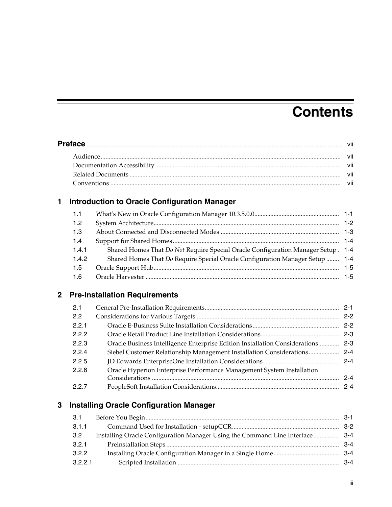# **Contents**

# **[1 Introduction to Oracle Configuration Manager](#page-8-0)**

| 1.1   |                                                                                  |  |
|-------|----------------------------------------------------------------------------------|--|
| 1.2   |                                                                                  |  |
| 1.3   |                                                                                  |  |
| 1.4   |                                                                                  |  |
| 1.4.1 | Shared Homes That Do Not Require Special Oracle Configuration Manager Setup. 1-4 |  |
| 1.4.2 | Shared Homes That Do Require Special Oracle Configuration Manager Setup  1-4     |  |
| 1.5   |                                                                                  |  |
| 1.6   |                                                                                  |  |

## **[2 Pre-Installation Requirements](#page-14-0)**

| 2.1   |                                                                                 |         |
|-------|---------------------------------------------------------------------------------|---------|
| 2.2   |                                                                                 |         |
| 2.2.1 |                                                                                 |         |
| 2.2.2 |                                                                                 |         |
| 2.2.3 | Oracle Business Intelligence Enterprise Edition Installation Considerations 2-3 |         |
| 2.2.4 |                                                                                 |         |
| 2.2.5 |                                                                                 |         |
| 2.2.6 | Oracle Hyperion Enterprise Performance Management System Installation           |         |
|       |                                                                                 | $2 - 4$ |
| 2.2.7 |                                                                                 |         |

# **[3 Installing Oracle Configuration Manager](#page-20-0)**

| 3.1     |  |
|---------|--|
| 3.1.1   |  |
| 3.2     |  |
| 3.2.1   |  |
| 3.2.2   |  |
| 3.2.2.1 |  |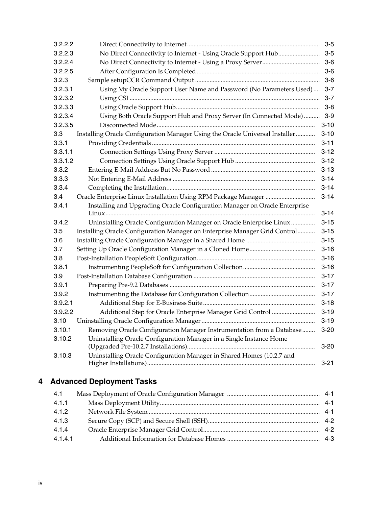| 3.2.2.2 |                                                                              | $3-5$    |
|---------|------------------------------------------------------------------------------|----------|
| 3.2.2.3 |                                                                              | $3-5$    |
| 3.2.2.4 |                                                                              | $3-6$    |
| 3.2.2.5 |                                                                              | $3-6$    |
| 3.2.3   |                                                                              | $3-6$    |
| 3.2.3.1 | Using My Oracle Support User Name and Password (No Parameters Used)          | $3 - 7$  |
| 3.2.3.2 |                                                                              | $3 - 7$  |
| 3.2.3.3 |                                                                              | $3-8$    |
| 3.2.3.4 | Using Both Oracle Support Hub and Proxy Server (In Connected Mode)           | $3-9$    |
| 3.2.3.5 |                                                                              | $3 - 10$ |
| 3.3     | Installing Oracle Configuration Manager Using the Oracle Universal Installer | $3 - 10$ |
| 3.3.1   |                                                                              | $3 - 11$ |
| 3.3.1.1 |                                                                              | $3 - 12$ |
| 3.3.1.2 |                                                                              | $3 - 12$ |
| 3.3.2   |                                                                              | $3 - 13$ |
| 3.3.3   |                                                                              | $3 - 14$ |
| 3.3.4   |                                                                              | $3 - 14$ |
| 3.4     |                                                                              | $3 - 14$ |
| 3.4.1   | Installing and Upgrading Oracle Configuration Manager on Oracle Enterprise   |          |
|         |                                                                              | $3 - 14$ |
| 3.4.2   | Uninstalling Oracle Configuration Manager on Oracle Enterprise Linux         | $3 - 15$ |
| 3.5     | Installing Oracle Configuration Manager on Enterprise Manager Grid Control   | $3 - 15$ |
| 3.6     |                                                                              | $3 - 15$ |
| 3.7     |                                                                              | $3 - 16$ |
| 3.8     |                                                                              | $3 - 16$ |
| 3.8.1   |                                                                              | $3 - 16$ |
| 3.9     |                                                                              | $3 - 17$ |
| 3.9.1   |                                                                              | $3 - 17$ |
| 3.9.2   |                                                                              | $3 - 17$ |
| 3.9.2.1 |                                                                              | $3 - 18$ |
| 3.9.2.2 | Additional Step for Oracle Enterprise Manager Grid Control                   | $3 - 19$ |
| 3.10    |                                                                              | $3 - 19$ |
| 3.10.1  | Removing Oracle Configuration Manager Instrumentation from a Database        | $3 - 20$ |
| 3.10.2  | Uninstalling Oracle Configuration Manager in a Single Instance Home          | $3-20$   |
| 3.10.3  | Uninstalling Oracle Configuration Manager in Shared Homes (10.2.7 and        | $3 - 21$ |
|         |                                                                              |          |

# **[4 Advanced Deployment Tasks](#page-42-0)**

| 4.1.4.1 |  |
|---------|--|
|         |  |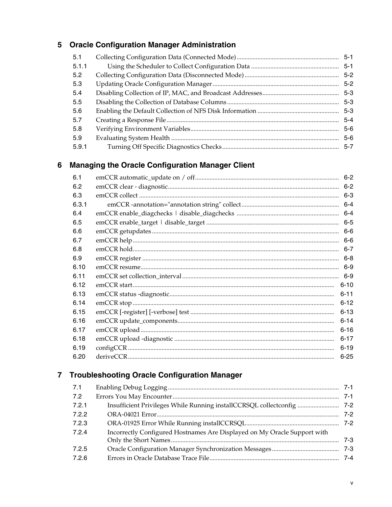## 5 Oracle Configuration Manager Administration

| 5.1   |         |
|-------|---------|
| 5.1.1 | $5 - 1$ |
| 5.2   |         |
| 5.3   |         |
| 5.4   |         |
| 5.5   | $5 - 3$ |
| 5.6   | $5 - 3$ |
| 5.7   | $5 - 4$ |
| 5.8   | $5-6$   |
| 5.9   | $5-6$   |
| 5.9.1 |         |

## 6 Managing the Oracle Configuration Manager Client

| 6.1   |          |
|-------|----------|
| 6.2   | $6 - 2$  |
| 6.3   | $6 - 3$  |
| 6.3.1 |          |
| 6.4   |          |
| 6.5   |          |
| 6.6   | 6-6      |
| 6.7   | $6 - 6$  |
| 6.8   | $6 - 7$  |
| 6.9   | $6 - 8$  |
| 6.10  | $6-9$    |
| 6.11  | $6-9$    |
| 6.12  | $6 - 10$ |
| 6.13  | $6 - 11$ |
| 6.14  | $6 - 12$ |
| 6.15  | $6 - 13$ |
| 6.16  | $6 - 14$ |
| 6.17  | $6 - 16$ |
| 6.18  | $6 - 17$ |
| 6.19  | $6 - 19$ |
| 6.20  | $6 - 25$ |

# 7 Troubleshooting Oracle Configuration Manager

| 7.1   |                                                                          |       |
|-------|--------------------------------------------------------------------------|-------|
| 7.2   |                                                                          |       |
| 7.2.1 | Insufficient Privileges While Running installCCRSQL collectconfig  7-2   |       |
| 7.2.2 |                                                                          |       |
| 7.2.3 |                                                                          |       |
| 7.2.4 | Incorrectly Configured Hostnames Are Displayed on My Oracle Support with |       |
|       |                                                                          | - 7-3 |
| 7.2.5 |                                                                          |       |
| 7.2.6 |                                                                          |       |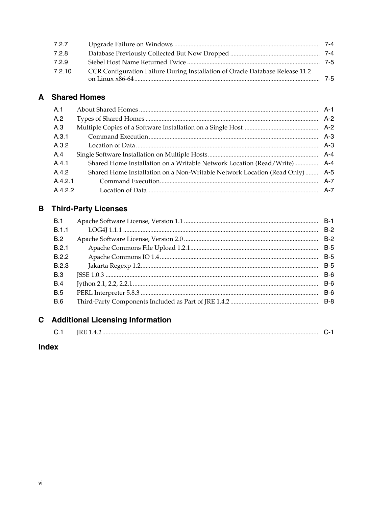| 7.2.7  |                                                                               |  |
|--------|-------------------------------------------------------------------------------|--|
| 7.2.8  |                                                                               |  |
| 7.2.9  |                                                                               |  |
| 7.2.10 | CCR Configuration Failure During Installation of Oracle Database Release 11.2 |  |
|        |                                                                               |  |

# A Shared Homes

| A.1     |                                                                              |  |
|---------|------------------------------------------------------------------------------|--|
| A.2     |                                                                              |  |
| A.3     |                                                                              |  |
| A.3.1   |                                                                              |  |
| A.3.2   |                                                                              |  |
| A.4     |                                                                              |  |
| A.4.1   | Shared Home Installation on a Writable Network Location (Read/Write) A-4     |  |
| A.4.2   | Shared Home Installation on a Non-Writable Network Location (Read Only)  A-5 |  |
| A.4.2.1 |                                                                              |  |
| A.4.2.2 |                                                                              |  |

# **B** Third-Party Licenses

| <b>B.1</b>   | $B-1$ |
|--------------|-------|
| <b>B.1.1</b> | $B-2$ |
| B.2          | $B-2$ |
| B.2.1        | $B-5$ |
| B.2.2        | $B-5$ |
| <b>B.2.3</b> | $B-5$ |
| <b>B.3</b>   | $B-6$ |
| B.4          | $B-6$ |
| <b>B.5</b>   | $B-6$ |
| <b>B.6</b>   |       |
|              |       |

# **C** Additional Licensing Information

# **Index**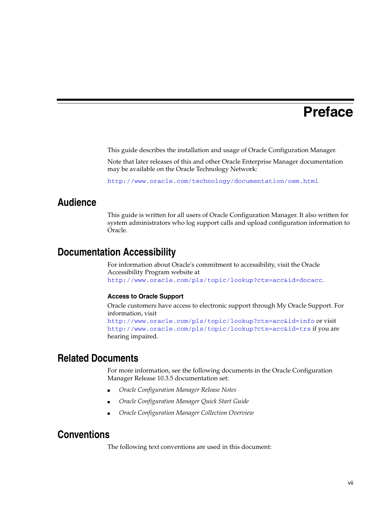# **Preface**

<span id="page-6-0"></span>This guide describes the installation and usage of Oracle Configuration Manager.

Note that later releases of this and other Oracle Enterprise Manager documentation may be available on the Oracle Technology Network:

http://www.oracle.com/technology/documentation/oem.html

## <span id="page-6-1"></span>**Audience**

This guide is written for all users of Oracle Configuration Manager. It also written for system administrators who log support calls and upload configuration information to Oracle.

# <span id="page-6-2"></span>**Documentation Accessibility**

For information about Oracle's commitment to accessibility, visit the Oracle Accessibility Program website at http://www.oracle.com/pls/topic/lookup?ctx=acc&id=docacc.

#### **Access to Oracle Support**

Oracle customers have access to electronic support through My Oracle Support. For information, visit

http://www.oracle.com/pls/topic/lookup?ctx=acc&id=info or visit http://www.oracle.com/pls/topic/lookup?ctx=acc&id=trs if you are hearing impaired.

# <span id="page-6-3"></span>**Related Documents**

For more information, see the following documents in the Oracle Configuration Manager Release 10.3.5 documentation set:

- *Oracle Configuration Manager Release Notes*
- **Oracle Configuration Manager Quick Start Guide**
- *Oracle Configuration Manager Collection Overview*

# <span id="page-6-4"></span>**Conventions**

The following text conventions are used in this document: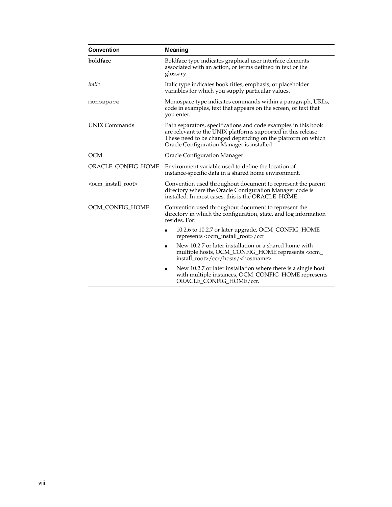| <b>Convention</b>              | <b>Meaning</b>                                                                                                                                                                                                                               |  |  |
|--------------------------------|----------------------------------------------------------------------------------------------------------------------------------------------------------------------------------------------------------------------------------------------|--|--|
| boldface                       | Boldface type indicates graphical user interface elements<br>associated with an action, or terms defined in text or the<br>glossary.                                                                                                         |  |  |
| italic                         | Italic type indicates book titles, emphasis, or placeholder<br>variables for which you supply particular values.                                                                                                                             |  |  |
| monospace                      | Monospace type indicates commands within a paragraph, URLs,<br>code in examples, text that appears on the screen, or text that<br>you enter.                                                                                                 |  |  |
| <b>UNIX Commands</b>           | Path separators, specifications and code examples in this book<br>are relevant to the UNIX platforms supported in this release.<br>These need to be changed depending on the platform on which<br>Oracle Configuration Manager is installed. |  |  |
| <b>OCM</b>                     | Oracle Configuration Manager                                                                                                                                                                                                                 |  |  |
| ORACLE CONFIG HOME             | Environment variable used to define the location of<br>instance-specific data in a shared home environment.                                                                                                                                  |  |  |
| <ocm install="" root=""></ocm> | Convention used throughout document to represent the parent<br>directory where the Oracle Configuration Manager code is<br>installed. In most cases, this is the ORACLE_HOME.                                                                |  |  |
| OCM_CONFIG_HOME                | Convention used throughout document to represent the<br>directory in which the configuration, state, and log information<br>resides. For:                                                                                                    |  |  |
|                                | 10.2.6 to 10.2.7 or later upgrade, OCM_CONFIG_HOME<br>$\blacksquare$<br>represents <ocm_install_root>/ccr</ocm_install_root>                                                                                                                 |  |  |
|                                | New 10.2.7 or later installation or a shared home with<br>$\blacksquare$<br>multiple hosts, OCM_CONFIG_HOME represents <ocm_<br>install_root&gt;/ccr/hosts/<hostname></hostname></ocm_<br>                                                   |  |  |
|                                | New 10.2.7 or later installation where there is a single host<br>$\blacksquare$<br>with multiple instances, OCM_CONFIG_HOME represents<br>ORACLE_CONFIG_HOME/ccr.                                                                            |  |  |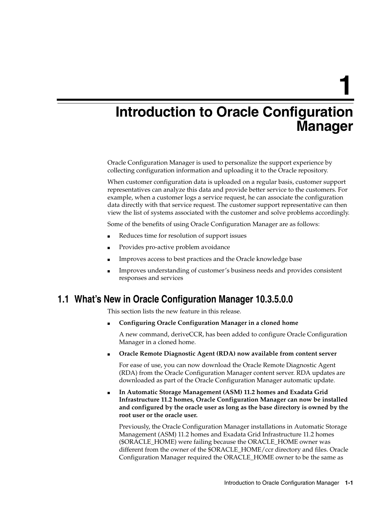**1**

# <span id="page-8-0"></span><sup>1</sup>**Introduction to Oracle Configuration Manager**

Oracle Configuration Manager is used to personalize the support experience by collecting configuration information and uploading it to the Oracle repository.

When customer configuration data is uploaded on a regular basis, customer support representatives can analyze this data and provide better service to the customers. For example, when a customer logs a service request, he can associate the configuration data directly with that service request. The customer support representative can then view the list of systems associated with the customer and solve problems accordingly.

Some of the benefits of using Oracle Configuration Manager are as follows:

- Reduces time for resolution of support issues
- Provides pro-active problem avoidance
- Improves access to best practices and the Oracle knowledge base
- Improves understanding of customer's business needs and provides consistent responses and services

# <span id="page-8-1"></span>**1.1 What's New in Oracle Configuration Manager 10.3.5.0.0**

This section lists the new feature in this release.

■ **Configuring Oracle Configuration Manager in a cloned home**

A new command, deriveCCR, has been added to configure Oracle Configuration Manager in a cloned home.

■ **Oracle Remote Diagnostic Agent (RDA) now available from content server**

For ease of use, you can now download the Oracle Remote Diagnostic Agent (RDA) from the Oracle Configuration Manager content server. RDA updates are downloaded as part of the Oracle Configuration Manager automatic update.

■ **In Automatic Storage Management (ASM) 11.2 homes and Exadata Grid Infrastructure 11.2 homes, Oracle Configuration Manager can now be installed and configured by the oracle user as long as the base directory is owned by the root user or the oracle user.**

Previously, the Oracle Configuration Manager installations in Automatic Storage Management (ASM) 11.2 homes and Exadata Grid Infrastructure 11.2 homes (\$ORACLE\_HOME) were failing because the ORACLE\_HOME owner was different from the owner of the \$ORACLE\_HOME/ccr directory and files. Oracle Configuration Manager required the ORACLE\_HOME owner to be the same as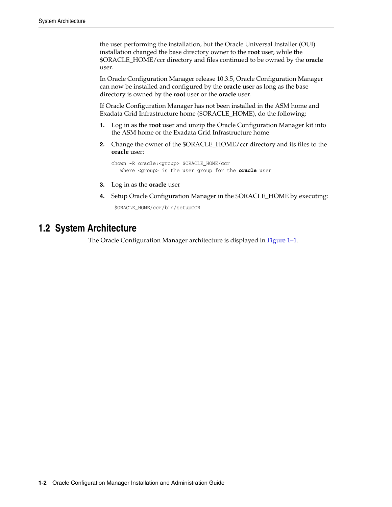the user performing the installation, but the Oracle Universal Installer (OUI) installation changed the base directory owner to the **root** user, while the \$ORACLE\_HOME/ccr directory and files continued to be owned by the **oracle** user.

In Oracle Configuration Manager release 10.3.5, Oracle Configuration Manager can now be installed and configured by the **oracle** user as long as the base directory is owned by the **root** user or the **oracle** user.

If Oracle Configuration Manager has not been installed in the ASM home and Exadata Grid Infrastructure home (\$ORACLE\_HOME), do the following:

- **1.** Log in as the **root** user and unzip the Oracle Configuration Manager kit into the ASM home or the Exadata Grid Infrastructure home
- **2.** Change the owner of the \$ORACLE\_HOME/ccr directory and its files to the **oracle** user:

chown -R oracle:<group> \$ORACLE\_HOME/ccr where <group> is the user group for the **oracle** user

- **3.** Log in as the **oracle** user
- **4.** Setup Oracle Configuration Manager in the \$ORACLE\_HOME by executing:

\$ORACLE\_HOME/ccr/bin/setupCCR

## <span id="page-9-0"></span>**1.2 System Architecture**

The Oracle Configuration Manager architecture is displayed in Figure 1–1.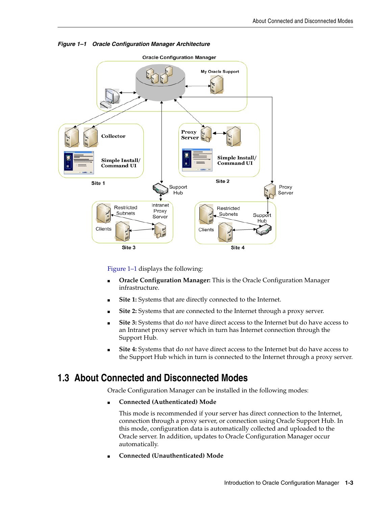

*Figure 1–1 Oracle Configuration Manager Architecture*

Figure 1–1 displays the following:

- **Oracle Configuration Manager:** This is the Oracle Configuration Manager infrastructure.
- **Site 1:** Systems that are directly connected to the Internet.
- **Site 2:** Systems that are connected to the Internet through a proxy server.
- **Site 3:** Systems that do *not* have direct access to the Internet but do have access to an Intranet proxy server which in turn has Internet connection through the Support Hub.
- **Site 4:** Systems that do *not* have direct access to the Internet but do have access to the Support Hub which in turn is connected to the Internet through a proxy server.

## <span id="page-10-0"></span>**1.3 About Connected and Disconnected Modes**

Oracle Configuration Manager can be installed in the following modes:

■ **Connected (Authenticated) Mode**

This mode is recommended if your server has direct connection to the Internet, connection through a proxy server, or connection using Oracle Support Hub. In this mode, configuration data is automatically collected and uploaded to the Oracle server. In addition, updates to Oracle Configuration Manager occur automatically.

■ **Connected (Unauthenticated) Mode**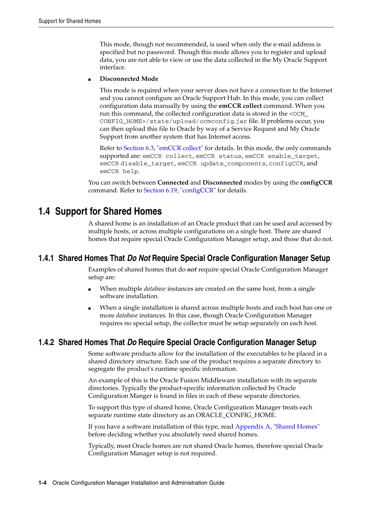This mode, though not recommended, is used when only the e-mail address is specified but no password. Though this mode allows you to register and upload data, you are not able to view or use the data collected in the My Oracle Support interface.

### ■ **Disconnected Mode**

This mode is required when your server does not have a connection to the Internet and you cannot configure an Oracle Support Hub. In this mode, you can collect configuration data manually by using the **emCCR collect** command. When you run this command, the collected configuration data is stored in the <OCM\_ CONFIG\_HOME>/state/upload/ocmconfig.jar file. If problems occur, you can then upload this file to Oracle by way of a Service Request and My Oracle Support from another system that has Internet access.

Refer to [Section 6.3, "emCCR collect"](#page-56-1) for details. In this mode, the only commands supported are: emCCR collect, emCCR status, emCCR enable\_target, emCCR disable\_target, emCCR update\_components, configCCR, and emCCR help.

You can switch between **Connected** and **Disconnected** modes by using the **configCCR** command. Refer to [Section 6.19, "configCCR"](#page-72-1) for details.

# <span id="page-11-0"></span>**1.4 Support for Shared Homes**

A shared home is an installation of an Oracle product that can be used and accessed by multiple hosts, or across multiple configurations on a single host. There are shared homes that require special Oracle Configuration Manager setup, and those that do not.

## <span id="page-11-1"></span>**1.4.1 Shared Homes That** *Do Not* **Require Special Oracle Configuration Manager Setup**

Examples of shared homes that do *not* require special Oracle Configuration Manager setup are:

- When multiple *database* instances are created on the same host, from a single software installation.
- When a single installation is shared across multiple hosts and each host has one or more *database* instances. In this case, though Oracle Configuration Manager requires no special setup, the collector must be setup separately on each host.

## <span id="page-11-2"></span>**1.4.2 Shared Homes That** *Do* **Require Special Oracle Configuration Manager Setup**

Some software products allow for the installation of the executables to be placed in a shared directory structure. Each use of the product requires a separate directory to segregate the product's runtime specific information.

An example of this is the Oracle Fusion Middleware installation with its separate directories. Typically the product-specific information collected by Oracle Configuration Manger is found in files in each of these separate directories.

To support this type of shared home, Oracle Configuration Manager treats each separate runtime state directory as an ORACLE\_CONFIG\_HOME.

If you have a software installation of this type, read [Appendix A, "Shared Homes"](#page-88-2) before deciding whether you absolutely need shared homes.

Typically, most Oracle homes are not shared Oracle homes, therefore special Oracle Configuration Manager setup is not required.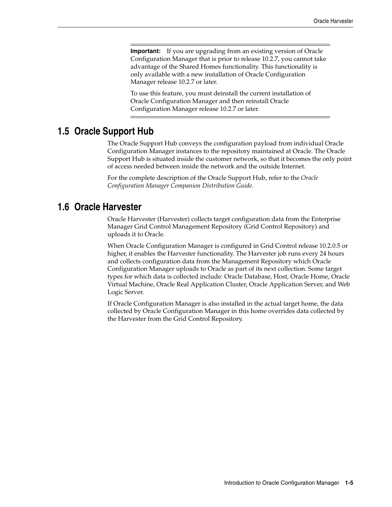**Important:** If you are upgrading from an existing version of Oracle Configuration Manager that is prior to release 10.2.7, you cannot take advantage of the Shared Homes functionality. This functionality is only available with a new installation of Oracle Configuration Manager release 10.2.7 or later.

To use this feature, you must deinstall the current installation of Oracle Configuration Manager and then reinstall Oracle Configuration Manager release 10.2.7 or later.

## <span id="page-12-0"></span>**1.5 Oracle Support Hub**

The Oracle Support Hub conveys the configuration payload from individual Oracle Configuration Manager instances to the repository maintained at Oracle. The Oracle Support Hub is situated inside the customer network, so that it becomes the only point of access needed between inside the network and the outside Internet.

For the complete description of the Oracle Support Hub, refer to the *Oracle Configuration Manager Companion Distribution Guide*.

## <span id="page-12-1"></span>**1.6 Oracle Harvester**

Oracle Harvester (Harvester) collects target configuration data from the Enterprise Manager Grid Control Management Repository (Grid Control Repository) and uploads it to Oracle.

When Oracle Configuration Manager is configured in Grid Control release 10.2.0.5 or higher, it enables the Harvester functionality. The Harvester job runs every 24 hours and collects configuration data from the Management Repository which Oracle Configuration Manager uploads to Oracle as part of its next collection. Some target types for which data is collected include: Oracle Database, Host, Oracle Home, Oracle Virtual Machine, Oracle Real Application Cluster, Oracle Application Server, and Web Logic Server.

If Oracle Configuration Manager is also installed in the actual target home, the data collected by Oracle Configuration Manager in this home overrides data collected by the Harvester from the Grid Control Repository.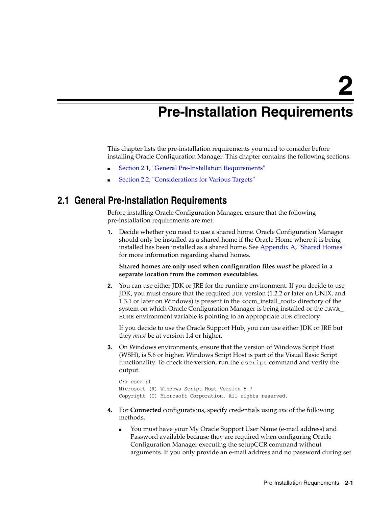# <sup>2</sup>**Pre-Installation Requirements**

<span id="page-14-0"></span>This chapter lists the pre-installation requirements you need to consider before installing Oracle Configuration Manager. This chapter contains the following sections:

- [Section 2.1, "General Pre-Installation Requirements"](#page-14-1)
- [Section 2.2, "Considerations for Various Targets"](#page-15-0)

## <span id="page-14-1"></span>**2.1 General Pre-Installation Requirements**

Before installing Oracle Configuration Manager, ensure that the following pre-installation requirements are met:

**1.** Decide whether you need to use a shared home. Oracle Configuration Manager should only be installed as a shared home if the Oracle Home where it is being installed has been installed as a shared home. See [Appendix A, "Shared Homes"](#page-88-2) for more information regarding shared homes.

**Shared homes are only used when configuration files** *must* **be placed in a separate location from the common executables.**

**2.** You can use either JDK or JRE for the runtime environment. If you decide to use JDK, you must ensure that the required JDK version (1.2.2 or later on UNIX, and 1.3.1 or later on Windows) is present in the <ocm\_install\_root> directory of the system on which Oracle Configuration Manager is being installed or the JAVA\_ HOME environment variable is pointing to an appropriate JDK directory.

If you decide to use the Oracle Support Hub, you can use either JDK or JRE but they *must* be at version 1.4 or higher.

**3.** On Windows environments, ensure that the version of Windows Script Host (WSH), is 5.6 or higher. Windows Script Host is part of the Visual Basic Script functionality. To check the version, run the cscript command and verify the output.

```
C:> cscript
Microsoft (R) Windows Script Host Version 5.7
Copyright (C) Microsoft Corporation. All rights reserved.
```
- **4.** For **Connected** configurations, specify credentials using *one* of the following methods.
	- You must have your My Oracle Support User Name (e-mail address) and Password available because they are required when configuring Oracle Configuration Manager executing the setupCCR command without arguments. If you only provide an e-mail address and no password during set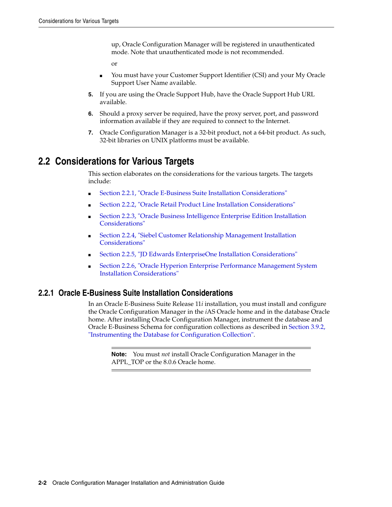up, Oracle Configuration Manager will be registered in unauthenticated mode. Note that unauthenticated mode is not recommended.

or

- You must have your Customer Support Identifier (CSI) and your My Oracle Support User Name available.
- **5.** If you are using the Oracle Support Hub, have the Oracle Support Hub URL available.
- **6.** Should a proxy server be required, have the proxy server, port, and password information available if they are required to connect to the Internet.
- **7.** Oracle Configuration Manager is a 32-bit product, not a 64-bit product. As such, 32-bit libraries on UNIX platforms must be available.

# <span id="page-15-0"></span>**2.2 Considerations for Various Targets**

This section elaborates on the considerations for the various targets. The targets include:

- [Section 2.2.1, "Oracle E-Business Suite Installation Considerations"](#page-15-1)
- [Section 2.2.2, "Oracle Retail Product Line Installation Considerations"](#page-16-0)
- Section 2.2.3, "Oracle Business Intelligence Enterprise Edition Installation [Considerations"](#page-16-1)
- Section 2.2.4, "Siebel Customer Relationship Management Installation [Considerations"](#page-17-0)
- [Section 2.2.5, "JD Edwards EnterpriseOne Installation Considerations"](#page-17-1)
- Section 2.2.6, "Oracle Hyperion Enterprise Performance Management System [Installation Considerations"](#page-17-2)

## <span id="page-15-1"></span>**2.2.1 Oracle E-Business Suite Installation Considerations**

In an Oracle E-Business Suite Release 11*i* installation, you must install and configure the Oracle Configuration Manager in the *i*AS Oracle home and in the database Oracle home. After installing Oracle Configuration Manager, instrument the database and Oracle E-Business Schema for configuration collections as described in [Section 3.9.2,](#page-36-3)  ["Instrumenting the Database for Configuration Collection"](#page-36-3).

**Note:** You must *not* install Oracle Configuration Manager in the APPL\_TOP or the 8.0.6 Oracle home.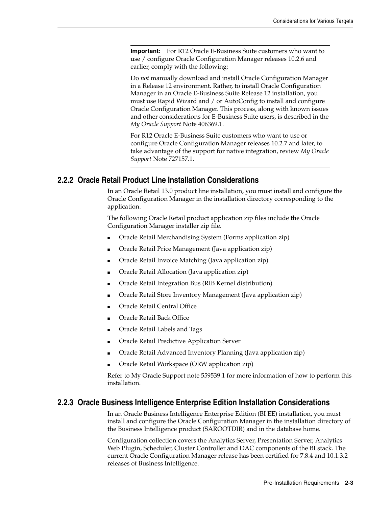**Important:** For R12 Oracle E-Business Suite customers who want to use / configure Oracle Configuration Manager releases 10.2.6 and earlier, comply with the following:

Do *not* manually download and install Oracle Configuration Manager in a Release 12 environment. Rather, to install Oracle Configuration Manager in an Oracle E-Business Suite Release 12 installation, you must use Rapid Wizard and / or AutoConfig to install and configure Oracle Configuration Manager. This process, along with known issues and other considerations for E-Business Suite users, is described in the *My Oracle Support* Note 406369.1.

For R12 Oracle E-Business Suite customers who want to use or configure Oracle Configuration Manager releases 10.2.7 and later, to take advantage of the support for native integration, review *My Oracle Support* Note 727157.1.

## <span id="page-16-0"></span>**2.2.2 Oracle Retail Product Line Installation Considerations**

In an Oracle Retail 13.0 product line installation, you must install and configure the Oracle Configuration Manager in the installation directory corresponding to the application.

The following Oracle Retail product application zip files include the Oracle Configuration Manager installer zip file.

- Oracle Retail Merchandising System (Forms application zip)
- Oracle Retail Price Management (Java application zip)
- Oracle Retail Invoice Matching (Java application zip)
- Oracle Retail Allocation (Java application zip)
- Oracle Retail Integration Bus (RIB Kernel distribution)
- Oracle Retail Store Inventory Management (Java application zip)
- Oracle Retail Central Office
- Oracle Retail Back Office
- Oracle Retail Labels and Tags
- Oracle Retail Predictive Application Server
- Oracle Retail Advanced Inventory Planning (Java application zip)
- Oracle Retail Workspace (ORW application zip)

Refer to My Oracle Support note 559539.1 for more information of how to perform this installation.

### <span id="page-16-1"></span>**2.2.3 Oracle Business Intelligence Enterprise Edition Installation Considerations**

In an Oracle Business Intelligence Enterprise Edition (BI EE) installation, you must install and configure the Oracle Configuration Manager in the installation directory of the Business Intelligence product (SAROOTDIR) and in the database home.

Configuration collection covers the Analytics Server, Presentation Server, Analytics Web Plugin, Scheduler, Cluster Controller and DAC components of the BI stack. The current Oracle Configuration Manager release has been certified for 7.8.4 and 10.1.3.2 releases of Business Intelligence.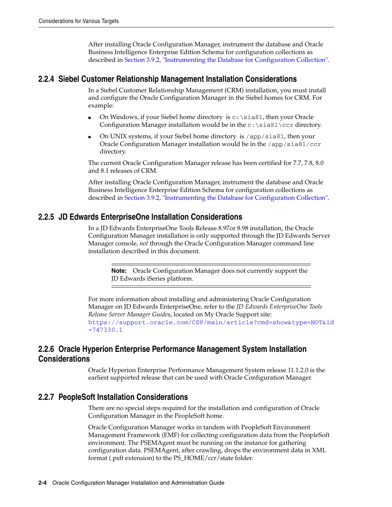After installing Oracle Configuration Manager, instrument the database and Oracle Business Intelligence Enterprise Edition Schema for configuration collections as described in [Section 3.9.2, "Instrumenting the Database for Configuration Collection"](#page-36-3).

## <span id="page-17-0"></span>**2.2.4 Siebel Customer Relationship Management Installation Considerations**

In a Siebel Customer Relationship Management (CRM) installation, you must install and configure the Oracle Configuration Manager in the Siebel homes for CRM. For example:

- On Windows, if your Siebel home directory is  $c: \s i a81$ , then your Oracle Configuration Manager installation would be in the  $c:\s$  in  $81\ccor$  directory.
- On UNIX systems, if your Siebel home directory is /app/sia81, then your Oracle Configuration Manager installation would be in the /app/sia81/ccr directory.

The current Oracle Configuration Manager release has been certified for 7.7, 7.8, 8.0 and 8.1 releases of CRM.

After installing Oracle Configuration Manager, instrument the database and Oracle Business Intelligence Enterprise Edition Schema for configuration collections as described in [Section 3.9.2, "Instrumenting the Database for Configuration Collection"](#page-36-3).

## <span id="page-17-1"></span>**2.2.5 JD Edwards EnterpriseOne Installation Considerations**

In a JD Edwards EnterpriseOne Tools Release 8.97or 8.98 installation, the Oracle Configuration Manager installation is only supported through the JD Edwards Server Manager console, *not* through the Oracle Configuration Manager command line installation described in this document.

**Note:** Oracle Configuration Manager does not currently support the JD Edwards iSeries platform.

For more information about installing and administering Oracle Configuration Manager on JD Edwards EnterpriseOne, refer to the *JD Edwards EnterpriseOne Tools Release Server Manager Guide*s, located on My Oracle Support site: https://support.oracle.com/CSP/main/article?cmd=show&type=NOT&id =747330.1

## <span id="page-17-2"></span>**2.2.6 Oracle Hyperion Enterprise Performance Management System Installation Considerations**

Oracle Hyperion Enterprise Performance Management System release 11.1.2.0 is the earliest supported release that can be used with Oracle Configuration Manager.

## <span id="page-17-3"></span>**2.2.7 PeopleSoft Installation Considerations**

There are no special steps required for the installation and configuration of Oracle Configuration Manager in the PeopleSoft home.

Oracle Configuration Manager works in tandem with PeopleSoft Environment Management Framework (EMF) for collecting configuration data from the PeopleSoft environment. The PSEMAgent must be running on the instance for gathering configuration data. PSEMAgent, after crawling, drops the environment data in XML format (.psft extension) to the PS\_HOME/ccr/state folder.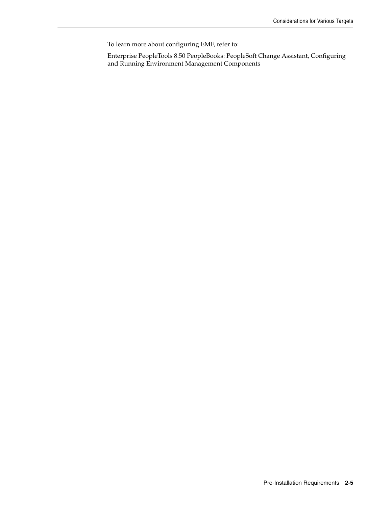To learn more about configuring EMF, refer to:

Enterprise PeopleTools 8.50 PeopleBooks: PeopleSoft Change Assistant, Configuring and Running Environment Management Components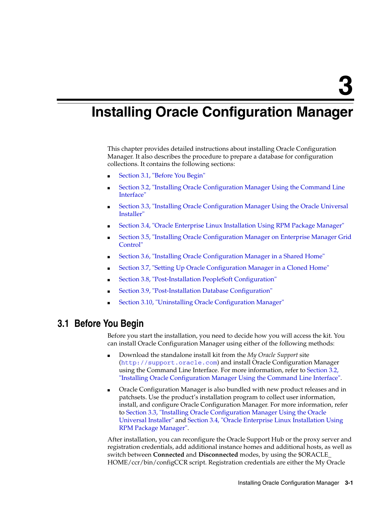# <span id="page-20-0"></span><sup>3</sup>**Installing Oracle Configuration Manager**

This chapter provides detailed instructions about installing Oracle Configuration Manager. It also describes the procedure to prepare a database for configuration collections. It contains the following sections:

- [Section 3.1, "Before You Begin"](#page-20-1)
- Section 3.2, "Installing Oracle Configuration Manager Using the Command Line [Interface"](#page-23-0)
- Section 3.3, "Installing Oracle Configuration Manager Using the Oracle Universal [Installer"](#page-29-1)
- [Section 3.4, "Oracle Enterprise Linux Installation Using RPM Package Manager"](#page-33-2)
- [Section 3.5, "Installing Oracle Configuration Manager on Enterprise Manager Grid](#page-34-1)  [Control"](#page-34-1)
- [Section 3.6, "Installing Oracle Configuration Manager in a Shared Home"](#page-34-2)
- [Section 3.7, "Setting Up Oracle Configuration Manager in a Cloned Home"](#page-35-0)
- [Section 3.8, "Post-Installation PeopleSoft Configuration"](#page-35-1)
- [Section 3.9, "Post-Installation Database Configuration"](#page-36-0)
- [Section 3.10, "Uninstalling Oracle Configuration Manager"](#page-38-1)

## <span id="page-20-1"></span>**3.1 Before You Begin**

Before you start the installation, you need to decide how you will access the kit. You can install Oracle Configuration Manager using either of the following methods:

- Download the standalone install kit from the *My Oracle Support* site (http://support.oracle.com) and install Oracle Configuration Manager using the Command Line Interface. For more information, refer to [Section 3.2,](#page-23-0)  ["Installing Oracle Configuration Manager Using the Command Line Interface".](#page-23-0)
- Oracle Configuration Manager is also bundled with new product releases and in patchsets. Use the product's installation program to collect user information, install, and configure Oracle Configuration Manager. For more information, refer to [Section 3.3, "Installing Oracle Configuration Manager Using the Oracle](#page-29-1)  [Universal Installer"](#page-29-1) and [Section 3.4, "Oracle Enterprise Linux Installation Using](#page-33-2)  [RPM Package Manager".](#page-33-2)

After installation, you can reconfigure the Oracle Support Hub or the proxy server and registration credentials, add additional instance homes and additional hosts, as well as switch between **Connected** and **Disconnected** modes, by using the \$ORACLE\_ HOME/ccr/bin/configCCR script. Registration credentials are either the My Oracle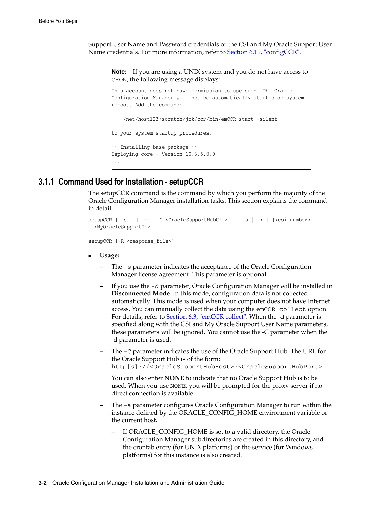Support User Name and Password credentials or the CSI and My Oracle Support User Name credentials. For more information, refer to [Section 6.19, "configCCR".](#page-72-1)

**Note:** If you are using a UNIX system and you do not have access to CRON, the following message displays:

This account does not have permission to use cron. The Oracle Configuration Manager will not be automatically started on system reboot. Add the command:

/net/host123/scratch/jnk/ccr/bin/emCCR start -silent

to your system startup procedures. \*\* Installing base package \*\* Deploying core - Version 10.3.5.0.0 ...

### <span id="page-21-0"></span>**3.1.1 Command Used for Installation - setupCCR**

The setupCCR command is the command by which you perform the majority of the Oracle Configuration Manager installation tasks. This section explains the command in detail.

```
setupCCR [ -s ] [ -d | -C <OracleSupportHubUrl> ] [ -a | -r ] [<csi-number>
[[<MyOracleSupportId>] ]]
```

```
setupCCR [-R <response_file>]
```
- **Usage:**
	- **–** The -s parameter indicates the acceptance of the Oracle Configuration Manager license agreement. This parameter is optional.
	- **–** If you use the -d parameter, Oracle Configuration Manager will be installed in **Disconnected Mode**. In this mode, configuration data is not collected automatically. This mode is used when your computer does not have Internet access. You can manually collect the data using the emCCR collect option. For details, refer to [Section 6.3, "emCCR collect"](#page-56-1). When the -d parameter is specified along with the CSI and My Oracle Support User Name parameters, these parameters will be ignored. You cannot use the -C parameter when the -d parameter is used.
	- **–** The -C parameter indicates the use of the Oracle Support Hub. The URL for the Oracle Support Hub is of the form: http[s]://<OracleSupportHubHost>:<OracleSupportHubPort>

You can also enter **NONE** to indicate that no Oracle Support Hub is to be used. When you use NONE, you will be prompted for the proxy server if no direct connection is available.

- **–** The -a parameter configures Oracle Configuration Manager to run within the instance defined by the ORACLE\_CONFIG\_HOME environment variable or the current host.
	- **–** If ORACLE\_CONFIG\_HOME is set to a valid directory, the Oracle Configuration Manager subdirectories are created in this directory, and the crontab entry (for UNIX platforms) or the service (for Windows platforms) for this instance is also created.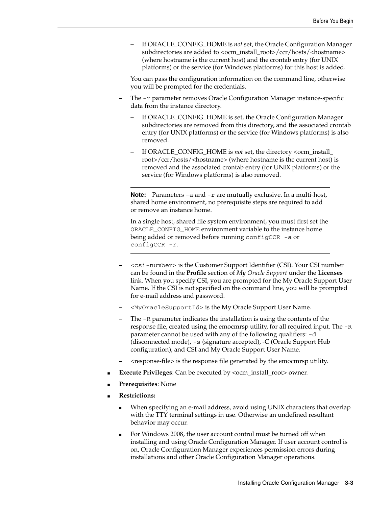**–** If ORACLE\_CONFIG\_HOME is *not* set, the Oracle Configuration Manager subdirectories are added to <ocm\_install\_root>/ccr/hosts/<hostname> (where hostname is the current host) and the crontab entry (for UNIX platforms) or the service (for Windows platforms) for this host is added.

You can pass the configuration information on the command line, otherwise you will be prompted for the credentials.

- **–** The -r parameter removes Oracle Configuration Manager instance-specific data from the instance directory.
	- **–** If ORACLE\_CONFIG\_HOME is set, the Oracle Configuration Manager subdirectories are removed from this directory, and the associated crontab entry (for UNIX platforms) or the service (for Windows platforms) is also removed.
	- **–** If ORACLE\_CONFIG\_HOME is *not* set, the directory <ocm\_install\_ root>/ccr/hosts/<hostname> (where hostname is the current host) is removed and the associated crontab entry (for UNIX platforms) or the service (for Windows platforms) is also removed.

**Note:** Parameters -a and -r are mutually exclusive. In a multi-host, shared home environment, no prerequisite steps are required to add or remove an instance home.

In a single host, shared file system environment, you must first set the ORACLE\_CONFIG\_HOME environment variable to the instance home being added or removed before running configCCR -a or configCCR -r.

- **–** <csi-number> is the Customer Support Identifier (CSI). Your CSI number can be found in the **Profile** section of *My Oracle Support* under the **Licenses** link. When you specify CSI, you are prompted for the My Oracle Support User Name. If the CSI is not specified on the command line, you will be prompted for e-mail address and password.
- **–** <MyOracleSupportId> is the My Oracle Support User Name.
- **–** The -R parameter indicates the installation is using the contents of the response file, created using the emocmrsp utility, for all required input. The -R parameter cannot be used with any of the following qualifiers: -d (disconnected mode), -s (signature accepted), -C (Oracle Support Hub configuration), and CSI and My Oracle Support User Name.
- **–** <response-file> is the response file generated by the emocmrsp utility.
- **Execute Privileges:** Can be executed by  $\langle \text{ocm}_\text{in} \rangle$  from  $\langle \text{ocm}_\text{in} \rangle$  owner.
- **Prerequisites**: None
- **Restrictions:**
	- When specifying an e-mail address, avoid using UNIX characters that overlap with the TTY terminal settings in use. Otherwise an undefined resultant behavior may occur.
	- For Windows 2008, the user account control must be turned off when installing and using Oracle Configuration Manager. If user account control is on, Oracle Configuration Manager experiences permission errors during installations and other Oracle Configuration Manager operations.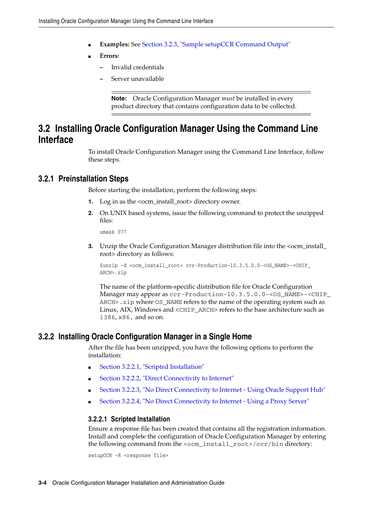- **Examples:** See [Section 3.2.3, "Sample setupCCR Command Output"](#page-25-2)
- Errors:
	- **–** Invalid credentials
	- **–** Server unavailable

**Note:** Oracle Configuration Manager *must* be installed in every product directory that contains configuration data to be collected.

## <span id="page-23-0"></span>**3.2 Installing Oracle Configuration Manager Using the Command Line Interface**

To install Oracle Configuration Manager using the Command Line Interface, follow these steps.

### <span id="page-23-1"></span>**3.2.1 Preinstallation Steps**

Before starting the installation, perform the following steps:

- **1.** Log in as the <ocm\_install\_root> directory owner.
- **2.** On UNIX based systems, issue the following command to protect the unzipped files:

umask 077

**3.** Unzip the Oracle Configuration Manager distribution file into the <ocm\_install\_ root> directory as follows:

```
$unzip -d <ocm_install_root> ccr-Production-10.3.5.0.0-<OS_NAME>-<CHIP
ARCH>.zip
```
The name of the platform-specific distribution file for Oracle Configuration Manager may appear as ccr-Production-10.3.5.0.0-<OS\_NAME>-<CHIP\_ ARCH>. zip where OS\_NAME refers to the name of the operating system such as Linux, AIX, Windows and <CHIP\_ARCH> refers to the base architecture such as i386, x86, and so on.

### <span id="page-23-2"></span>**3.2.2 Installing Oracle Configuration Manager in a Single Home**

After the file has been unzipped, you have the following options to perform the installation:

- [Section 3.2.2.1, "Scripted Installation"](#page-23-3)
- [Section 3.2.2.2, "Direct Connectivity to Internet"](#page-24-0)
- [Section 3.2.2.3, "No Direct Connectivity to Internet Using Oracle Support Hub"](#page-24-1)
- [Section 3.2.2.4, "No Direct Connectivity to Internet Using a Proxy Server"](#page-25-0)

#### <span id="page-23-3"></span>**3.2.2.1 Scripted Installation**

Ensure a response file has been created that contains all the registration information. Install and complete the configuration of Oracle Configuration Manager by entering the following command from the <ocm\_install\_root>/ccr/bin directory:

setupCCR -R <response file>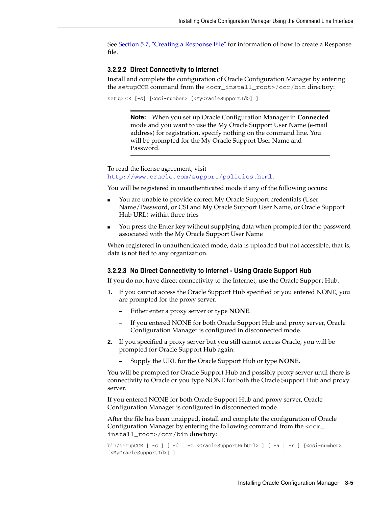See [Section 5.7, "Creating a Response File"](#page-49-1) for information of how to create a Response file.

### <span id="page-24-0"></span>**3.2.2.2 Direct Connectivity to Internet**

Install and complete the configuration of Oracle Configuration Manager by entering the setupCCR command from the <ocm\_install\_root>/ccr/bin directory:

```
setupCCR [-s] [<csi-number> [<MyOracleSupportId>] ]
```
**Note:** When you set up Oracle Configuration Manager in **Connected** mode and you want to use the My Oracle Support User Name (e-mail address) for registration, specify nothing on the command line. You will be prompted for the My Oracle Support User Name and Password.

To read the license agreement, visit http://www.oracle.com/support/policies.html.

You will be registered in unauthenticated mode if any of the following occurs:

- You are unable to provide correct My Oracle Support credentials (User Name/Password, or CSI and My Oracle Support User Name, or Oracle Support Hub URL) within three tries
- You press the Enter key without supplying data when prompted for the password associated with the My Oracle Support User Name

When registered in unauthenticated mode, data is uploaded but not accessible, that is, data is not tied to any organization.

### <span id="page-24-1"></span>**3.2.2.3 No Direct Connectivity to Internet - Using Oracle Support Hub**

If you do not have direct connectivity to the Internet, use the Oracle Support Hub.

- **1.** If you cannot access the Oracle Support Hub specified or you entered NONE, you are prompted for the proxy server.
	- **–** Either enter a proxy server or type **NONE**.
	- **–** If you entered NONE for both Oracle Support Hub and proxy server, Oracle Configuration Manager is configured in disconnected mode.
- **2.** If you specified a proxy server but you still cannot access Oracle, you will be prompted for Oracle Support Hub again.
	- **–** Supply the URL for the Oracle Support Hub or type **NONE**.

You will be prompted for Oracle Support Hub and possibly proxy server until there is connectivity to Oracle or you type NONE for both the Oracle Support Hub and proxy server.

If you entered NONE for both Oracle Support Hub and proxy server, Oracle Configuration Manager is configured in disconnected mode.

After the file has been unzipped, install and complete the configuration of Oracle Configuration Manager by entering the following command from the <ocm\_ install\_root>/ccr/bin directory:

```
bin/setupCCR [ -s ] [ -d | -C <OracleSupportHubUrl> ] [ -a | -r ] [<csi-number>
[<MyOracleSupportId>] ]
```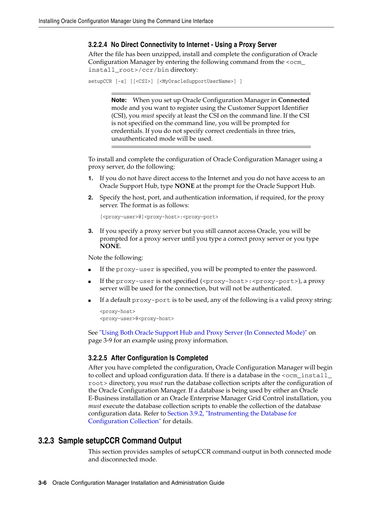### <span id="page-25-0"></span>**3.2.2.4 No Direct Connectivity to Internet - Using a Proxy Server**

After the file has been unzipped, install and complete the configuration of Oracle Configuration Manager by entering the following command from the <ocm\_ install\_root>/ccr/bin directory:

```
setupCCR [-s] [[<CSI>] [<MyOracleSupportUserName>] ]
```
**Note:** When you set up Oracle Configuration Manager in **Connected** mode and you want to register using the Customer Support Identifier (CSI), you *must* specify at least the CSI on the command line. If the CSI is not specified on the command line, you will be prompted for credentials. If you do not specify correct credentials in three tries, unauthenticated mode will be used.

To install and complete the configuration of Oracle Configuration Manager using a proxy server, do the following:

- **1.** If you do not have direct access to the Internet and you do not have access to an Oracle Support Hub, type **NONE** at the prompt for the Oracle Support Hub.
- **2.** Specify the host, port, and authentication information, if required, for the proxy server. The format is as follows:

[<proxy-user>@]<proxy-host>:<proxy-port>

**3.** If you specify a proxy server but you still cannot access Oracle, you will be prompted for a proxy server until you type a correct proxy server or you type **NONE**.

Note the following:

- If the proxy-user is specified, you will be prompted to enter the password.
- If the proxy-user is not specified (<proxy-host>:<proxy-port>), a proxy server will be used for the connection, but will not be authenticated.
- If a default  $\gamma$  -port is to be used, any of the following is a valid proxy string:

<proxy-host> <proxy-user>@<proxy-host>

See ["Using Both Oracle Support Hub and Proxy Server \(In Connected Mode\)" on](#page-28-0)  [page 3-9](#page-28-0) for an example using proxy information.

### <span id="page-25-1"></span>**3.2.2.5 After Configuration Is Completed**

After you have completed the configuration, Oracle Configuration Manager will begin to collect and upload configuration data. If there is a database in the  $\sim$ ocm\_install\_ root> directory, you *must* run the database collection scripts after the configuration of the Oracle Configuration Manager. If a database is being used by either an Oracle E-Business installation or an Oracle Enterprise Manager Grid Control installation, you *must* execute the database collection scripts to enable the collection of the database configuration data. Refer to [Section 3.9.2, "Instrumenting the Database for](#page-36-2)  [Configuration Collection"](#page-36-2) for details.

## <span id="page-25-2"></span>**3.2.3 Sample setupCCR Command Output**

This section provides samples of setupCCR command output in both connected mode and disconnected mode.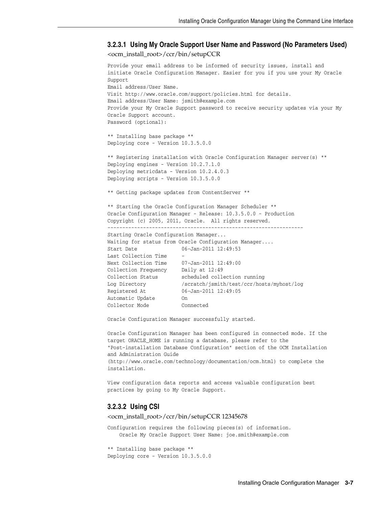### <span id="page-26-0"></span>**3.2.3.1 Using My Oracle Support User Name and Password (No Parameters Used)**

<ocm\_install\_root>/ccr/bin/setupCCR

```
Provide your email address to be informed of security issues, install and
initiate Oracle Configuration Manager. Easier for you if you use your My Oracle 
Support
Email address/User Name.
Visit http://www.oracle.com/support/policies.html for details.
Email address/User Name: jsmith@example.com
Provide your My Oracle Support password to receive security updates via your My 
Oracle Support account.
Password (optional):
** Installing base package **
Deploying core - Version 10.3.5.0.0
** Registering installation with Oracle Configuration Manager server(s) **
Deploying engines - Version 10.2.7.1.0
Deploying metricdata - Version 10.2.4.0.3
Deploying scripts - Version 10.3.5.0.0
** Getting package updates from ContentServer **
** Starting the Oracle Configuration Manager Scheduler **
Oracle Configuration Manager - Release: 10.3.5.0.0 - Production
Copyright (c) 2005, 2011, Oracle. All rights reserved.
------------------------------------------------------------------
Starting Oracle Configuration Manager...
Waiting for status from Oracle Configuration Manager....
Start Date 06-Jan-2011 12:49:53
Last Collection Time
Next Collection Time 07-Jan-2011 12:49:00
Collection Frequency Daily at 12:49
Collection Status scheduled collection running
Log Directory /scratch/jsmith/test/ccr/hosts/myhost/log
Registered At 06-Jan-2011 12:49:05
Automatic Update On
Collector Mode Connected
Oracle Configuration Manager successfully started.
```
Oracle Configuration Manager has been configured in connected mode. If the target ORACLE\_HOME is running a database, please refer to the "Post-installation Database Configuration" section of the OCM Installation and Administration Guide (http://www.oracle.com/technology/documentation/ocm.html) to complete the installation.

View configuration data reports and access valuable configuration best practices by going to My Oracle Support.

### <span id="page-26-1"></span>**3.2.3.2 Using CSI**

<ocm\_install\_root>/ccr/bin/setupCCR 12345678

Configuration requires the following pieces(s) of information. Oracle My Oracle Support User Name: joe.smith@example.com

```
** Installing base package **
Deploying core - Version 10.3.5.0.0
```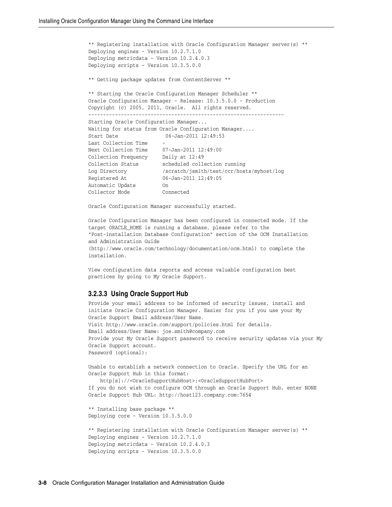```
** Registering installation with Oracle Configuration Manager server(s) **
Deploying engines - Version 10.2.7.1.0
Deploying metricdata - Version 10.2.4.0.3
Deploying scripts - Version 10.3.5.0.0
** Getting package updates from ContentServer **
** Starting the Oracle Configuration Manager Scheduler **
Oracle Configuration Manager - Release: 10.3.5.0.0 - Production
Copyright (c) 2005, 2011, Oracle. All rights reserved.
------------------------------------------------------------------
Starting Oracle Configuration Manager...
Waiting for status from Oracle Configuration Manager....
Start Date 06-Jan-2011 12:49:53
Last Collection Time -
Next Collection Time 07-Jan-2011 12:49:00
Collection Frequency Daily at 12:49<br>Collection Status scheduled coll
                      scheduled collection running
Log Directory /scratch/jsmith/test/ccr/hosts/myhost/log
Registered At 06-Jan-2011 12:49:05
Automatic Update On
Collector Mode Connected
```
Oracle Configuration Manager successfully started.

Oracle Configuration Manager has been configured in connected mode. If the target ORACLE\_HOME is running a database, please refer to the "Post-installation Database Configuration" section of the OCM Installation and Administration Guide (http://www.oracle.com/technology/documentation/ocm.html) to complete the installation.

View configuration data reports and access valuable configuration best practices by going to My Oracle Support.

#### <span id="page-27-0"></span>**3.2.3.3 Using Oracle Support Hub**

```
Provide your email address to be informed of security issues, install and
initiate Oracle Configuration Manager. Easier for you if you use your My
Oracle Support Email address/User Name.
Visit http://www.oracle.com/support/policies.html for details.
Email address/User Name: joe.smith@company.com
Provide your My Oracle Support password to receive security updates via your My 
Oracle Support account.
Password (optional): 
Unable to establish a network connection to Oracle. Specify the URL for an
Oracle Support Hub in this format:
```
 http[s]://<OracleSupportHubHost>:<OracleSupportHubPort> If you do not wish to configure OCM through an Oracle Support Hub, enter NONE Oracle Support Hub URL: http://host123.company.com:7654

```
** Installing base package **
Deploying core - Version 10.3.5.0.0
```

```
** Registering installation with Oracle Configuration Manager server(s) **
Deploying engines - Version 10.2.7.1.0
Deploying metricdata - Version 10.2.4.0.3
Deploying scripts - Version 10.3.5.0.0
```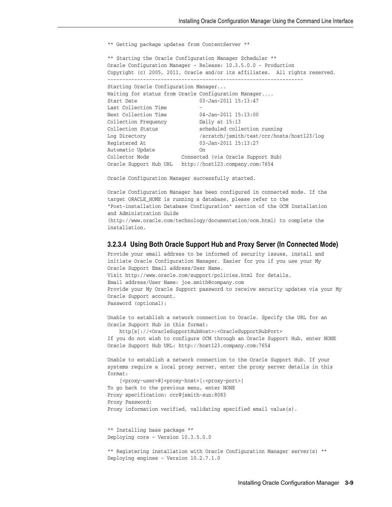\*\* Getting package updates from ContentServer \*\*

\*\* Starting the Oracle Configuration Manager Scheduler \*\* Oracle Configuration Manager - Release: 10.3.5.0.0 - Production Copyright (c) 2005, 2011, Oracle and/or its affiliates. All rights reserved. ------------------------------------------------------------------ Starting Oracle Configuration Manager... Waiting for status from Oracle Configuration Manager.... Start Date 03-Jan-2011 15:13:47 Last Collection Time Next Collection Time 04-Jan-2011 15:13:00 Collection Frequency Daily at 15:13 Collection Status scheduled collection running Log Directory /scratch/jsmith/test/ccr/hosts/host123/log Registered At 03-Jan-2011 15:13:27 Automatic Update On Collector Mode Connected (via Oracle Support Hub) Oracle Support Hub URL http://host123.company.com:7654

Oracle Configuration Manager successfully started.

Oracle Configuration Manager has been configured in connected mode. If the target ORACLE\_HOME is running a database, please refer to the "Post-installation Database Configuration" section of the OCM Installation and Administration Guide (http://www.oracle.com/technology/documentation/ocm.html) to complete the installation.

#### <span id="page-28-0"></span>**3.2.3.4 Using Both Oracle Support Hub and Proxy Server (In Connected Mode)**

Provide your email address to be informed of security issues, install and initiate Oracle Configuration Manager. Easier for you if you use your My Oracle Support Email address/User Name. Visit http://www.oracle.com/support/policies.html for details. Email address/User Name: joe.smith@company.com Provide your My Oracle Support password to receive security updates via your My Oracle Support account. Password (optional):

Unable to establish a network connection to Oracle. Specify the URL for an Oracle Support Hub in this format:

 http[s]://<OracleSupportHubHost>:<OracleSupportHubPort> If you do not wish to configure OCM through an Oracle Support Hub, enter NONE Oracle Support Hub URL: http://host123.company.com:7654

Unable to establish a network connection to the Oracle Support Hub. If your systems require a local proxy server, enter the proxy server details in this format:

 [<proxy-user>@]<proxy-host>[:<proxy-port>] To go back to the previous menu, enter NONE Proxy specification: ccr@jsmith-sun:8083 Proxy Password: Proxy information verified, validating specified email value(s).

```
** Installing base package **
Deploying core - Version 10.3.5.0.0
```
\*\* Registering installation with Oracle Configuration Manager server(s) \*\* Deploying engines - Version 10.2.7.1.0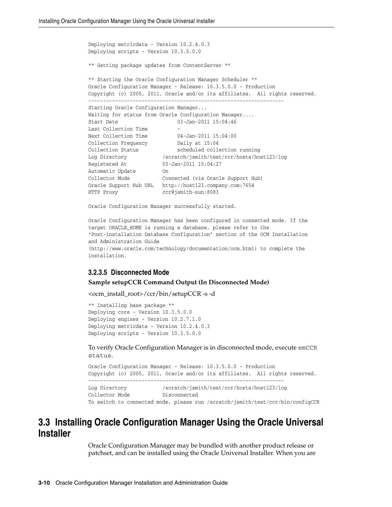Deploying metricdata - Version 10.2.4.0.3 Deploying scripts - Version 10.3.5.0.0 \*\* Getting package updates from ContentServer \*\* \*\* Starting the Oracle Configuration Manager Scheduler \*\* Oracle Configuration Manager - Release: 10.3.5.0.0 - Production Copyright (c) 2005, 2011, Oracle and/or its affiliates. All rights reserved. ------------------------------------------------------------------ Starting Oracle Configuration Manager... Waiting for status from Oracle Configuration Manager.... Start Date 03-Jan-2011 15:04:46 Last Collection Time Next Collection Time 04-Jan-2011 15:04:00 Collection Frequency Daily at 15:04 Collection Status scheduled collection running Log Directory /scratch/jsmith/test/ccr/hosts/host123/log Registered At 03-Jan-2011 15:04:27 Automatic Update On Collector Mode Connected (via Oracle Support Hub) Oracle Support Hub URL http://host123.company.com:7654 HTTP Proxy ccr@jsmith-sun:8083

Oracle Configuration Manager successfully started.

Oracle Configuration Manager has been configured in connected mode. If the target ORACLE\_HOME is running a database, please refer to the "Post-installation Database Configuration" section of the OCM Installation and Administration Guide (http://www.oracle.com/technology/documentation/ocm.html) to complete the installation.

### <span id="page-29-0"></span>**3.2.3.5 Disconnected Mode**

#### **Sample setupCCR Command Output (In Disconnected Mode)**

<ocm\_install\_root>/ccr/bin/setupCCR -s -d

```
** Installing base package **
Deploying core - Version 10.3.5.0.0
Deploying engines - Version 10.2.7.1.0
Deploying metricdata - Version 10.2.4.0.3
Deploying scripts - Version 10.3.5.0.0
```
To verify Oracle Configuration Manager is in disconnected mode, execute emCCR status.

```
Oracle Configuration Manager - Release: 10.3.5.0.0 - Production
Copyright (c) 2005, 2011, Oracle and/or its affiliates. All rights reserved.
------------------------------------------------------------------
Log Directory /scratch/jsmith/test/ccr/hosts/host123/log
Collector Mode Disconnected
To switch to connected mode, please run /scratch/jsmith/test/ccr/bin/configCCR
```
## <span id="page-29-1"></span>**3.3 Installing Oracle Configuration Manager Using the Oracle Universal Installer**

Oracle Configuration Manager may be bundled with another product release or patchset, and can be installed using the Oracle Universal Installer. When you are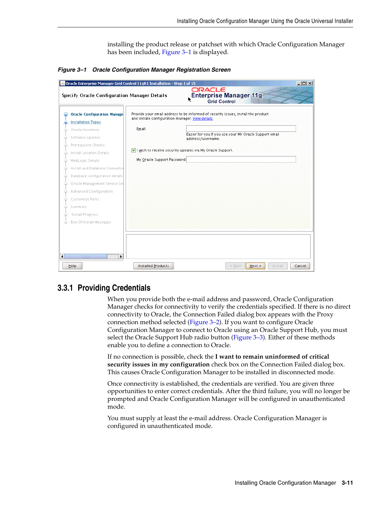installing the product release or patchset with which Oracle Configuration Manager has been included, Figure 3-1 is displayed.

| Figure 3-1 Oracle Configuration Manager Registration Screen |
|-------------------------------------------------------------|
|                                                             |

| Oracle Enterprise Manager Grid Control 11gR1 Installation - Step 1 of 15 |                                                   |                                                                                   | $-10x$ |
|--------------------------------------------------------------------------|---------------------------------------------------|-----------------------------------------------------------------------------------|--------|
| Specify Oracle Configuration Manager Details                             |                                                   | ORACLE<br><b>Enterprise Manager 11g</b><br><b>Grid Control</b>                    |        |
| <b>Oracle Configuration Manage</b>                                       | and initiate configuration manager. View details. | Provide your email address to be informed of security issues, install the product |        |
| <b>Installation Types</b>                                                |                                                   |                                                                                   |        |
| Oracle Inventory                                                         | Em ail:                                           |                                                                                   |        |
| Software Updates                                                         |                                                   | Easier for you if you use your My Oracle Support email<br>address/username.       |        |
| Prerequisite Checks                                                      |                                                   |                                                                                   |        |
| Install Location Details                                                 |                                                   | I wish to receive security updates via My Oracle Support.                         |        |
| WebLogic Details                                                         | My Oracle Support Password:                       |                                                                                   |        |
| Install and Database Connectio                                           |                                                   |                                                                                   |        |
| Database configuration details<br>$\circ$                                |                                                   |                                                                                   |        |
| Oracle Management Service Ser                                            |                                                   |                                                                                   |        |
| Advanced Configuration                                                   |                                                   |                                                                                   |        |
| Customize Ports                                                          |                                                   |                                                                                   |        |
| Summary                                                                  |                                                   |                                                                                   |        |
| Install Progress                                                         |                                                   |                                                                                   |        |
| End Of Install Messages<br>$\odot$                                       |                                                   |                                                                                   |        |
|                                                                          |                                                   |                                                                                   |        |
|                                                                          |                                                   |                                                                                   |        |
|                                                                          |                                                   |                                                                                   |        |
| 3888<br>r<br>$\blacktriangleleft$                                        |                                                   |                                                                                   |        |
| Help                                                                     | <b>Installed Products</b>                         | $<$ Back<br>Install<br>Next                                                       | Cancel |

## <span id="page-30-0"></span>**3.3.1 Providing Credentials**

When you provide both the e-mail address and password, Oracle Configuration Manager checks for connectivity to verify the credentials specified. If there is no direct connectivity to Oracle, the Connection Failed dialog box appears with the Proxy connection method selected (Figure 3–2). If you want to configure Oracle Configuration Manager to connect to Oracle using an Oracle Support Hub, you must select the Oracle Support Hub radio button (Figure 3–3). Either of these methods enable you to define a connection to Oracle.

If no connection is possible, check the **I want to remain uninformed of critical security issues in my configuration** check box on the Connection Failed dialog box. This causes Oracle Configuration Manager to be installed in disconnected mode.

Once connectivity is established, the credentials are verified. You are given three opportunities to enter correct credentials. After the third failure, you will no longer be prompted and Oracle Configuration Manager will be configured in unauthenticated mode.

You must supply at least the e-mail address. Oracle Configuration Manager is configured in unauthenticated mode.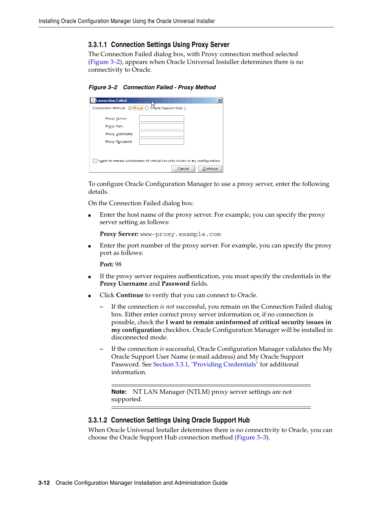### <span id="page-31-0"></span>**3.3.1.1 Connection Settings Using Proxy Server**

The Connection Failed dialog box, with Proxy connection method selected (Figure 3–2), appears when Oracle Universal Installer determines there is no connectivity to Oracle.

*Figure 3–2 Connection Failed - Proxy Method*

| <b>Connection Failed</b> |                                                                              |          |
|--------------------------|------------------------------------------------------------------------------|----------|
|                          | Connection Method: O Proxy O Oracle Support Hub 2                            |          |
| Proxy Server:            |                                                                              |          |
| Proxy Port:              |                                                                              |          |
| Proxy Username:          |                                                                              |          |
| Proxy Password:          |                                                                              |          |
|                          | I want to remain uninformed of critical security issues in my configuration. |          |
|                          | Cancel                                                                       | Continue |

To configure Oracle Configuration Manager to use a proxy server, enter the following details.

On the Connection Failed dialog box:

Enter the host name of the proxy server. For example, you can specify the proxy server setting as follows:

**Proxy Server:** www-proxy.example.com

Enter the port number of the proxy server. For example, you can specify the proxy port as follows:

**Port:** 98

- If the proxy server requires authentication, you must specify the credentials in the **Proxy Username** and **Password** fields.
- Click **Continue** to verify that you can connect to Oracle.
	- **–** If the connection *is not* successful, you remain on the Connection Failed dialog box. Either enter correct proxy server information or, if no connection is possible, check the **I want to remain uninformed of critical security issues in my configuration** checkbox. Oracle Configuration Manager will be installed in disconnected mode.
	- **–** If the connection *is* successful, Oracle Configuration Manager validates the My Oracle Support User Name (e-mail address) and My Oracle Support Password. See [Section 3.3.1, "Providing Credentials"](#page-30-0) for additional information.

**Note:** NT LAN Manager (NTLM) proxy server settings are not supported.

### <span id="page-31-1"></span>**3.3.1.2 Connection Settings Using Oracle Support Hub**

When Oracle Universal Installer determines there is no connectivity to Oracle, you can choose the Oracle Support Hub connection method (Figure 3–3).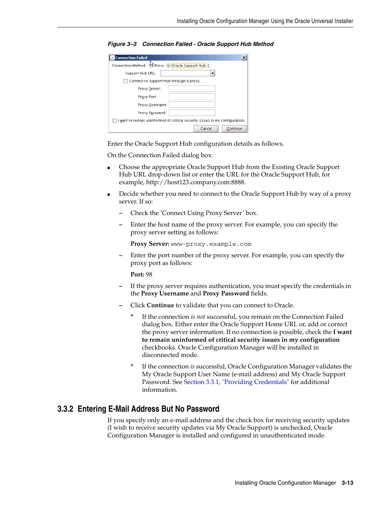| <b>Connection Failed</b>                                                   |          |
|----------------------------------------------------------------------------|----------|
| Connection Method: SProxy O Oracle Support Hub 2                           |          |
| Support Hub URL:                                                           |          |
| Connect to Support Hub through a proxy                                     |          |
| Proxy Server:                                                              |          |
| Proxy Port:                                                                |          |
| Proxy Username:                                                            |          |
| Proxy Password:                                                            |          |
| want to remain uninformed of critical security issues in my configuration. |          |
| Cancel                                                                     | Continue |

*Figure 3–3 Connection Failed - Oracle Support Hub Method*

Enter the Oracle Support Hub configuration details as follows.

On the Connection Failed dialog box:

- Choose the appropriate Oracle Support Hub from the Existing Oracle Support Hub URL drop-down list or enter the URL for the Oracle Support Hub, for example, http://host123.company.com:8888.
- Decide whether you need to connect to the Oracle Support Hub by way of a proxy server. If so:
	- **–** Check the 'Connect Using Proxy Server' box.
	- **–** Enter the host name of the proxy server. For example, you can specify the proxy server setting as follows:

**Proxy Server:** www-proxy.example.com

**–** Enter the port number of the proxy server. For example, you can specify the proxy port as follows:

**Port:** 98

- **–** If the proxy server requires authentication, you must specify the credentials in the **Proxy Username** and **Proxy Password** fields.
- **–** Click **Continue** to validate that you can connect to Oracle.
	- **\*** If the connection *is not* successful, you remain on the Connection Failed dialog box. Either enter the Oracle Support Home URL or, add or correct the proxy server information. If no connection is possible, check the **I want to remain uninformed of critical security issues in my configuration** checkbooks. Oracle Configuration Manager will be installed in disconnected mode.
	- **\*** If the connection *is* successful, Oracle Configuration Manager validates the My Oracle Support User Name (e-mail address) and My Oracle Support Password. See [Section 3.3.1, "Providing Credentials"](#page-30-0) for additional information.

## <span id="page-32-0"></span>**3.3.2 Entering E-Mail Address But No Password**

If you specify only an e-mail address and the check box for receiving security updates (I wish to receive security updates via My Oracle Support) is unchecked, Oracle Configuration Manager is installed and configured in unauthenticated mode.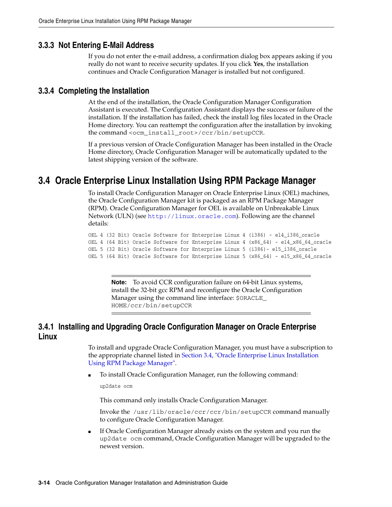### <span id="page-33-0"></span>**3.3.3 Not Entering E-Mail Address**

If you do not enter the e-mail address, a confirmation dialog box appears asking if you really do not want to receive security updates. If you click **Yes**, the installation continues and Oracle Configuration Manager is installed but not configured.

### <span id="page-33-1"></span>**3.3.4 Completing the Installation**

At the end of the installation, the Oracle Configuration Manager Configuration Assistant is executed. The Configuration Assistant displays the success or failure of the installation. If the installation has failed, check the install log files located in the Oracle Home directory. You can reattempt the configuration after the installation by invoking the command <ocm\_install\_root>/ccr/bin/setupCCR.

If a previous version of Oracle Configuration Manager has been installed in the Oracle Home directory, Oracle Configuration Manager will be automatically updated to the latest shipping version of the software.

## <span id="page-33-2"></span>**3.4 Oracle Enterprise Linux Installation Using RPM Package Manager**

To install Oracle Configuration Manager on Oracle Enterprise Linux (OEL) machines, the Oracle Configuration Manager kit is packaged as an RPM Package Manager (RPM). Oracle Configuration Manager for OEL is available on Unbreakable Linux Network (ULN) (see http://linux.oracle.com). Following are the channel details:

```
OEL 4 (32 Bit) Oracle Software for Enterprise Linux 4 (i386) - el4_i386_oracle
OEL 4 (64 Bit) Oracle Software for Enterprise Linux 4 (x86_64) - el4_x86_64_oracle
OEL 5 (32 Bit) Oracle Software for Enterprise Linux 5 (i386)- el5_i386_oracle
OEL 5 (64 Bit) Oracle Software for Enterprise Linux 5 (x86_64) - el5_x86_64_oracle
```
**Note:** To avoid CCR configuration failure on 64-bit Linux systems, install the 32-bit gcc RPM and reconfigure the Oracle Configuration Manager using the command line interface: \$ORACLE\_ HOME/ccr/bin/setupCCR

## <span id="page-33-3"></span>**3.4.1 Installing and Upgrading Oracle Configuration Manager on Oracle Enterprise Linux**

To install and upgrade Oracle Configuration Manager, you must have a subscription to the appropriate channel listed in [Section 3.4, "Oracle Enterprise Linux Installation](#page-33-2)  [Using RPM Package Manager".](#page-33-2)

To install Oracle Configuration Manager, run the following command:

up2date ocm

This command only installs Oracle Configuration Manager.

Invoke the /usr/lib/oracle/ccr/ccr/bin/setupCCR command manually to configure Oracle Configuration Manager.

If Oracle Configuration Manager already exists on the system and you run the up2date ocm command, Oracle Configuration Manager will be upgraded to the newest version.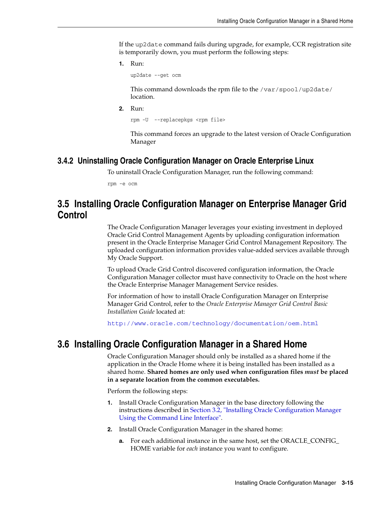If the up2date command fails during upgrade, for example, CCR registration site is temporarily down, you must perform the following steps:

**1.** Run:

up2date --get ocm

This command downloads the rpm file to the /var/spool/up2date/ location.

**2.** Run:

rpm -U --replacepkgs <rpm file>

This command forces an upgrade to the latest version of Oracle Configuration Manager

### <span id="page-34-0"></span>**3.4.2 Uninstalling Oracle Configuration Manager on Oracle Enterprise Linux**

To uninstall Oracle Configuration Manager, run the following command:

rpm -e ocm

# <span id="page-34-1"></span>**3.5 Installing Oracle Configuration Manager on Enterprise Manager Grid Control**

The Oracle Configuration Manager leverages your existing investment in deployed Oracle Grid Control Management Agents by uploading configuration information present in the Oracle Enterprise Manager Grid Control Management Repository. The uploaded configuration information provides value-added services available through My Oracle Support.

To upload Oracle Grid Control discovered configuration information, the Oracle Configuration Manager collector must have connectivity to Oracle on the host where the Oracle Enterprise Manager Management Service resides.

For information of how to install Oracle Configuration Manager on Enterprise Manager Grid Control, refer to the *Oracle Enterprise Manager Grid Control Basic Installation Guide* located at:

http://www.oracle.com/technology/documentation/oem.html

## <span id="page-34-2"></span>**3.6 Installing Oracle Configuration Manager in a Shared Home**

Oracle Configuration Manager should only be installed as a shared home if the application in the Oracle Home where it is being installed has been installed as a shared home. **Shared homes are only used when configuration files** *must* **be placed in a separate location from the common executables.**

Perform the following steps:

- **1.** Install Oracle Configuration Manager in the base directory following the instructions described in [Section 3.2, "Installing Oracle Configuration Manager](#page-23-0)  [Using the Command Line Interface"](#page-23-0).
- **2.** Install Oracle Configuration Manager in the shared home:
	- **a.** For each additional instance in the same host, set the ORACLE\_CONFIG HOME variable for *each* instance you want to configure.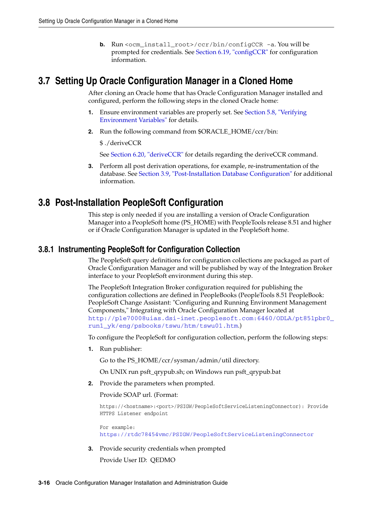**b.** Run <ocm\_install\_root>/ccr/bin/configCCR -a. You will be prompted for credentials. See [Section 6.19, "configCCR"](#page-72-1) for configuration information.

# <span id="page-35-0"></span>**3.7 Setting Up Oracle Configuration Manager in a Cloned Home**

After cloning an Oracle home that has Oracle Configuration Manager installed and configured, perform the following steps in the cloned Oracle home:

- **1.** Ensure environment variables are properly set. See [Section 5.8, "Verifying](#page-51-2)  [Environment Variables"](#page-51-2) for details.
- **2.** Run the following command from \$ORACLE\_HOME/ccr/bin:

\$ ./deriveCCR

See [Section 6.20, "deriveCCR"](#page-78-1) for details regarding the deriveCCR command.

**3.** Perform all post derivation operations, for example, re-instrumentation of the database. See [Section 3.9, "Post-Installation Database Configuration"](#page-36-0) for additional information.

# <span id="page-35-1"></span>**3.8 Post-Installation PeopleSoft Configuration**

This step is only needed if you are installing a version of Oracle Configuration Manager into a PeopleSoft home (PS\_HOME) with PeopleTools release 8.51 and higher or if Oracle Configuration Manager is updated in the PeopleSoft home.

## <span id="page-35-2"></span>**3.8.1 Instrumenting PeopleSoft for Configuration Collection**

The PeopleSoft query definitions for configuration collections are packaged as part of Oracle Configuration Manager and will be published by way of the Integration Broker interface to your PeopleSoft environment during this step.

The PeopleSoft Integration Broker configuration required for publishing the configuration collections are defined in PeopleBooks (PeopleTools 8.51 PeopleBook: PeopleSoft Change Assistant: "Configuring and Running Environment Management Components," Integrating with Oracle Configuration Manager located at http://ple70008uias.dsi-inet.peoplesoft.com:6460/ODLA/pt851pbr0\_ run1\_yk/eng/psbooks/tswu/htm/tswu01.htm.)

To configure the PeopleSoft for configuration collection, perform the following steps:

**1.** Run publisher:

Go to the PS\_HOME/ccr/sysman/admin/util directory.

On UNIX run psft\_qrypub.sh; on Windows run psft\_qrypub.bat

**2.** Provide the parameters when prompted.

Provide SOAP url. (Format:

https://<hostname>:<port>/PSIGW/PeopleSoftServiceListeningConnector): Provide HTTPS Listener endpoint

For example: https://rtdc78454vmc/PSIGW/PeopleSoftServiceListeningConnector

**3.** Provide security credentials when prompted

Provide User ID: QEDMO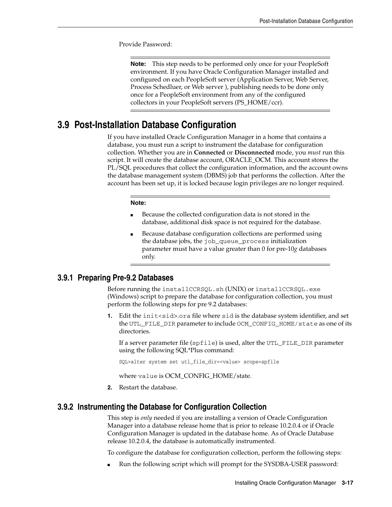Provide Password:

**Note:** This step needs to be performed only once for your PeopleSoft environment. If you have Oracle Configuration Manager installed and configured on each PeopleSoft server (Application Server, Web Server, Process Schedluer, or Web server ), publishing needs to be done only once for a PeopleSoft environment from any of the configured collectors in your PeopleSoft servers (PS\_HOME/ccr).

# **3.9 Post-Installation Database Configuration**

If you have installed Oracle Configuration Manager in a home that contains a database, you must run a script to instrument the database for configuration collection. Whether you are in **Connected** or **Disconnected** mode, you *must* run this script. It will create the database account, ORACLE\_OCM. This account stores the PL/SQL procedures that collect the configuration information, and the account owns the database management system (DBMS) job that performs the collection. After the account has been set up, it is locked because login privileges are no longer required.

#### **Note:**

- Because the collected configuration data is not stored in the database, additional disk space is not required for the database.
- Because database configuration collections are performed using the database jobs, the job\_queue\_process initialization parameter must have a value greater than 0 for pre-10*g* databases only.

#### **3.9.1 Preparing Pre-9.2 Databases**

Before running the installCCRSQL.sh (UNIX) or installCCRSQL.exe (Windows) script to prepare the database for configuration collection, you must perform the following steps for pre 9.2 databases:

**1.** Edit the init<sid>.ora file where sid is the database system identifier, and set the UTL\_FILE\_DIR parameter to include OCM\_CONFIG\_HOME/state as one of its directories.

If a server parameter file ( $\text{spfile}$ ) is used, alter the UTL FILE DIR parameter using the following SQL\*Plus command:

SQL>alter system set utl\_file\_dir=<value> scope=spfile

where value is OCM\_CONFIG\_HOME/state.

**2.** Restart the database.

#### <span id="page-36-0"></span>**3.9.2 Instrumenting the Database for Configuration Collection**

This step is *only* needed if you are installing a version of Oracle Configuration Manager into a database release home that is prior to release 10.2.0.4 or if Oracle Configuration Manager is updated in the database home. As of Oracle Database release 10.2.0.4, the database is automatically instrumented.

To configure the database for configuration collection, perform the following steps:

Run the following script which will prompt for the SYSDBA-USER password: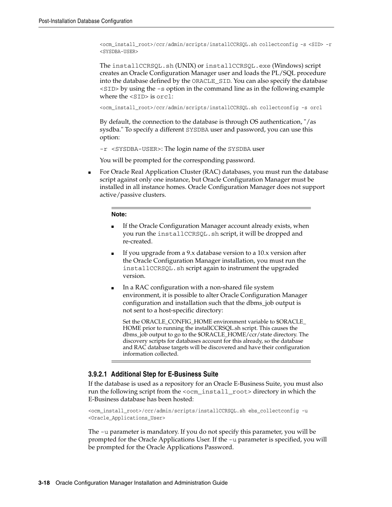<ocm\_install\_root>/ccr/admin/scripts/installCCRSQL.sh collectconfig -s <SID> -r <SYSDBA-USER>

The installCCRSQL.sh (UNIX) or installCCRSQL.exe (Windows) script creates an Oracle Configuration Manager user and loads the PL/SQL procedure into the database defined by the ORACLE\_SID. You can also specify the database <SID> by using the -s option in the command line as in the following example where the <SID> is orcl:

<ocm\_install\_root>/ccr/admin/scripts/installCCRSQL.sh collectconfig -s orcl

By default, the connection to the database is through OS authentication, "/as sysdba." To specify a different SYSDBA user and password, you can use this option:

-r <SYSDBA-USER>: The login name of the SYSDBA user

You will be prompted for the corresponding password.

For Oracle Real Application Cluster (RAC) databases, you must run the database script against only one instance, but Oracle Configuration Manager must be installed in all instance homes. Oracle Configuration Manager does not support active/passive clusters.

#### **Note:**

- If the Oracle Configuration Manager account already exists, when you run the installCCRSQL.sh script, it will be dropped and re-created.
- If you upgrade from a 9.x database version to a 10.x version after the Oracle Configuration Manager installation, you must run the installCCRSQL.sh script again to instrument the upgraded version.
- In a RAC configuration with a non-shared file system environment, it is possible to alter Oracle Configuration Manager configuration and installation such that the dbms\_job output is not sent to a host-specific directory:

Set the ORACLE\_CONFIG\_HOME environment variable to \$ORACLE\_ HOME prior to running the installCCRSQL.sh script. This causes the dbms\_job output to go to the \$ORACLE\_HOME/ccr/state directory. The discovery scripts for databases account for this already, so the database and RAC database targets will be discovered and have their configuration information collected.

#### **3.9.2.1 Additional Step for E-Business Suite**

If the database is used as a repository for an Oracle E-Business Suite, you must also run the following script from the  $\le$ ocm install root> directory in which the E-Business database has been hosted:

```
<ocm_install_root>/ccr/admin/scripts/installCCRSQL.sh ebs_collectconfig -u 
<Oracle_Applications_User>
```
The -u parameter is mandatory. If you do not specify this parameter, you will be prompted for the Oracle Applications User. If the -u parameter is specified, you will be prompted for the Oracle Applications Password.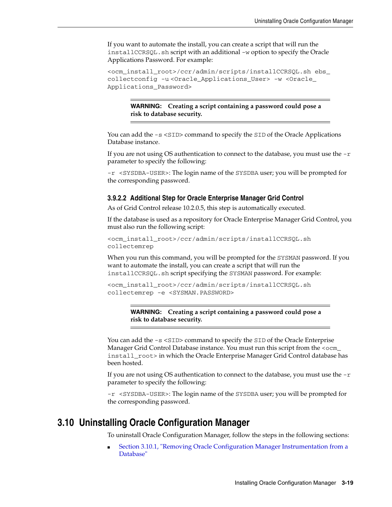If you want to automate the install, you can create a script that will run the installCCRSQL.sh script with an additional -w option to specify the Oracle Applications Password. For example:

```
<ocm_install_root>/ccr/admin/scripts/installCCRSQL.sh ebs_
collectconfig -u <Oracle_Applications_User> -w <Oracle_
Applications_Password>
```
**WARNING: Creating a script containing a password could pose a risk to database security.**

You can add the  $-s$   $\langle$ SID $\rangle$  command to specify the SID of the Oracle Applications Database instance.

If you are not using OS authentication to connect to the database, you must use the  $-r$ parameter to specify the following:

-r <SYSDBA-USER>: The login name of the SYSDBA user; you will be prompted for the corresponding password.

#### **3.9.2.2 Additional Step for Oracle Enterprise Manager Grid Control**

As of Grid Control release 10.2.0.5, this step is automatically executed.

If the database is used as a repository for Oracle Enterprise Manager Grid Control, you must also run the following script:

```
<ocm_install_root>/ccr/admin/scripts/installCCRSQL.sh 
collectemrep
```
When you run this command, you will be prompted for the SYSMAN password. If you want to automate the install, you can create a script that will run the installCCRSQL.sh script specifying the SYSMAN password. For example:

<ocm\_install\_root>/ccr/admin/scripts/installCCRSQL.sh collectemrep -e <SYSMAN.PASSWORD>

> **WARNING: Creating a script containing a password could pose a risk to database security.**

You can add the  $-s$  <SID> command to specify the SID of the Oracle Enterprise Manager Grid Control Database instance. You must run this script from the <ocm\_ install\_root> in which the Oracle Enterprise Manager Grid Control database has been hosted.

If you are not using OS authentication to connect to the database, you must use the  $-r$ parameter to specify the following:

 $-r$  <SYSDBA-USER>: The login name of the SYSDBA user; you will be prompted for the corresponding password.

# **3.10 Uninstalling Oracle Configuration Manager**

To uninstall Oracle Configuration Manager, follow the steps in the following sections:

Section 3.10.1, "Removing Oracle Configuration Manager Instrumentation from a [Database"](#page-39-0)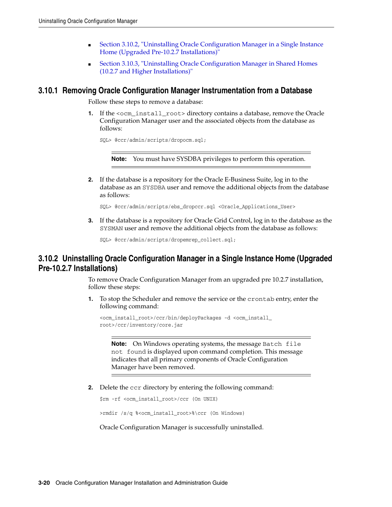- Section 3.10.2, "Uninstalling Oracle Configuration Manager in a Single Instance [Home \(Upgraded Pre-10.2.7 Installations\)"](#page-39-1)
- Section 3.10.3, "Uninstalling Oracle Configuration Manager in Shared Homes [\(10.2.7 and Higher Installations\)"](#page-40-0)

#### <span id="page-39-0"></span>**3.10.1 Removing Oracle Configuration Manager Instrumentation from a Database**

Follow these steps to remove a database:

**1.** If the <ocm\_install\_root> directory contains a database, remove the Oracle Configuration Manager user and the associated objects from the database as follows:

SQL> @ccr/admin/scripts/dropocm.sql;

**Note:** You must have SYSDBA privileges to perform this operation.

**2.** If the database is a repository for the Oracle E-Business Suite, log in to the database as an SYSDBA user and remove the additional objects from the database as follows:

SQL> @ccr/admin/scripts/ebs\_dropccr.sql <Oracle\_Applications\_User>

**3.** If the database is a repository for Oracle Grid Control, log in to the database as the SYSMAN user and remove the additional objects from the database as follows:

```
SQL> @ccr/admin/scripts/dropemrep_collect.sql;
```
### <span id="page-39-1"></span>**3.10.2 Uninstalling Oracle Configuration Manager in a Single Instance Home (Upgraded Pre-10.2.7 Installations)**

To remove Oracle Configuration Manager from an upgraded pre 10.2.7 installation, follow these steps:

**1.** To stop the Scheduler and remove the service or the crontab entry, enter the following command:

```
<ocm_install_root>/ccr/bin/deployPackages -d <ocm_install_
root>/ccr/inventory/core.jar
```
**Note:** On Windows operating systems, the message Batch file not found is displayed upon command completion. This message indicates that all primary components of Oracle Configuration Manager have been removed.

**2.** Delete the ccr directory by entering the following command:

```
$rm -rf <ocm_install_root>/ccr (On UNIX)
```
>rmdir /s/q %<ocm\_install\_root>%\ccr (On Windows)

Oracle Configuration Manager is successfully uninstalled.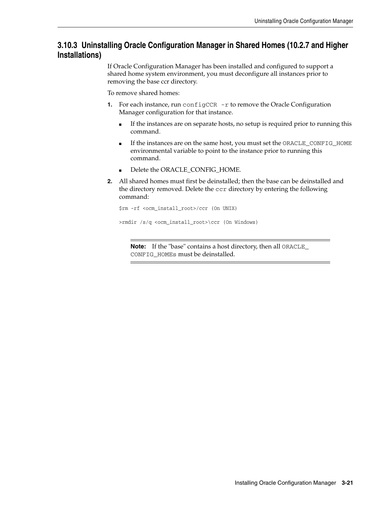### <span id="page-40-0"></span>**3.10.3 Uninstalling Oracle Configuration Manager in Shared Homes (10.2.7 and Higher Installations)**

If Oracle Configuration Manager has been installed and configured to support a shared home system environment, you must deconfigure all instances prior to removing the base ccr directory.

To remove shared homes:

- **1.** For each instance, run configCCR -r to remove the Oracle Configuration Manager configuration for that instance.
	- If the instances are on separate hosts, no setup is required prior to running this command.
	- If the instances are on the same host, you must set the ORACLE\_CONFIG\_HOME environmental variable to point to the instance prior to running this command.
	- Delete the ORACLE\_CONFIG\_HOME.
- **2.** All shared homes must first be deinstalled; then the base can be deinstalled and the directory removed. Delete the ccr directory by entering the following command:

\$rm -rf <ocm\_install\_root>/ccr (On UNIX)

>rmdir /s/q <ocm\_install\_root>\ccr (On Windows)

**Note:** If the "base" contains a host directory, then all ORACLE\_ CONFIG\_HOMEs must be deinstalled.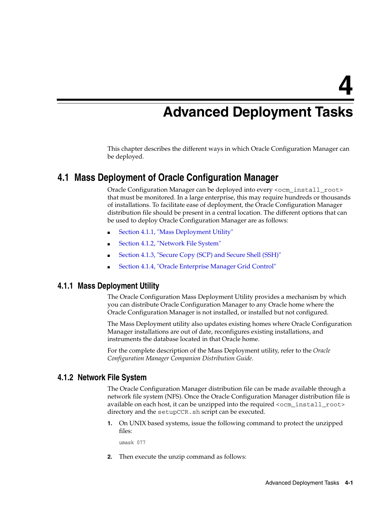# <sup>4</sup>**Advanced Deployment Tasks**

This chapter describes the different ways in which Oracle Configuration Manager can be deployed.

# **4.1 Mass Deployment of Oracle Configuration Manager**

Oracle Configuration Manager can be deployed into every <ocm\_install\_root> that must be monitored. In a large enterprise, this may require hundreds or thousands of installations. To facilitate ease of deployment, the Oracle Configuration Manager distribution file should be present in a central location. The different options that can be used to deploy Oracle Configuration Manager are as follows:

- [Section 4.1.1, "Mass Deployment Utility"](#page-42-1)
- [Section 4.1.2, "Network File System"](#page-42-0)
- [Section 4.1.3, "Secure Copy \(SCP\) and Secure Shell \(SSH\)"](#page-43-0)
- [Section 4.1.4, "Oracle Enterprise Manager Grid Control"](#page-43-1)

#### <span id="page-42-1"></span>**4.1.1 Mass Deployment Utility**

The Oracle Configuration Mass Deployment Utility provides a mechanism by which you can distribute Oracle Configuration Manager to any Oracle home where the Oracle Configuration Manager is not installed, or installed but not configured.

The Mass Deployment utility also updates existing homes where Oracle Configuration Manager installations are out of date, reconfigures existing installations, and instruments the database located in that Oracle home.

For the complete description of the Mass Deployment utility, refer to the *Oracle Configuration Manager Companion Distribution Guide*.

#### <span id="page-42-0"></span>**4.1.2 Network File System**

The Oracle Configuration Manager distribution file can be made available through a network file system (NFS). Once the Oracle Configuration Manager distribution file is available on each host, it can be unzipped into the required <ocm\_install\_root> directory and the setupCCR.sh script can be executed.

**1.** On UNIX based systems, issue the following command to protect the unzipped files:

umask 077

**2.** Then execute the unzip command as follows: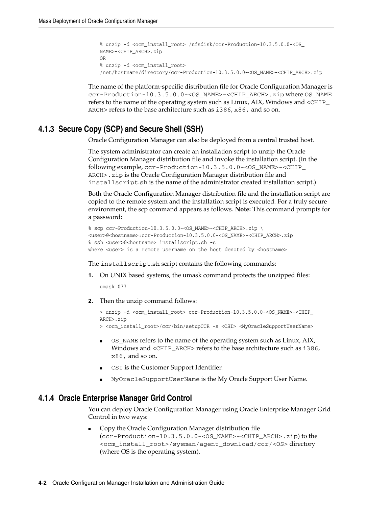```
% unzip -d <ocm_install_root> /nfsdisk/ccr-Production-10.3.5.0.0-<0S_
NAME>-<CHIP_ARCH>.zip
OR
% unzip -d <ocm_install_root> 
/net/hostname/directory/ccr-Production-10.3.5.0.0-<OS_NAME>-<CHIP_ARCH>.zip
```
The name of the platform-specific distribution file for Oracle Configuration Manager is ccr-Production-10.3.5.0.0-<OS\_NAME>-<CHIP\_ARCH>.zip where OS\_NAME refers to the name of the operating system such as Linux, AIX, Windows and <CHIP\_ ARCH> refers to the base architecture such as i386, x86, and so on.

### <span id="page-43-0"></span>**4.1.3 Secure Copy (SCP) and Secure Shell (SSH)**

Oracle Configuration Manager can also be deployed from a central trusted host.

The system administrator can create an installation script to unzip the Oracle Configuration Manager distribution file and invoke the installation script. (In the following example, ccr-Production-10.3.5.0.0-<OS\_NAME>-<CHIP\_ ARCH>.zip is the Oracle Configuration Manager distribution file and installscript.sh is the name of the administrator created installation script.)

Both the Oracle Configuration Manager distribution file and the installation script are copied to the remote system and the installation script is executed. For a truly secure environment, the scp command appears as follows. **Note:** This command prompts for a password:

```
% scp ccr-Production-10.3.5.0.0-<OS_NAME>-<CHIP_ARCH>.zip \ 
<user>@<hostname>:ccr-Production-10.3.5.0.0-<OS_NAME>-<CHIP_ARCH>.zip
% ssh <user>@<hostname> installscript.sh -s
where <user> is a remote username on the host denoted by <hostname>
```
The installscript.sh script contains the following commands:

**1.** On UNIX based systems, the umask command protects the unzipped files:

umask 077

**2.** Then the unzip command follows:

```
> unzip -d <ocm_install_root> ccr-Production-10.3.5.0.0-<OS_NAME>-<CHIP_
ARCH>.zip
```
- > <ocm\_install\_root>/ccr/bin/setupCCR -s <CSI> <MyOracleSupportUserName>
- OS\_NAME refers to the name of the operating system such as Linux, AIX, Windows and <CHIP\_ARCH> refers to the base architecture such as i386, x86, and so on.
- CSI is the Customer Support Identifier.
- MyOracleSupportUserName is the My Oracle Support User Name.

#### <span id="page-43-1"></span>**4.1.4 Oracle Enterprise Manager Grid Control**

You can deploy Oracle Configuration Manager using Oracle Enterprise Manager Grid Control in two ways:

Copy the Oracle Configuration Manager distribution file (ccr-Production-10.3.5.0.0-<OS\_NAME>-<CHIP\_ARCH>.zip) to the <ocm\_install\_root>/sysman/agent\_download/ccr/<OS> directory (where OS is the operating system).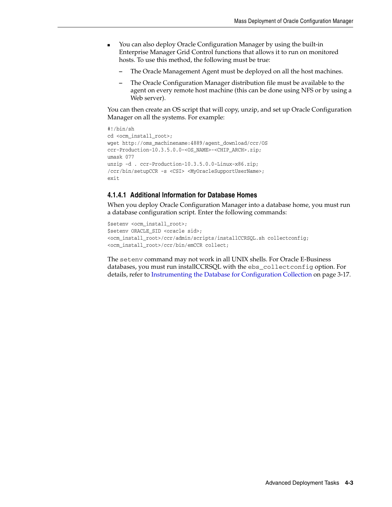- You can also deploy Oracle Configuration Manager by using the built-in Enterprise Manager Grid Control functions that allows it to run on monitored hosts. To use this method, the following must be true:
	- **–** The Oracle Management Agent must be deployed on all the host machines.
	- **–** The Oracle Configuration Manager distribution file must be available to the agent on every remote host machine (this can be done using NFS or by using a Web server).

You can then create an OS script that will copy, unzip, and set up Oracle Configuration Manager on all the systems. For example:

```
#!/bin/sh
cd <ocm_install_root>;
wget http://oms_machinename:4889/agent_download/ccr/OS
ccr-Production-10.3.5.0.0-<OS_NAME>-<CHIP_ARCH>.zip;
umask 077
unzip -d . ccr-Production-10.3.5.0.0-Linux-x86.zip;
/ccr/bin/setupCCR -s <CSI> <MyOracleSupportUserName>;
exit
```
#### **4.1.4.1 Additional Information for Database Homes**

When you deploy Oracle Configuration Manager into a database home, you must run a database configuration script. Enter the following commands:

```
$setenv <ocm_install_root>; 
$setenv ORACLE_SID <oracle sid>;
<ocm_install_root>/ccr/admin/scripts/installCCRSQL.sh collectconfig;
<ocm_install_root>/ccr/bin/emCCR collect;
```
The setenv command may not work in all UNIX shells. For Oracle E-Business databases, you must run installCCRSQL with the ebs\_collectconfig option. For details, refer to [Instrumenting the Database for Configuration Collection on page 3-17.](#page-36-0)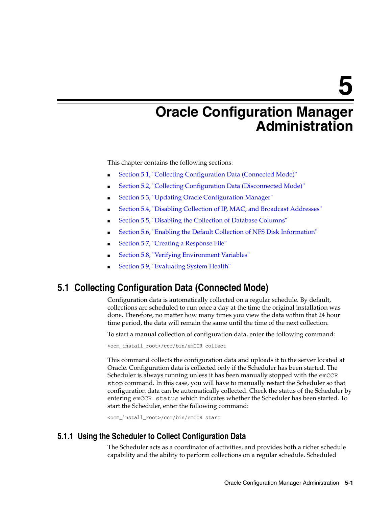# <sup>5</sup>**Oracle Configuration Manager Administration**

This chapter contains the following sections:

- [Section 5.1, "Collecting Configuration Data \(Connected Mode\)"](#page-46-0)
- [Section 5.2, "Collecting Configuration Data \(Disconnected Mode\)"](#page-47-1)
- [Section 5.3, "Updating Oracle Configuration Manager"](#page-47-0)
- [Section 5.4, "Disabling Collection of IP, MAC, and Broadcast Addresses"](#page-48-0)
- [Section 5.5, "Disabling the Collection of Database Columns"](#page-48-2)
- [Section 5.6, "Enabling the Default Collection of NFS Disk Information"](#page-48-1)
- [Section 5.7, "Creating a Response File"](#page-49-0)
- [Section 5.8, "Verifying Environment Variables"](#page-51-1)
- [Section 5.9, "Evaluating System Health"](#page-51-0)

# <span id="page-46-0"></span>**5.1 Collecting Configuration Data (Connected Mode)**

Configuration data is automatically collected on a regular schedule. By default, collections are scheduled to run once a day at the time the original installation was done. Therefore, no matter how many times you view the data within that 24 hour time period, the data will remain the same until the time of the next collection.

To start a manual collection of configuration data, enter the following command:

<ocm\_install\_root>/ccr/bin/emCCR collect

This command collects the configuration data and uploads it to the server located at Oracle. Configuration data is collected only if the Scheduler has been started. The Scheduler is always running unless it has been manually stopped with the emCCR stop command. In this case, you will have to manually restart the Scheduler so that configuration data can be automatically collected. Check the status of the Scheduler by entering emCCR status which indicates whether the Scheduler has been started. To start the Scheduler, enter the following command:

<ocm\_install\_root>/ccr/bin/emCCR start

# **5.1.1 Using the Scheduler to Collect Configuration Data**

The Scheduler acts as a coordinator of activities, and provides both a richer schedule capability and the ability to perform collections on a regular schedule. Scheduled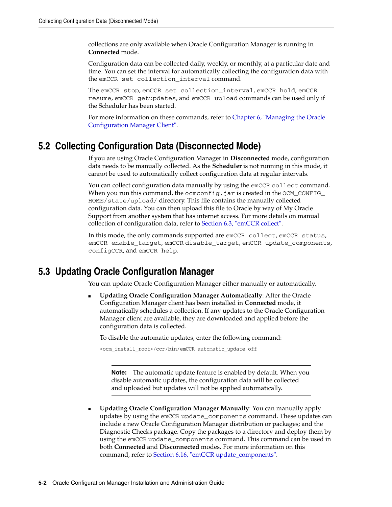collections are only available when Oracle Configuration Manager is running in **Connected** mode.

Configuration data can be collected daily, weekly, or monthly, at a particular date and time. You can set the interval for automatically collecting the configuration data with the emCCR set collection\_interval command.

The emCCR stop, emCCR set collection\_interval, emCCR hold, emCCR resume, emCCR getupdates, and emCCR upload commands can be used only if the Scheduler has been started.

For more information on these commands, refer to [Chapter 6, "Managing the Oracle](#page-54-0)  [Configuration Manager Client".](#page-54-0)

# <span id="page-47-1"></span>**5.2 Collecting Configuration Data (Disconnected Mode)**

If you are using Oracle Configuration Manager in **Disconnected** mode, configuration data needs to be manually collected. As the **Scheduler** is not running in this mode, it cannot be used to automatically collect configuration data at regular intervals.

You can collect configuration data manually by using the emCCR collect command. When you run this command, the ocmconfig.jar is created in the OCM\_CONFIG\_ HOME/state/upload/ directory. This file contains the manually collected configuration data. You can then upload this file to Oracle by way of My Oracle Support from another system that has internet access. For more details on manual collection of configuration data, refer to [Section 6.3, "emCCR collect".](#page-56-0)

In this mode, the only commands supported are emCCR collect, emCCR status, emCCR enable\_target, emCCR disable\_target, emCCR update\_components, configCCR, and emCCR help.

# <span id="page-47-0"></span>**5.3 Updating Oracle Configuration Manager**

You can update Oracle Configuration Manager either manually or automatically.

**Updating Oracle Configuration Manager Automatically: After the Oracle** Configuration Manager client has been installed in **Connected** mode, it automatically schedules a collection. If any updates to the Oracle Configuration Manager client are available, they are downloaded and applied before the configuration data is collected.

To disable the automatic updates, enter the following command:

<ocm\_install\_root>/ccr/bin/emCCR automatic\_update off

**Note:** The automatic update feature is enabled by default. When you disable automatic updates, the configuration data will be collected and uploaded but updates will not be applied automatically.

**Updating Oracle Configuration Manager Manually:** You can manually apply updates by using the emCCR update\_components command. These updates can include a new Oracle Configuration Manager distribution or packages; and the Diagnostic Checks package. Copy the packages to a directory and deploy them by using the emCCR update components command. This command can be used in both **Connected** and **Disconnected** modes. For more information on this command, refer to [Section 6.16, "emCCR update\\_components"](#page-67-0).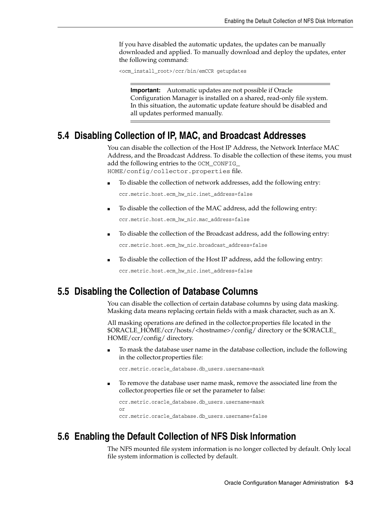If you have disabled the automatic updates, the updates can be manually downloaded and applied. To manually download and deploy the updates, enter the following command:

<ocm\_install\_root>/ccr/bin/emCCR getupdates

**Important:** Automatic updates are not possible if Oracle Configuration Manager is installed on a shared, read-only file system. In this situation, the automatic update feature should be disabled and all updates performed manually.

# <span id="page-48-0"></span>**5.4 Disabling Collection of IP, MAC, and Broadcast Addresses**

You can disable the collection of the Host IP Address, the Network Interface MAC Address, and the Broadcast Address. To disable the collection of these items, you must add the following entries to the OCM\_CONFIG\_ HOME/config/collector.properties file.

To disable the collection of network addresses, add the following entry:

ccr.metric.host.ecm\_hw\_nic.inet\_address=false

To disable the collection of the MAC address, add the following entry:

ccr.metric.host.ecm\_hw\_nic.mac\_address=false

- To disable the collection of the Broadcast address, add the following entry: ccr.metric.host.ecm\_hw\_nic.broadcast\_address=false
- To disable the collection of the Host IP address, add the following entry:

ccr.metric.host.ecm\_hw\_nic.inet\_address=false

# <span id="page-48-2"></span>**5.5 Disabling the Collection of Database Columns**

You can disable the collection of certain database columns by using data masking. Masking data means replacing certain fields with a mask character, such as an X.

All masking operations are defined in the collector.properties file located in the \$ORACLE\_HOME/ccr/hosts/<hostname>/config/ directory or the \$ORACLE\_ HOME/ccr/config/ directory.

To mask the database user name in the database collection, include the following in the collector.properties file:

ccr.metric.oracle\_database.db\_users.username=mask

To remove the database user name mask, remove the associated line from the collector.properties file or set the parameter to false:

ccr.metric.oracle\_database.db\_users.username=mask or ccr.metric.oracle\_database.db\_users.username=false

# <span id="page-48-1"></span>**5.6 Enabling the Default Collection of NFS Disk Information**

The NFS mounted file system information is no longer collected by default. Only local file system information is collected by default.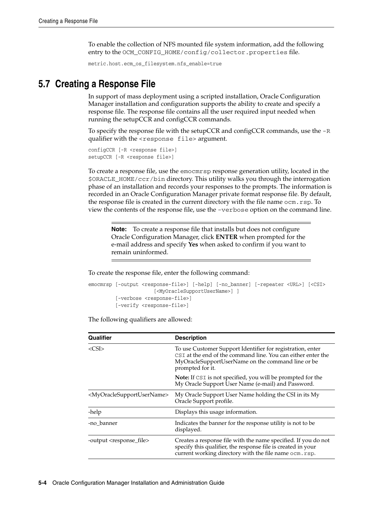To enable the collection of NFS mounted file system information, add the following entry to the OCM\_CONFIG\_HOME/config/collector.properties file.

metric.host.ecm\_os\_filesystem.nfs\_enable=true

# <span id="page-49-0"></span>**5.7 Creating a Response File**

In support of mass deployment using a scripted installation, Oracle Configuration Manager installation and configuration supports the ability to create and specify a response file. The response file contains all the user required input needed when running the setupCCR and configCCR commands.

To specify the response file with the setupCCR and configCCR commands, use the -R qualifier with the <response file> argument.

```
configCCR [-R <response file>]
setupCCR [-R <response file>]
```
To create a response file, use the emocmrsp response generation utility, located in the \$ORACLE\_HOME/ccr/bin directory. This utility walks you through the interrogation phase of an installation and records your responses to the prompts. The information is recorded in an Oracle Configuration Manager private format response file. By default, the response file is created in the current directory with the file name ocm.rsp. To view the contents of the response file, use the -verbose option on the command line.

**Note:** To create a response file that installs but does not configure Oracle Configuration Manager, click **ENTER** when prompted for the e-mail address and specify **Yes** when asked to confirm if you want to remain uninformed.

To create the response file, enter the following command:

```
emocmrsp [-output <response-file>] [-help] [-no_banner] [-repeater <URL>] [<CSI>
                       [<MyOracleSupportUserName>] ] 
          [-verbose <response-file>] 
          [-verify <response-file>]
```
The following qualifiers are allowed:

| Qualifier                                           | <b>Description</b>                                                                                                                                                                                  |  |
|-----------------------------------------------------|-----------------------------------------------------------------------------------------------------------------------------------------------------------------------------------------------------|--|
| $\langle$ CSI $>$                                   | To use Customer Support Identifier for registration, enter<br>CSI at the end of the command line. You can either enter the<br>MyOracleSupportUserName on the command line or be<br>prompted for it. |  |
|                                                     | <b>Note:</b> If CSI is not specified, you will be prompted for the<br>My Oracle Support User Name (e-mail) and Password.                                                                            |  |
| <myoraclesupportusername></myoraclesupportusername> | My Oracle Support User Name holding the CSI in its My<br>Oracle Support profile.                                                                                                                    |  |
| -help                                               | Displays this usage information.                                                                                                                                                                    |  |
| -no banner                                          | Indicates the banner for the response utility is not to be<br>displayed.                                                                                                                            |  |
| -output <response_file></response_file>             | Creates a response file with the name specified. If you do not<br>specify this qualifier, the response file is created in your<br>current working directory with the file name ocm. rsp.            |  |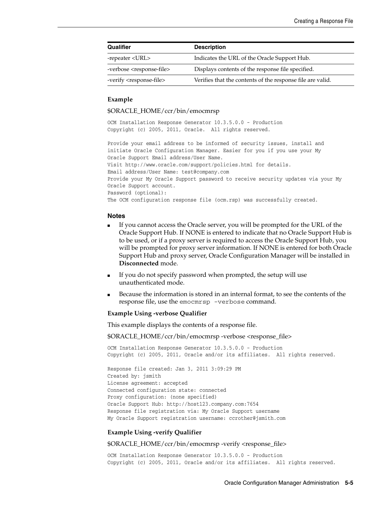| <b>Qualifier</b>                         | <b>Description</b>                                         |  |
|------------------------------------------|------------------------------------------------------------|--|
| -repeater <url></url>                    | Indicates the URL of the Oracle Support Hub.               |  |
| -verbose <response-file></response-file> | Displays contents of the response file specified.          |  |
| -verify <response-file></response-file>  | Verifies that the contents of the response file are valid. |  |

#### **Example**

#### \$ORACLE\_HOME/ccr/bin/emocmrsp

OCM Installation Response Generator 10.3.5.0.0 - Production Copyright (c) 2005, 2011, Oracle. All rights reserved.

Provide your email address to be informed of security issues, install and initiate Oracle Configuration Manager. Easier for you if you use your My Oracle Support Email address/User Name. Visit http://www.oracle.com/support/policies.html for details. Email address/User Name: test@company.com Provide your My Oracle Support password to receive security updates via your My Oracle Support account. Password (optional): The OCM configuration response file (ocm.rsp) was successfully created.

#### **Notes**

- If you cannot access the Oracle server, you will be prompted for the URL of the Oracle Support Hub. If NONE is entered to indicate that no Oracle Support Hub is to be used, or if a proxy server is required to access the Oracle Support Hub, you will be prompted for proxy server information. If NONE is entered for both Oracle Support Hub and proxy server, Oracle Configuration Manager will be installed in **Disconnected** mode.
- If you do not specify password when prompted, the setup will use unauthenticated mode.
- Because the information is stored in an internal format, to see the contents of the response file, use the emocmrsp -verbose command.

#### **Example Using -verbose Qualifier**

This example displays the contents of a response file.

#### \$ORACLE\_HOME/ccr/bin/emocmrsp -verbose <response\_file>

OCM Installation Response Generator 10.3.5.0.0 - Production Copyright (c) 2005, 2011, Oracle and/or its affiliates. All rights reserved.

Response file created: Jan 3, 2011 3:09:29 PM Created by: jsmith License agreement: accepted Connected configuration state: connected Proxy configuration: (none specified) Oracle Support Hub: http://host123.company.com:7654 Response file registration via: My Oracle Support username My Oracle Support registration username: ccrother@jsmith.com

#### **Example Using -verify Qualifier**

#### \$ORACLE\_HOME/ccr/bin/emocmrsp -verify <response\_file>

OCM Installation Response Generator 10.3.5.0.0 - Production Copyright (c) 2005, 2011, Oracle and/or its affiliates. All rights reserved.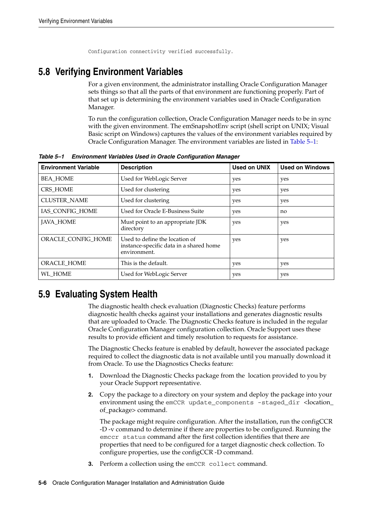Configuration connectivity verified successfully.

# <span id="page-51-1"></span>**5.8 Verifying Environment Variables**

For a given environment, the administrator installing Oracle Configuration Manager sets things so that all the parts of that environment are functioning properly. Part of that set up is determining the environment variables used in Oracle Configuration Manager.

To run the configuration collection, Oracle Configuration Manager needs to be in sync with the given environment. The emSnapshotEnv script (shell script on UNIX; Visual Basic script on Windows) captures the values of the environment variables required by Oracle Configuration Manager. The environment variables are listed in [Table 5–1](#page-51-2):

| <b>Environment Variable</b> | <b>Description</b>                                                                        | <b>Used on UNIX</b> | <b>Used on Windows</b> |
|-----------------------------|-------------------------------------------------------------------------------------------|---------------------|------------------------|
| <b>BEA HOME</b>             | Used for WebLogic Server                                                                  | yes                 | yes                    |
| CRS_HOME                    | Used for clustering                                                                       | yes                 | yes                    |
| <b>CLUSTER_NAME</b>         | Used for clustering                                                                       | yes                 | yes                    |
| IAS CONFIG HOME             | Used for Oracle E-Business Suite                                                          | yes                 | no                     |
| <b>JAVA_HOME</b>            | Must point to an appropriate JDK<br>directory                                             | yes                 | yes                    |
| ORACLE CONFIG HOME          | Used to define the location of<br>instance-specific data in a shared home<br>environment. | yes                 | yes                    |
| ORACLE_HOME                 | This is the default.                                                                      | yes                 | yes                    |
| <b>WL_HOME</b>              | Used for WebLogic Server                                                                  | yes                 | yes                    |

<span id="page-51-2"></span>*Table 5–1 Environment Variables Used in Oracle Configuration Manager*

# <span id="page-51-0"></span>**5.9 Evaluating System Health**

The diagnostic health check evaluation (Diagnostic Checks) feature performs diagnostic health checks against your installations and generates diagnostic results that are uploaded to Oracle. The Diagnostic Checks feature is included in the regular Oracle Configuration Manager configuration collection. Oracle Support uses these results to provide efficient and timely resolution to requests for assistance.

The Diagnostic Checks feature is enabled by default, however the associated package required to collect the diagnostic data is not available until you manually download it from Oracle. To use the Diagnostics Checks feature:

- **1.** Download the Diagnostic Checks package from the location provided to you by your Oracle Support representative.
- **2.** Copy the package to a directory on your system and deploy the package into your environment using the emCCR update\_components -staged\_dir <location\_ of\_package> command.

The package might require configuration. After the installation, run the configCCR -D -v command to determine if there are properties to be configured. Running the emccr status command after the first collection identifies that there are properties that need to be configured for a target diagnostic check collection. To configure properties, use the configCCR -D command.

**3.** Perform a collection using the emCCR collect command.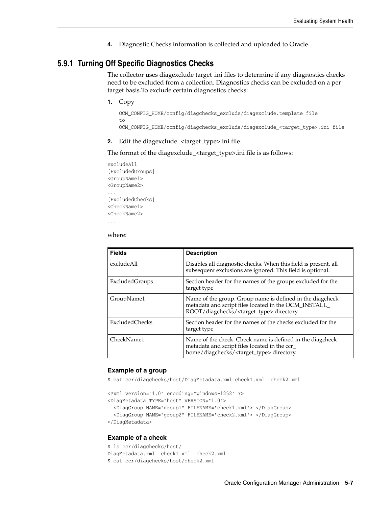**4.** Diagnostic Checks information is collected and uploaded to Oracle.

#### **5.9.1 Turning Off Specific Diagnostics Checks**

The collector uses diagexclude target .ini files to determine if any diagnostics checks need to be excluded from a collection. Diagnostics checks can be excluded on a per target basis.To exclude certain diagnostics checks:

**1.** Copy

```
OCM_CONFIG_HOME/config/diagchecks_exclude/diagexclude.template file
to
OCM_CONFIG_HOME/config/diagchecks_exclude/diagexclude_<target_type>.ini file
```
**2.** Edit the diagexclude\_<target\_type>.ini file.

The format of the diagexclude\_<target\_type>.ini file is as follows:

```
excludeAll 
[ExcludedGroups]
<GroupName1>
<GroupName2>
...
[ExcludedChecks]
<CheckName1>
<CheckName2>
...
```
where:

| <b>Fields</b>         | <b>Description</b>                                                                                                                                                            |
|-----------------------|-------------------------------------------------------------------------------------------------------------------------------------------------------------------------------|
| excludeAll            | Disables all diagnostic checks. When this field is present, all<br>subsequent exclusions are ignored. This field is optional.                                                 |
| ExcludedGroups        | Section header for the names of the groups excluded for the<br>target type                                                                                                    |
| GroupName1            | Name of the group. Group name is defined in the diagcheck<br>metadata and script files located in the OCM_INSTALL_<br>ROOT/diagchecks/ <target_type> directory.</target_type> |
| <b>ExcludedChecks</b> | Section header for the names of the checks excluded for the<br>target type                                                                                                    |
| CheckName1            | Name of the check. Check name is defined in the diagcheck<br>metadata and script files located in the ccr_<br>home/diagchecks/ <target_type> directory.</target_type>         |

#### **Example of a group**

\$ cat ccr/diagchecks/host/DiagMetadata.xml check1.xml check2.xml

```
<?xml version="1.0" encoding="windows-1252" ?>
<DiagMetadata TYPE="host" VERSION="1.0">
  <DiagGroup NAME="group1" FILENAME="check1.xml"> </DiagGroup>
   <DiagGroup NAME="group2" FILENAME="check2.xml"> </DiagGroup>
</DiagMetadata>
```
#### **Example of a check**

\$ ls ccr/diagchecks/host/ DiagMetadata.xml check1.xml check2.xml \$ cat ccr/diagchecks/host/check2.xml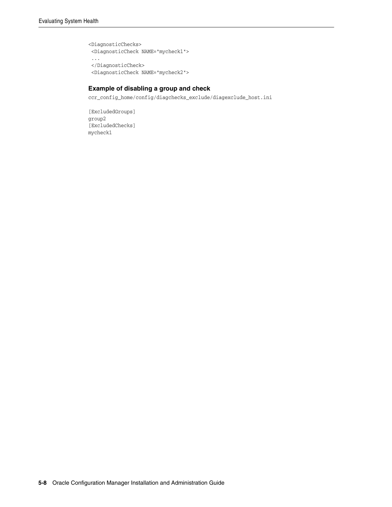<DiagnosticChecks> <DiagnosticCheck NAME="mycheck1"> ... </DiagnosticCheck> <DiagnosticCheck NAME="mycheck2">

#### **Example of disabling a group and check**

ccr\_config\_home/config/diagchecks\_exclude/diagexclude\_host.ini

[ExcludedGroups] group2 [ExcludedChecks] mycheck1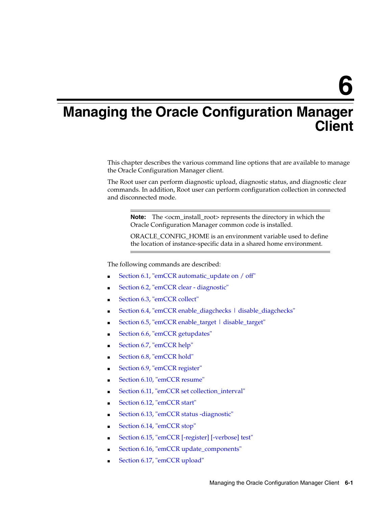# <span id="page-54-0"></span><sup>6</sup>**Managing the Oracle Configuration Manager Client**

This chapter describes the various command line options that are available to manage the Oracle Configuration Manager client.

The Root user can perform diagnostic upload, diagnostic status, and diagnostic clear commands. In addition, Root user can perform configuration collection in connected and disconnected mode.

**Note:** The <ocm\_install\_root> represents the directory in which the Oracle Configuration Manager common code is installed.

ORACLE\_CONFIG\_HOME is an environment variable used to define the location of instance-specific data in a shared home environment.

The following commands are described:

- [Section 6.1, "emCCR automatic\\_update on / off"](#page-55-0)
- [Section 6.2, "emCCR clear diagnostic"](#page-55-1)
- [Section 6.3, "emCCR collect"](#page-56-1)
- [Section 6.4, "emCCR enable\\_diagchecks | disable\\_diagchecks"](#page-57-0)
- [Section 6.5, "emCCR enable\\_target | disable\\_target"](#page-58-0)
- [Section 6.6, "emCCR getupdates"](#page-59-0)
- [Section 6.7, "emCCR help"](#page-59-1)
- [Section 6.8, "emCCR hold"](#page-60-0)
- [Section 6.9, "emCCR register"](#page-61-0)
- [Section 6.10, "emCCR resume"](#page-62-0)
- [Section 6.11, "emCCR set collection\\_interval"](#page-62-1)
- [Section 6.12, "emCCR start"](#page-63-0)
- [Section 6.13, "emCCR status -diagnostic"](#page-64-0)
- [Section 6.14, "emCCR stop"](#page-65-0)
- [Section 6.15, "emCCR \[-register\] \[-verbose\] test"](#page-66-0)
- [Section 6.16, "emCCR update\\_components"](#page-67-1)
- [Section 6.17, "emCCR upload"](#page-69-0)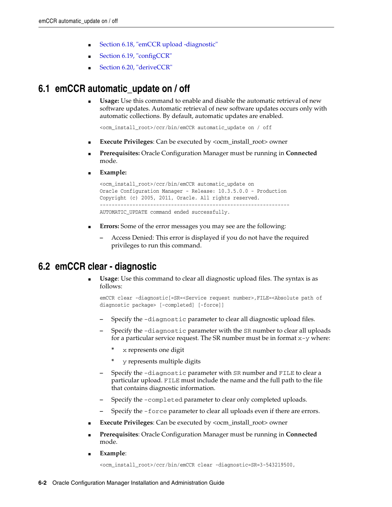- [Section 6.18, "emCCR upload -diagnostic"](#page-70-0)
- [Section 6.19, "configCCR"](#page-72-0)
- [Section 6.20, "deriveCCR"](#page-78-0)

# <span id="page-55-0"></span>**6.1 emCCR automatic\_update on / off**

**Usage:** Use this command to enable and disable the automatic retrieval of new software updates. Automatic retrieval of new software updates occurs only with automatic collections. By default, automatic updates are enabled.

<ocm\_install\_root>/ccr/bin/emCCR automatic\_update on / off

- **Execute Privileges:** Can be executed by <ocm\_install\_root> owner
- **Prerequisites:** Oracle Configuration Manager must be running in **Connected** mode.
- **Example:**

```
<ocm_install_root>/ccr/bin/emCCR automatic_update on 
Oracle Configuration Manager - Release: 10.3.5.0.0 - Production 
Copyright (c) 2005, 2011, Oracle. All rights reserved. 
---------------------------------------------------------------- 
AUTOMATIC_UPDATE command ended successfully.
```
- **Errors:** Some of the error messages you may see are the following:
	- **–** Access Denied: This error is displayed if you do not have the required privileges to run this command.

# <span id="page-55-1"></span>**6.2 emCCR clear - diagnostic**

**Usage:** Use this command to clear all diagnostic upload files. The syntax is as follows:

```
emCCR clear -diagnostic[=SR=<Service request number>,FILE=<Absolute path of 
diagnostic package> [-completed] [-force]]
```
- **–** Specify the -diagnostic parameter to clear all diagnostic upload files.
- **–** Specify the -diagnostic parameter with the SR number to clear all uploads for a particular service request. The SR number must be in format  $x-y$  where:
	- **\*** x represents one digit
	- **\*** y represents multiple digits
- **–** Specify the -diagnostic parameter with SR number and FILE to clear a particular upload. FILE must include the name and the full path to the file that contains diagnostic information.
- **–** Specify the -completed parameter to clear only completed uploads.
- **–** Specify the -force parameter to clear all uploads even if there are errors.
- **Execute Privileges:** Can be executed by <ocm\_install\_root> owner
- **Prerequisites**: Oracle Configuration Manager must be running in **Connected** mode.
- **Example**:

<ocm\_install\_root>/ccr/bin/emCCR clear -diagnostic=SR=3-543219500,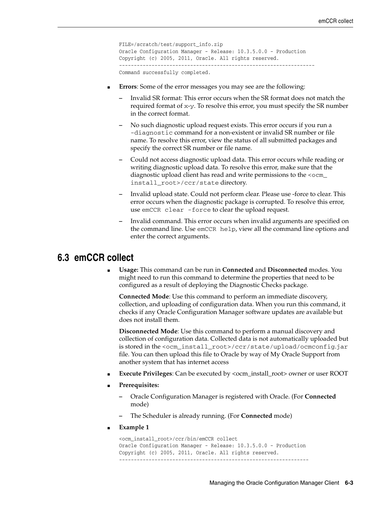FILE=/scratch/test/support\_info.zip Oracle Configuration Manager - Release: 10.3.5.0.0 - Production Copyright (c) 2005, 2011, Oracle. All rights reserved. ------------------------------------------------------------------ Command successfully completed.

- **Errors**: Some of the error messages you may see are the following:
	- **–** Invalid SR format: This error occurs when the SR format does not match the required format of x-y. To resolve this error, you must specify the SR number in the correct format.
	- **–** No such diagnostic upload request exists. This error occurs if you run a -diagnostic command for a non-existent or invalid SR number or file name. To resolve this error, view the status of all submitted packages and specify the correct SR number or file name.
	- **–** Could not access diagnostic upload data. This error occurs while reading or writing diagnostic upload data. To resolve this error, make sure that the diagnostic upload client has read and write permissions to the  $\le$ ocm\_ install\_root>/ccr/state directory.
	- **–** Invalid upload state. Could not perform clear. Please use -force to clear. This error occurs when the diagnostic package is corrupted. To resolve this error, use emCCR clear -force to clear the upload request.
	- **–** Invalid command. This error occurs when invalid arguments are specified on the command line. Use emCCR help, view all the command line options and enter the correct arguments.

# <span id="page-56-1"></span><span id="page-56-0"></span>**6.3 emCCR collect**

■ **Usage:** This command can be run in **Connected** and **Disconnected** modes. You might need to run this command to determine the properties that need to be configured as a result of deploying the Diagnostic Checks package.

**Connected Mode**: Use this command to perform an immediate discovery, collection, and uploading of configuration data. When you run this command, it checks if any Oracle Configuration Manager software updates are available but does not install them.

**Disconnected Mode**: Use this command to perform a manual discovery and collection of configuration data. Collected data is not automatically uploaded but is stored in the <ocm\_install\_root>/ccr/state/upload/ocmconfig.jar file. You can then upload this file to Oracle by way of My Oracle Support from another system that has internet access

- **Execute Privileges:** Can be executed by <ocm\_install\_root> owner or user ROOT
- **Prerequisites:**
	- **–** Oracle Configuration Manager is registered with Oracle. (For **Connected** mode)
	- **–** The Scheduler is already running. (For **Connected** mode)
- **Example 1**

```
<ocm_install_root>/ccr/bin/emCCR collect
Oracle Configuration Manager - Release: 10.3.5.0.0 - Production
Copyright (c) 2005, 2011, Oracle. All rights reserved.
  ----------------------------------------------------------------
```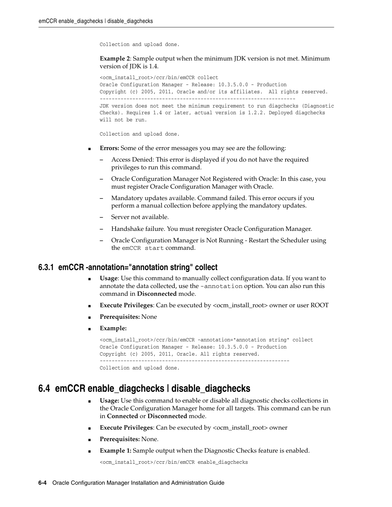Collection and upload done.

**Example 2**: Sample output when the minimum JDK version is not met. Minimum version of JDK is 1.4.

```
<ocm_install_root>/ccr/bin/emCCR collect
Oracle Configuration Manager - Release: 10.3.5.0.0 - Production
Copyright (c) 2005, 2011, Oracle and/or its affiliates. All rights reserved.
------------------------------------------------------------------
JDK version does not meet the minimum requirement to run diagchecks (Diagnostic
Checks). Requires 1.4 or later, actual version is 1.2.2. Deployed diagchecks
will not be run.
```
Collection and upload done.

- **Errors:** Some of the error messages you may see are the following:
	- **–** Access Denied: This error is displayed if you do not have the required privileges to run this command.
	- **–** Oracle Configuration Manager Not Registered with Oracle: In this case, you must register Oracle Configuration Manager with Oracle.
	- **–** Mandatory updates available. Command failed. This error occurs if you perform a manual collection before applying the mandatory updates.
	- **–** Server not available.
	- **–** Handshake failure. You must reregister Oracle Configuration Manager.
	- **–** Oracle Configuration Manager is Not Running Restart the Scheduler using the emCCR start command.

#### **6.3.1 emCCR -annotation="annotation string" collect**

- **Usage:** Use this command to manually collect configuration data. If you want to annotate the data collected, use the -annotation option. You can also run this command in **Disconnected** mode.
- **Execute Privileges:** Can be executed by  $\le$  cocm\_install\_root > owner or user ROOT
- **Prerequisites:** None
- **Example:**

```
<ocm_install_root>/ccr/bin/emCCR -annotation="annotation string" collect
Oracle Configuration Manager - Release: 10.3.5.0.0 - Production
Copyright (c) 2005, 2011, Oracle. All rights reserved.
----------------------------------------------------------------
Collection and upload done.
```
### <span id="page-57-0"></span>**6.4 emCCR enable\_diagchecks | disable\_diagchecks**

- **Usage:** Use this command to enable or disable all diagnostic checks collections in the Oracle Configuration Manager home for all targets. This command can be run in **Connected** or **Disconnected** mode.
- **Execute Privileges**: Can be executed by <ocm\_install\_root> owner
- Prerequisites: None.
- **Example 1:** Sample output when the Diagnostic Checks feature is enabled.

<ocm\_install\_root>/ccr/bin/emCCR enable\_diagchecks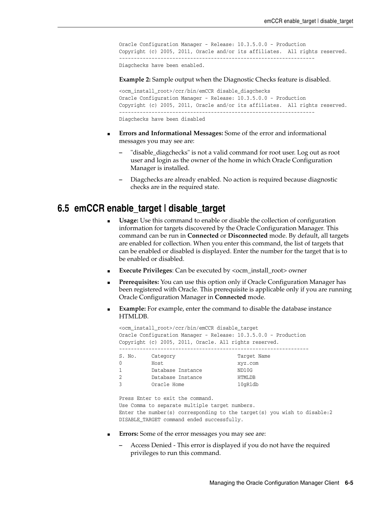Oracle Configuration Manager - Release: 10.3.5.0.0 - Production Copyright (c) 2005, 2011, Oracle and/or its affiliates. All rights reserved. ------------------------------------------------------------------ Diagchecks have been enabled.

**Example 2:** Sample output when the Diagnostic Checks feature is disabled.

<ocm\_install\_root>/ccr/bin/emCCR disable\_diagchecks Oracle Configuration Manager - Release: 10.3.5.0.0 - Production Copyright (c) 2005, 2011, Oracle and/or its affiliates. All rights reserved. ------------------------------------------------------------------ Diagchecks have been disabled

- Errors and Informational Messages: Some of the error and informational messages you may see are:
	- **–** "disable\_diagchecks" is not a valid command for root user. Log out as root user and login as the owner of the home in which Oracle Configuration Manager is installed.
	- **–** Diagchecks are already enabled. No action is required because diagnostic checks are in the required state.

# <span id="page-58-0"></span>**6.5 emCCR enable\_target | disable\_target**

- **Usage:** Use this command to enable or disable the collection of configuration information for targets discovered by the Oracle Configuration Manager. This command can be run in **Connected** or **Disconnected** mode. By default, all targets are enabled for collection. When you enter this command, the list of targets that can be enabled or disabled is displayed. Enter the number for the target that is to be enabled or disabled.
- **Execute Privileges:** Can be executed by <ocm\_install\_root> owner
- **Prerequisites:** You can use this option only if Oracle Configuration Manager has been registered with Oracle. This prerequisite is applicable only if you are running Oracle Configuration Manager in **Connected** mode.
- **Example:** For example, enter the command to disable the database instance HTMLDB.

<ocm\_install\_root>/ccr/bin/emCCR disable\_target Oracle Configuration Manager - Release: 10.3.5.0.0 - Production Copyright (c) 2005, 2011, Oracle. All rights reserved.

| S. No. | Category          | Target Name |
|--------|-------------------|-------------|
|        | Host.             | XVZ.COM     |
|        | Database Instance | ND10G       |
|        | Database Instance | HTMI DR     |
|        | Oracle Home       | 10qR1db     |

Press Enter to exit the command. Use Comma to separate multiple target numbers. Enter the number(s) corresponding to the target(s) you wish to disable:  $2$ DISABLE\_TARGET command ended successfully.

- **Errors:** Some of the error messages you may see are:
	- **–** Access Denied This error is displayed if you do not have the required privileges to run this command.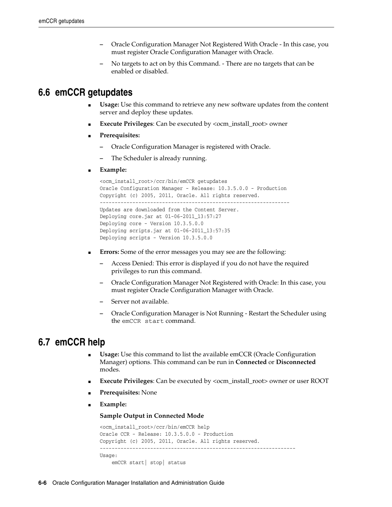- **–** Oracle Configuration Manager Not Registered With Oracle In this case, you must register Oracle Configuration Manager with Oracle.
- **–** No targets to act on by this Command. There are no targets that can be enabled or disabled.

# <span id="page-59-0"></span>**6.6 emCCR getupdates**

- **Usage:** Use this command to retrieve any new software updates from the content server and deploy these updates.
- **Execute Privileges:** Can be executed by <ocm\_install\_root> owner
- **Prerequisites:**
	- **–** Oracle Configuration Manager is registered with Oracle.
	- **–** The Scheduler is already running.
- **Example:**

```
<ocm_install_root>/ccr/bin/emCCR getupdates
Oracle Configuration Manager - Release: 10.3.5.0.0 - Production
Copyright (c) 2005, 2011, Oracle. All rights reserved.
----------------------------------------------------------------
Updates are downloaded from the Content Server.
Deploying core.jar at 01-06-2011_13:57:27
Deploying core - Version 10.3.5.0.0
Deploying scripts.jar at 01-06-2011_13:57:35
Deploying scripts - Version 10.3.5.0.0
```
- **Errors:** Some of the error messages you may see are the following:
	- **–** Access Denied: This error is displayed if you do not have the required privileges to run this command.
	- **–** Oracle Configuration Manager Not Registered with Oracle: In this case, you must register Oracle Configuration Manager with Oracle.
	- **–** Server not available.
	- **–** Oracle Configuration Manager is Not Running Restart the Scheduler using the emCCR start command.

# <span id="page-59-1"></span>**6.7 emCCR help**

- **Usage:** Use this command to list the available emCCR (Oracle Configuration Manager) options. This command can be run in **Connected** or **Disconnected** modes.
- **Execute Privileges:** Can be executed by  $\langle \text{ocm}_\text{in} \rangle$  root  $\rangle$  owner or user ROOT
- **Prerequisites:** None
- Example:

#### **Sample Output in Connected Mode**

```
<ocm_install_root>/ccr/bin/emCCR help
Oracle CCR - Release: 10.3.5.0.0 - Production
Copyright (c) 2005, 2011, Oracle. All rights reserved.
------------------------------------------------------------------
Usage:
    emCCR start| stop| status
```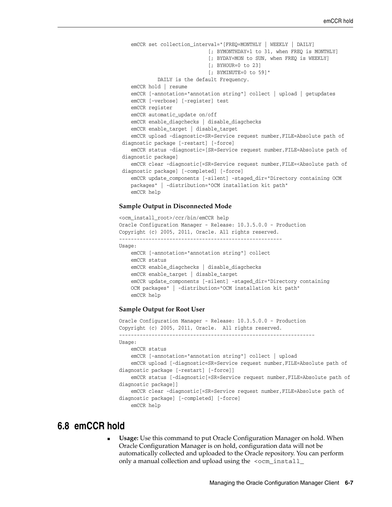```
 emCCR set collection_interval="[FREQ=MONTHLY | WEEKLY | DAILY]
                               [; BYMONTHDAY=1 to 31, when FREQ is MONTHLY]
                               [; BYDAY=MON to SUN, when FREQ is WEEKLY]
                              [; BYHOUR=0 to 23]
                               [; BYMINUTE=0 to 59]" 
             DAILY is the default Frequency.
    emCCR hold | resume
    emCCR [-annotation="annotation string"] collect | upload | getupdates
    emCCR [-verbose] [-register] test
    emCCR register
    emCCR automatic_update on/off
   emCCR enable diagchecks | disable diagchecks
    emCCR enable_target | disable_target
    emCCR upload -diagnostic=SR=Service request number,FILE=Absolute path of
 diagnostic package [-restart] [-force]
    emCCR status -diagnostic=[SR=Service request number,FILE=Absolute path of
 diagnostic package]
    emCCR clear -diagnostic[=SR=Service request number,FILE=<Absolute path of
 diagnostic package] [-completed] [-force]
    emCCR update_components [-silent] -staged_dir="Directory containing OCM
    packages" | -distribution="OCM installation kit path"
    emCCR help
```
#### **Sample Output in Disconnected Mode**

```
<ocm_install_root>/ccr/bin/emCCR help
Oracle Configuration Manager - Release: 10.3.5.0.0 - Production
Copyright (c) 2005, 2011, Oracle. All rights reserved.
           -------------------------------------------------------
Usage:
     emCCR [-annotation="annotation string"] collect 
     emCCR status
     emCCR enable_diagchecks | disable_diagchecks
     emCCR enable_target | disable_target
     emCCR update_components [-silent] -staged_dir="Directory containing
     OCM packages" | -distribution="OCM installation kit path" 
     emCCR help
```
#### **Sample Output for Root User**

Oracle Configuration Manager - Release: 10.3.5.0.0 - Production Copyright (c) 2005, 2011, Oracle. All rights reserved. ------------------------------------------------------------------

```
Usage:
     emCCR status
     emCCR [-annotation="annotation string"] collect | upload
     emCCR upload [-diagnostic=SR=Service request number,FILE=Absolute path of 
diagnostic package [-restart] [-force]]
    emCCR status [-diagnostic[=SR=Service request number,FILE=Absolute path of 
diagnostic package]]
     emCCR clear -diagnostic[=SR=Service request number,FILE=Absolute path of 
diagnostic package] [-completed] [-force]
     emCCR help
```
### <span id="page-60-0"></span>**6.8 emCCR hold**

**Usage:** Use this command to put Oracle Configuration Manager on hold. When Oracle Configuration Manager is on hold, configuration data will not be automatically collected and uploaded to the Oracle repository. You can perform only a manual collection and upload using the <ocm\_install\_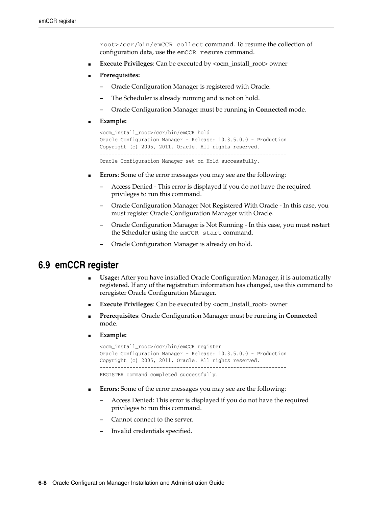root>/ccr/bin/emCCR collect command. To resume the collection of configuration data, use the emCCR resume command.

- **Execute Privileges:** Can be executed by <oom\_install\_root> owner
- **Prerequisites:**
	- **–** Oracle Configuration Manager is registered with Oracle.
	- **–** The Scheduler is already running and is not on hold.
	- **–** Oracle Configuration Manager must be running in **Connected** mode.
- **Example:**

```
<ocm_install_root>/ccr/bin/emCCR hold
Oracle Configuration Manager - Release: 10.3.5.0.0 - Production
Copyright (c) 2005, 2011, Oracle. All rights reserved.
---------------------------------------------------------------
Oracle Configuration Manager set on Hold successfully.
```
- **Errors**: Some of the error messages you may see are the following:
	- **–** Access Denied This error is displayed if you do not have the required privileges to run this command.
	- **–** Oracle Configuration Manager Not Registered With Oracle In this case, you must register Oracle Configuration Manager with Oracle.
	- **–** Oracle Configuration Manager is Not Running In this case, you must restart the Scheduler using the emCCR start command.
	- **–** Oracle Configuration Manager is already on hold.

### <span id="page-61-0"></span>**6.9 emCCR register**

- Usage: After you have installed Oracle Configuration Manager, it is automatically registered. If any of the registration information has changed, use this command to reregister Oracle Configuration Manager.
- **Execute Privileges:** Can be executed by <ocm\_install\_root> owner
- **Prerequisites**: Oracle Configuration Manager must be running in **Connected** mode.
- **Example:**

```
<ocm_install_root>/ccr/bin/emCCR register
Oracle Configuration Manager - Release: 10.3.5.0.0 - Production
Copyright (c) 2005, 2011, Oracle. All rights reserved.
---------------------------------------------------------------
REGISTER command completed successfully.
```
- **Errors:** Some of the error messages you may see are the following:
	- **–** Access Denied: This error is displayed if you do not have the required privileges to run this command.
	- **–** Cannot connect to the server.
	- **–** Invalid credentials specified.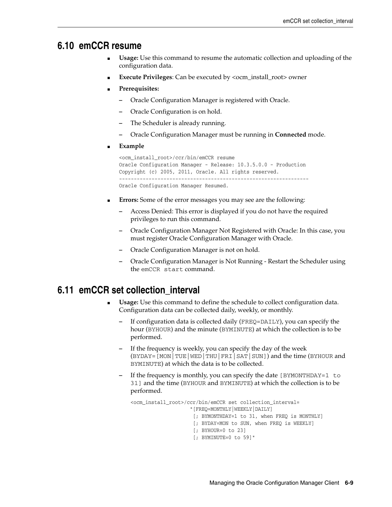# <span id="page-62-0"></span>**6.10 emCCR resume**

- **Usage:** Use this command to resume the automatic collection and uploading of the configuration data.
- **Execute Privileges:** Can be executed by <oom\_install\_root> owner
- **Prerequisites:**
	- **–** Oracle Configuration Manager is registered with Oracle.
	- **–** Oracle Configuration is on hold.
	- **–** The Scheduler is already running.
	- **–** Oracle Configuration Manager must be running in **Connected** mode.
- **Example**

<ocm\_install\_root>/ccr/bin/emCCR resume Oracle Configuration Manager - Release: 10.3.5.0.0 - Production Copyright (c) 2005, 2011, Oracle. All rights reserved. ----------------------------------------------------------------

Oracle Configuration Manager Resumed.

- **Errors:** Some of the error messages you may see are the following:
	- **–** Access Denied: This error is displayed if you do not have the required privileges to run this command.
	- **–** Oracle Configuration Manager Not Registered with Oracle: In this case, you must register Oracle Configuration Manager with Oracle.
	- **–** Oracle Configuration Manager is not on hold.
	- **–** Oracle Configuration Manager is Not Running Restart the Scheduler using the emCCR start command.

# <span id="page-62-1"></span>**6.11 emCCR set collection\_interval**

- Usage: Use this command to define the schedule to collect configuration data. Configuration data can be collected daily, weekly, or monthly.
	- **–** If configuration data is collected daily (FREQ=DAILY), you can specify the hour (BYHOUR) and the minute (BYMINUTE) at which the collection is to be performed.
	- **–** If the frequency is weekly, you can specify the day of the week (BYDAY=[MON|TUE|WED|THU|FRI|SAT|SUN]) and the time (BYHOUR and BYMINUTE) at which the data is to be collected.
	- **–** If the frequency is monthly, you can specify the date [BYMONTHDAY=1 to 31] and the time (BYHOUR and BYMINUTE) at which the collection is to be performed.

<ocm\_install\_root>/ccr/bin/emCCR set collection\_interval= "[FREQ=MONTHLY|WEEKLY|DAILY] [; BYMONTHDAY=1 to 31, when FREQ is MONTHLY] [; BYDAY=MON to SUN, when FREQ is WEEKLY] [; BYHOUR=0 to 23] [; BYMINUTE=0 to 59]"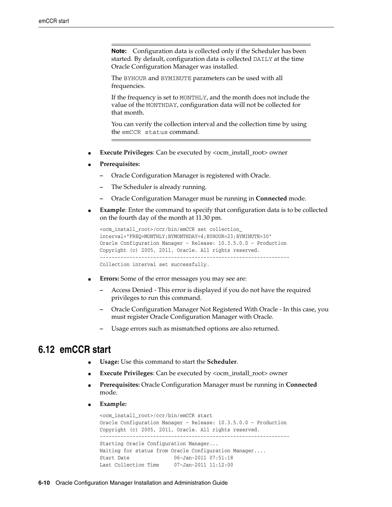**Note:** Configuration data is collected only if the Scheduler has been started. By default, configuration data is collected DAILY at the time Oracle Configuration Manager was installed.

The BYHOUR and BYMINUTE parameters can be used with all frequencies.

If the frequency is set to MONTHLY, and the month does not include the value of the MONTHDAY, configuration data will not be collected for that month.

You can verify the collection interval and the collection time by using the emCCR status command.

- **Execute Privileges:** Can be executed by <ocm\_install\_root> owner
- **Prerequisites:**
	- **–** Oracle Configuration Manager is registered with Oracle.
	- **–** The Scheduler is already running.
	- **–** Oracle Configuration Manager must be running in **Connected** mode.
- **Example:** Enter the command to specify that configuration data is to be collected on the fourth day of the month at 11.30 pm.

```
<ocm_install_root>/ccr/bin/emCCR set collection_
interval="FREQ=MONTHLY;BYMONTHDAY=4;BYHOUR=23;BYMINUTE=30"
Oracle Configuration Manager - Release: 10.3.5.0.0 - Production
Copyright (c) 2005, 2011, Oracle. All rights reserved.
     ----------------------------------------------------------------
Collection interval set successfully.
```
- **Errors:** Some of the error messages you may see are:
	- **–** Access Denied This error is displayed if you do not have the required privileges to run this command.
	- **–** Oracle Configuration Manager Not Registered With Oracle In this case, you must register Oracle Configuration Manager with Oracle.
	- **–** Usage errors such as mismatched options are also returned.

## <span id="page-63-0"></span>**6.12 emCCR start**

- Usage: Use this command to start the **Scheduler**.
- **Execute Privileges:** Can be executed by <ocm\_install\_root> owner
- **Prerequisites:** Oracle Configuration Manager must be running in **Connected** mode.
- **Example:**

```
<ocm_install_root>/ccr/bin/emCCR start
Oracle Configuration Manager - Release: 10.3.5.0.0 - Production
Copyright (c) 2005, 2011, Oracle. All rights reserved.
----------------------------------------------------------------
Starting Oracle Configuration Manager...
Waiting for status from Oracle Configuration Manager....
Start Date 06-Jan-2011 07:51:18
Last Collection Time 07-Jan-2011 11:12:00
```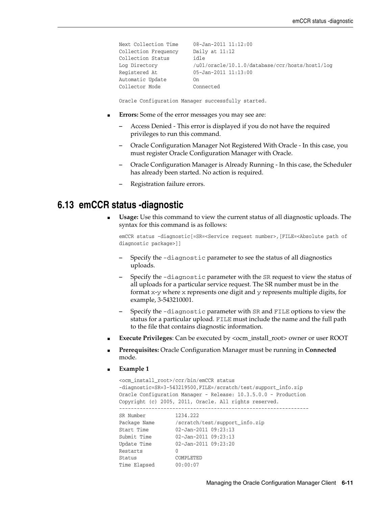```
Next Collection Time 08-Jan-2011 11:12:00
Collection Frequency Daily at 11:12
Collection Status idle
Log Directory /u01/oracle/10.1.0/database/ccr/hosts/host1/log
Registered At 05-Jan-2011 11:13:00
Automatic Update On
Collector Mode Connected
```
Oracle Configuration Manager successfully started.

- **Errors:** Some of the error messages you may see are:
	- **–** Access Denied This error is displayed if you do not have the required privileges to run this command.
	- **–** Oracle Configuration Manager Not Registered With Oracle In this case, you must register Oracle Configuration Manager with Oracle.
	- **–** Oracle Configuration Manager is Already Running In this case, the Scheduler has already been started. No action is required.
	- **–** Registration failure errors.

# <span id="page-64-0"></span>**6.13 emCCR status -diagnostic**

**Usage:** Use this command to view the current status of all diagnostic uploads. The syntax for this command is as follows:

emCCR status -diagnostic[=SR=<Service request number>,[FILE=<Absolute path of diagnostic package>]]

- **–** Specify the -diagnostic parameter to see the status of all diagnostics uploads.
- **–** Specify the -diagnostic parameter with the SR request to view the status of all uploads for a particular service request. The SR number must be in the format x-y where x represents one digit and y represents multiple digits, for example, 3-543210001.
- **–** Specify the -diagnostic parameter with SR and FILE options to view the status for a particular upload. FILE must include the name and the full path to the file that contains diagnostic information.
- **Execute Privileges:** Can be executed by <ocm\_install\_root> owner or user ROOT
- **Prerequisites:** Oracle Configuration Manager must be running in **Connected** mode.
- **Example 1**

Time Elapsed  $00:00:07$ 

```
<ocm_install_root>/ccr/bin/emCCR status 
-diagnostic=SR=3-543219500,FILE=/scratch/test/support_info.zip 
Oracle Configuration Manager - Release: 10.3.5.0.0 - Production
Copyright (c) 2005, 2011, Oracle. All rights reserved.
----------------------------------------------------------------
SR Number 1234.222
Package Name /scratch/test/support_info.zip<br>Start Time 02-Jan-2011 09:23:13
                02-Jan-2011 09:23:13
Submit Time 02-Jan-2011 09:23:13 
Update Time 02-Jan-2011 09:23:20 
b<br>Restarts 0<br>Co
Status COMPLETED
```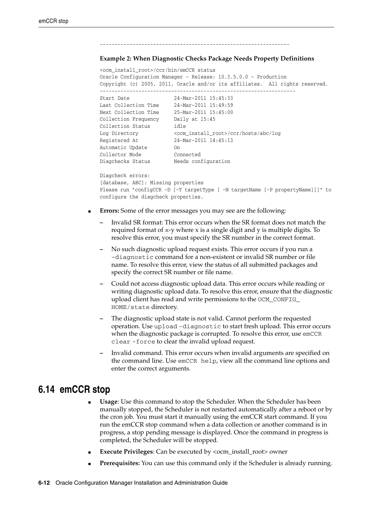# **Example 2: When Diagnostic Checks Package Needs Property Definitions**

----------------------------------------------------------------

<ocm\_install\_root>/ccr/bin/emCCR status Oracle Configuration Manager - Release: 10.3.5.0.0 - Production Copyright (c) 2005, 2011, Oracle and/or its affiliates. All rights reserved.  $-$ 

```
Start Date 24-Mar-2011 15:45:33
Last Collection Time 24-Mar-2011 15:49:59
Next Collection Time 25-Mar-2011 15:45:00
Collection Frequency Daily at 15:45
Collection Status idle
                   <ocm_install_root>/ccr/hosts/abc/log
Registered At 24-Mar-2011 14:45:13
Automatic Update On
Collector Mode Connected
Diagchecks Status Meeds configuration
```
#### Diagcheck errors: [database, ABC]: Missing properties Please run "configCCR -D [-T targetType [ -N targetName [-P propertyName]]]" to configure the diagcheck properties.

- **Errors:** Some of the error messages you may see are the following:
	- **–** Invalid SR format: This error occurs when the SR format does not match the required format of x-y where x is a single digit and y is multiple digits. To resolve this error, you must specify the SR number in the correct format.
	- **–** No such diagnostic upload request exists. This error occurs if you run a -diagnostic command for a non-existent or invalid SR number or file name. To resolve this error, view the status of all submitted packages and specify the correct SR number or file name.
	- **–** Could not access diagnostic upload data. This error occurs while reading or writing diagnostic upload data. To resolve this error, ensure that the diagnostic upload client has read and write permissions to the OCM\_CONFIG\_ HOME/state directory.
	- **–** The diagnostic upload state is not valid. Cannot perform the requested operation. Use upload -diagnostic to start fresh upload. This error occurs when the diagnostic package is corrupted. To resolve this error, use emCCR clear -force to clear the invalid upload request.
	- **–** Invalid command. This error occurs when invalid arguments are specified on the command line. Use emCCR help, view all the command line options and enter the correct arguments.

### <span id="page-65-0"></span>**6.14 emCCR stop**

- **Usage:** Use this command to stop the Scheduler. When the Scheduler has been manually stopped, the Scheduler is not restarted automatically after a reboot or by the cron job. You must start it manually using the emCCR start command. If you run the emCCR stop command when a data collection or another command is in progress, a stop pending message is displayed. Once the command in progress is completed, the Scheduler will be stopped.
- **Execute Privileges:** Can be executed by <ocm\_install\_root> owner
- **Prerequisites:** You can use this command only if the Scheduler is already running.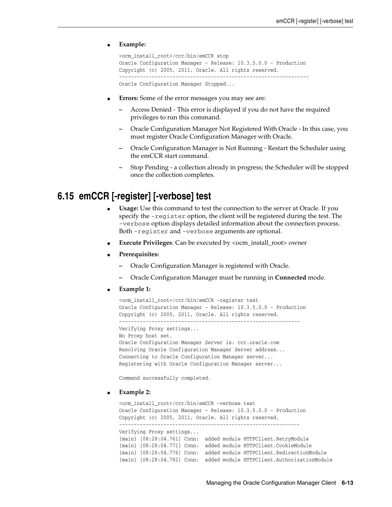#### ■ **Example:**

```
<ocm_install_root>/ccr/bin/emCCR stop
Oracle Configuration Manager - Release: 10.3.5.0.0 - Production
Copyright (c) 2005, 2011, Oracle. All rights reserved.
----------------------------------------------------------------
Oracle Configuration Manager Stopped...
```
- **Errors:** Some of the error messages you may see are:
	- **–** Access Denied This error is displayed if you do not have the required privileges to run this command.
	- **–** Oracle Configuration Manager Not Registered With Oracle In this case, you must register Oracle Configuration Manager with Oracle.
	- **–** Oracle Configuration Manager is Not Running Restart the Scheduler using the emCCR start command.
	- **–** Stop Pending a collection already in progress; the Scheduler will be stopped once the collection completes.

# <span id="page-66-0"></span>**6.15 emCCR [-register] [-verbose] test**

- **Usage:** Use this command to test the connection to the server at Oracle. If you specify the -register option, the client will be registered during the test. The -verbose option displays detailed information about the connection process. Both -register and -verbose arguments are optional.
- **Execute Privileges:** Can be executed by <oom\_install\_root> owner
- **Prerequisites:**
	- **–** Oracle Configuration Manager is registered with Oracle.
	- **–** Oracle Configuration Manager must be running in **Connected** mode.
- **Example 1:**

```
<ocm_install_root>/ccr/bin/emCCR -register test
Oracle Configuration Manager - Release: 10.3.5.0.0 - Production
Copyright (c) 2005, 2011, Oracle. All rights reserved.
-------------------------------------------------------------
```

```
Verifying Proxy settings...
No Proxy host set.
Oracle Configuration Manager Server is: ccr.oracle.com
Resolving Oracle Configuration Manager Server address...
Connecting to Oracle Configuration Manager server...
Registering with Oracle Configuration Manager server...
```
Command successfully completed.

#### ■ **Example 2:**

```
<ocm_install_root>/ccr/bin/emCCR -verbose test
Oracle Configuration Manager - Release: 10.3.5.0.0 - Production
Copyright (c) 2005, 2011, Oracle. All rights reserved.
-------------------------------------------------------------
Verifying Proxy settings...
{main} [08:28:04.761] Conn: added module HTTPClient.RetryModule
{main} [08:28:04.771] Conn: added module HTTPClient.CookieModule
{main} [08:28:04.776] Conn: added module HTTPClient.RedirectionModule
{main} [08:28:04.782] Conn: added module HTTPClient.AuthorizationModule
```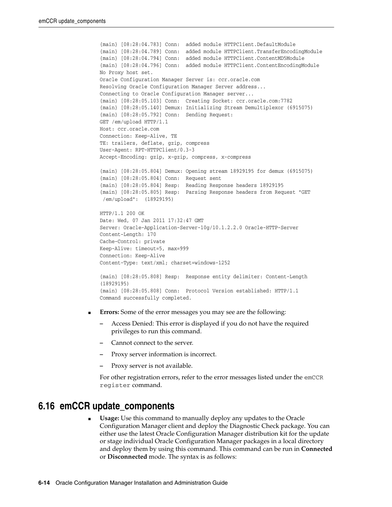```
{main} [08:28:04.783] Conn: added module HTTPClient.DefaultModule
{main} [08:28:04.789] Conn: added module HTTPClient.TransferEncodingModule
{main} [08:28:04.794] Conn: added module HTTPClient.ContentMD5Module
{main} [08:28:04.796] Conn: added module HTTPClient.ContentEncodingModule
No Proxy host set.
Oracle Configuration Manager Server is: ccr.oracle.com
Resolving Oracle Configuration Manager Server address...
Connecting to Oracle Configuration Manager server...
{main} [08:28:05.103] Conn: Creating Socket: ccr.oracle.com:7782
{main} [08:28:05.140] Demux: Initializing Stream Demultiplexor (6915075)
{main} [08:28:05.792] Conn: Sending Request: 
GET /em/upload HTTP/1.1
Host: ccr.oracle.com
Connection: Keep-Alive, TE
TE: trailers, deflate, gzip, compress
User-Agent: RPT-HTTPClient/0.3-3
Accept-Encoding: gzip, x-gzip, compress, x-compress
{main} [08:28:05.804] Demux: Opening stream 18929195 for demux (6915075)
{main} [08:28:05.804] Conn: Request sent
{main} [08:28:05.804] Resp: Reading Response headers 18929195
{main} [08:28:05.805] Resp: Parsing Response headers from Request "GET
 /em/upload": (18929195)
HTTP/1.1 200 OK
Date: Wed, 07 Jan 2011 17:32:47 GMT
Server: Oracle-Application-Server-10g/10.1.2.2.0 Oracle-HTTP-Server
Content-Length: 170
Cache-Control: private
Keep-Alive: timeout=5, max=999
Connection: Keep-Alive
Content-Type: text/xml; charset=windows-1252
{main} [08:28:05.808] Resp: Response entity delimiter: Content-Length 
(18929195)
{main} [08:28:05.808] Conn: Protocol Version established: HTTP/1.1
Command successfully completed.
```
- **Errors:** Some of the error messages you may see are the following:
	- **–** Access Denied: This error is displayed if you do not have the required privileges to run this command.
	- **–** Cannot connect to the server.
	- **–** Proxy server information is incorrect.
	- **–** Proxy server is not available.

For other registration errors, refer to the error messages listed under the emCCR register command.

# <span id="page-67-1"></span><span id="page-67-0"></span>**6.16 emCCR update\_components**

**Usage:** Use this command to manually deploy any updates to the Oracle Configuration Manager client and deploy the Diagnostic Check package. You can either use the latest Oracle Configuration Manager distribution kit for the update or stage individual Oracle Configuration Manager packages in a local directory and deploy them by using this command. This command can be run in **Connected** or **Disconnected** mode. The syntax is as follows: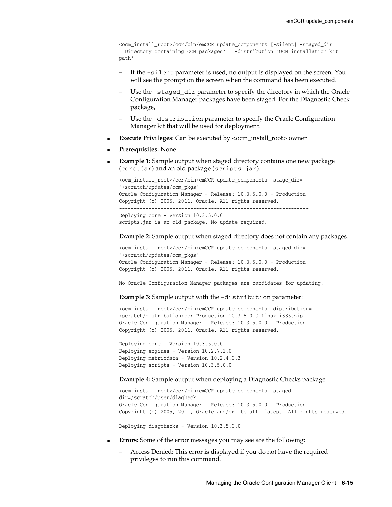```
<ocm_install_root>/ccr/bin/emCCR update_components [-silent] -staged_dir
="Directory containing OCM packages" | -distribution="OCM installation kit
path"
```
- **–** If the -silent parameter is used, no output is displayed on the screen. You will see the prompt on the screen when the command has been executed.
- **–** Use the -staged\_dir parameter to specify the directory in which the Oracle Configuration Manager packages have been staged. For the Diagnostic Check package,
- **–** Use the -distribution parameter to specify the Oracle Configuration Manager kit that will be used for deployment.
- **Execute Privileges:** Can be executed by  $\langle$ ocm\_install\_root $\rangle$  owner
- **Prerequisites:** None
- **Example 1:** Sample output when staged directory contains one new package (core.jar) and an old package (scripts.jar).

<ocm\_install\_root>/ccr/bin/emCCR update\_components -stage\_dir= "/scratch/updates/ocm\_pkgs" Oracle Configuration Manager - Release: 10.3.5.0.0 - Production Copyright (c) 2005, 2011, Oracle. All rights reserved. ----------------------------------------------------------------

Deploying core - Version 10.3.5.0.0 scripts.jar is an old package. No update required.

#### **Example 2:** Sample output when staged directory does not contain any packages.

<ocm\_install\_root>/ccr/bin/emCCR update\_components -staged\_dir= "/scratch/updates/ocm\_pkgs" Oracle Configuration Manager - Release: 10.3.5.0.0 - Production Copyright (c) 2005, 2011, Oracle. All rights reserved. ---------------------------------------------------------------- No Oracle Configuration Manager packages are candidates for updating.

#### **Example 3:** Sample output with the -distribution parameter:

<ocm\_install\_root>/ccr/bin/emCCR update\_components -distribution= /scratch/distribution/ccr-Production-10.3.5.0.0-Linux-i386.zip Oracle Configuration Manager - Release: 10.3.5.0.0 - Production Copyright (c) 2005, 2011, Oracle. All rights reserved. --------------------------------------------------------------- Deploying core - Version 10.3.5.0.0 Deploying engines - Version 10.2.7.1.0 Deploying metricdata - Version 10.2.4.0.3 Deploying scripts - Version 10.3.5.0.0

#### **Example 4:** Sample output when deploying a Diagnostic Checks package.

```
<ocm_install_root>/ccr/bin/emCCR update_components -staged_
dir=/scratch/user/diagheck
Oracle Configuration Manager - Release: 10.3.5.0.0 - Production
Copyright (c) 2005, 2011, Oracle and/or its affiliates. All rights reserved.
------------------------------------------------------------------
Deploying diagchecks - Version 10.3.5.0.0
```
- **Errors:** Some of the error messages you may see are the following:
	- **–** Access Denied: This error is displayed if you do not have the required privileges to run this command.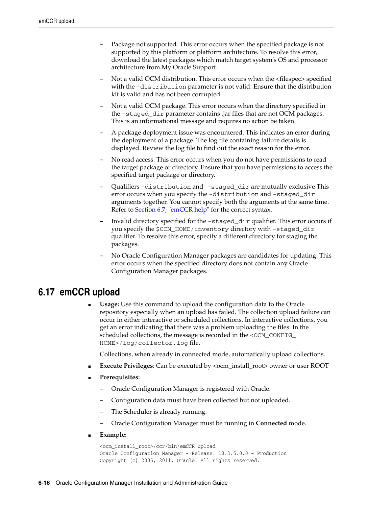- **–** Package not supported. This error occurs when the specified package is not supported by this platform or platform architecture. To resolve this error, download the latest packages which match target system's OS and processor architecture from My Oracle Support.
- **–** Not a valid OCM distribution. This error occurs when the <filespec> specified with the -distribution parameter is not valid. Ensure that the distribution kit is valid and has not been corrupted.
- **–** Not a valid OCM package. This error occurs when the directory specified in the -staged\_dir parameter contains .jar files that are not OCM packages. This is an informational message and requires no action be taken.
- **–** A package deployment issue was encountered. This indicates an error during the deployment of a package. The log file containing failure details is displayed. Review the log file to find out the exact reason for the error.
- **–** No read access. This error occurs when you do not have permissions to read the target package or directory. Ensure that you have permissions to access the specified target package or directory.
- **–** Qualifiers -distribution and -staged\_dir are mutually exclusive This error occurs when you specify the -distribution and -staged\_dir arguments together. You cannot specify both the arguments at the same time. Refer to [Section 6.7, "emCCR help"](#page-59-1) for the correct syntax.
- **–** Invalid directory specified for the -staged\_dir qualifier. This error occurs if you specify the \$OCM\_HOME/inventory directory with -staged\_dir qualifier. To resolve this error, specify a different directory for staging the packages.
- **–** No Oracle Configuration Manager packages are candidates for updating. This error occurs when the specified directory does not contain any Oracle Configuration Manager packages.

# <span id="page-69-0"></span>**6.17 emCCR upload**

**Usage:** Use this command to upload the configuration data to the Oracle repository especially when an upload has failed. The collection upload failure can occur in either interactive or scheduled collections. In interactive collections, you get an error indicating that there was a problem uploading the files. In the scheduled collections, the message is recorded in the <OCM\_CONFIG\_ HOME>/log/collector.log file.

Collections, when already in connected mode, automatically upload collections.

- **Execute Privileges**: Can be executed by <ocm\_install\_root> owner or user ROOT
- **Prerequisites:**
	- **–** Oracle Configuration Manager is registered with Oracle.
	- **–** Configuration data must have been collected but not uploaded.
	- **–** The Scheduler is already running.
	- **–** Oracle Configuration Manager must be running in **Connected** mode.
- **Example:**

```
<ocm_install_root>/ccr/bin/emCCR upload
Oracle Configuration Manager - Release: 10.3.5.0.0 - Production
Copyright (c) 2005, 2011, Oracle. All rights reserved.
```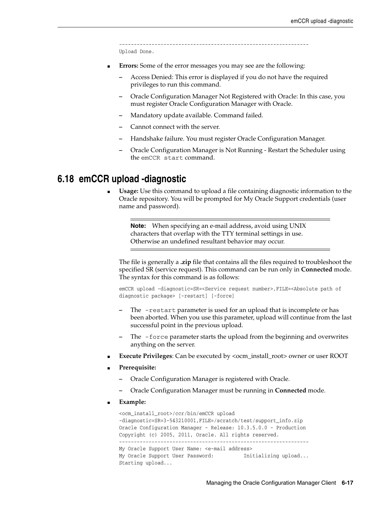Upload Done.

**Errors:** Some of the error messages you may see are the following:

----------------------------------------------------------------

- **–** Access Denied: This error is displayed if you do not have the required privileges to run this command.
- **–** Oracle Configuration Manager Not Registered with Oracle: In this case, you must register Oracle Configuration Manager with Oracle.
- **–** Mandatory update available. Command failed.
- **–** Cannot connect with the server.
- **–** Handshake failure. You must register Oracle Configuration Manager.
- **–** Oracle Configuration Manager is Not Running Restart the Scheduler using the emCCR start command.

### <span id="page-70-0"></span>**6.18 emCCR upload -diagnostic**

**Usage:** Use this command to upload a file containing diagnostic information to the Oracle repository. You will be prompted for My Oracle Support credentials (user name and password).

**Note:** When specifying an e-mail address, avoid using UNIX characters that overlap with the TTY terminal settings in use. Otherwise an undefined resultant behavior may occur.

The file is generally a **.zip** file that contains all the files required to troubleshoot the specified SR (service request). This command can be run only in **Connected** mode. The syntax for this command is as follows:

emCCR upload -diagnostic=SR=<Service request number>,FILE=<Absolute path of diagnostic package> [-restart] [-force]

- **–** The -restart parameter is used for an upload that is incomplete or has been aborted. When you use this parameter, upload will continue from the last successful point in the previous upload.
- **–** The -force parameter starts the upload from the beginning and overwrites anything on the server.
- **Execute Privileges:** Can be executed by <oom\_install\_root> owner or user ROOT
- **Prerequisite:**
	- **–** Oracle Configuration Manager is registered with Oracle.
	- **–** Oracle Configuration Manager must be running in **Connected** mode.
- **Example:**

```
<ocm_install_root>/ccr/bin/emCCR upload 
-diagnostic=SR=3-543210001,FILE=/scratch/test/support_info.zip
Oracle Configuration Manager - Release: 10.3.5.0.0 - Production
Copyright (c) 2005, 2011, Oracle. All rights reserved.
----------------------------------------------------------------
My Oracle Support User Name: <e-mail address>
My Oracle Support User Password: Initializing upload...
Starting upload...
```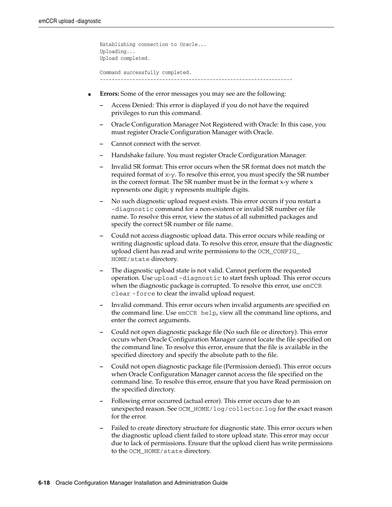```
Establishing connection to Oracle...
Uploading...
Upload completed.
Command successfully completed.
-----------------------------------------------------------------
```
- **Errors:** Some of the error messages you may see are the following:
	- **–** Access Denied: This error is displayed if you do not have the required privileges to run this command.
	- **–** Oracle Configuration Manager Not Registered with Oracle: In this case, you must register Oracle Configuration Manager with Oracle.
	- **–** Cannot connect with the server.
	- **–** Handshake failure. You must register Oracle Configuration Manager.
	- **–** Invalid SR format: This error occurs when the SR format does not match the required format of x-y. To resolve this error, you must specify the SR number in the correct format. The SR number must be in the format x-y where x represents one digit; y represents multiple digits.
	- **–** No such diagnostic upload request exists. This error occurs if you restart a -diagnostic command for a non-existent or invalid SR number or file name. To resolve this error, view the status of all submitted packages and specify the correct SR number or file name.
	- **–** Could not access diagnostic upload data. This error occurs while reading or writing diagnostic upload data. To resolve this error, ensure that the diagnostic upload client has read and write permissions to the OCM\_CONFIG\_ HOME/state directory.
	- **–** The diagnostic upload state is not valid. Cannot perform the requested operation. Use upload -diagnostic to start fresh upload. This error occurs when the diagnostic package is corrupted. To resolve this error, use emCCR clear -force to clear the invalid upload request.
	- **–** Invalid command. This error occurs when invalid arguments are specified on the command line. Use emCCR help, view all the command line options, and enter the correct arguments.
	- **–** Could not open diagnostic package file (No such file or directory). This error occurs when Oracle Configuration Manager cannot locate the file specified on the command line. To resolve this error, ensure that the file is available in the specified directory and specify the absolute path to the file.
	- **–** Could not open diagnostic package file (Permission denied). This error occurs when Oracle Configuration Manager cannot access the file specified on the command line. To resolve this error, ensure that you have Read permission on the specified directory.
	- **–** Following error occurred (actual error). This error occurs due to an unexpected reason. See OCM\_HOME/log/collector.log for the exact reason for the error.
	- **–** Failed to create directory structure for diagnostic state. This error occurs when the diagnostic upload client failed to store upload state. This error may occur due to lack of permissions. Ensure that the upload client has write permissions to the OCM\_HOME/state directory.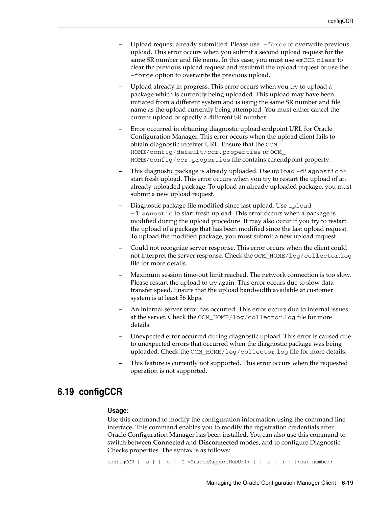- **–** Upload request already submitted. Please use -force to overwrite previous upload. This error occurs when you submit a second upload request for the same SR number and file name. In this case, you must use emCCR clear to clear the previous upload request and resubmit the upload request or use the -force option to overwrite the previous upload.
- **–** Upload already in progress. This error occurs when you try to upload a package which is currently being uploaded. This upload may have been initiated from a different system and is using the same SR number and file name as the upload currently being attempted. You must either cancel the current upload or specify a different SR number.
- **–** Error occurred in obtaining diagnostic upload endpoint URL for Oracle Configuration Manager. This error occurs when the upload client fails to obtain diagnostic receiver URL. Ensure that the OCM\_ HOME/config/default/ccr.properties or OCM\_ HOME/config/ccr.properties file contains ccr.endpoint property.
- **–** This diagnostic package is already uploaded. Use upload -diagnostic to start fresh upload. This error occurs when you try to restart the upload of an already uploaded package. To upload an already uploaded package, you must submit a new upload request.
- **–** Diagnostic package file modified since last upload. Use upload -diagnostic to start fresh upload. This error occurs when a package is modified during the upload procedure. It may also occur if you try to restart the upload of a package that has been modified since the last upload request. To upload the modified package, you must submit a new upload request.
- **–** Could not recognize server response. This error occurs when the client could not interpret the server response. Check the OCM\_HOME/log/collector.log file for more details.
- **–** Maximum session time-out limit reached. The network connection is too slow. Please restart the upload to try again. This error occurs due to slow data transfer speed. Ensure that the upload bandwidth available at customer system is at least 56 kbps.
- **–** An internal server error has occurred. This error occurs due to internal issues at the server. Check the OCM\_HOME/log/collector.log file for more details.
- **–** Unexpected error occurred during diagnostic upload. This error is caused due to unexpected errors that occurred when the diagnostic package was being uploaded. Check the OCM\_HOME/log/collector.log file for more details.
- **–** This feature is currently not supported. This error occurs when the requested operation is not supported.

# **6.19 configCCR**

#### **Usage:**

Use this command to modify the configuration information using the command line interface. This command enables you to modify the registration credentials after Oracle Configuration Manager has been installed. You can also use this command to switch between **Connected** and **Disconnected** modes, and to configure Diagnostic Checks properties. The syntax is as follows:

configCCR [ -s ] [ -d | -C <OracleSupportHubUrl> ] [ -a | -r ] [<csi-number>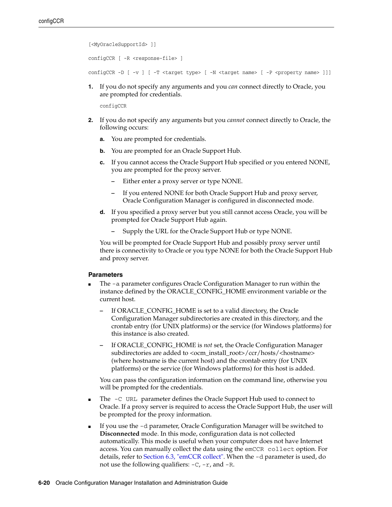```
[<MyOracleSupportId> ]]
configCCR [ -R <response-file> ] 
configCCR -D [ -v ] [ -T <target type> [ -N <target name> [ -P <property name> ]]]
```
**1.** If you do not specify any arguments and you *can* connect directly to Oracle, you are prompted for credentials.

configCCR

- **2.** If you do not specify any arguments but you *cannot* connect directly to Oracle, the following occurs:
	- **a.** You are prompted for credentials.
	- **b.** You are prompted for an Oracle Support Hub.
	- **c.** If you cannot access the Oracle Support Hub specified or you entered NONE, you are prompted for the proxy server.
		- **–** Either enter a proxy server or type NONE.
		- **–** If you entered NONE for both Oracle Support Hub and proxy server, Oracle Configuration Manager is configured in disconnected mode.
	- **d.** If you specified a proxy server but you still cannot access Oracle, you will be prompted for Oracle Support Hub again.
		- **–** Supply the URL for the Oracle Support Hub or type NONE.

You will be prompted for Oracle Support Hub and possibly proxy server until there is connectivity to Oracle or you type NONE for both the Oracle Support Hub and proxy server.

## **Parameters**

- The -a parameter configures Oracle Configuration Manager to run within the instance defined by the ORACLE\_CONFIG\_HOME environment variable or the current host.
	- **–** If ORACLE\_CONFIG\_HOME is set to a valid directory, the Oracle Configuration Manager subdirectories are created in this directory, and the crontab entry (for UNIX platforms) or the service (for Windows platforms) for this instance is also created.
	- **–** If ORACLE\_CONFIG\_HOME is *not* set, the Oracle Configuration Manager subdirectories are added to <ocm\_install\_root>/ccr/hosts/<hostname> (where hostname is the current host) and the crontab entry (for UNIX platforms) or the service (for Windows platforms) for this host is added.

You can pass the configuration information on the command line, otherwise you will be prompted for the credentials.

- The  $-C$  URL parameter defines the Oracle Support Hub used to connect to Oracle. If a proxy server is required to access the Oracle Support Hub, the user will be prompted for the proxy information.
- If you use the -d parameter, Oracle Configuration Manager will be switched to **Disconnected** mode. In this mode, configuration data is not collected automatically. This mode is useful when your computer does not have Internet access. You can manually collect the data using the emCCR collect option. For details, refer to [Section 6.3, "emCCR collect"](#page-56-0). When the -d parameter is used, do not use the following qualifiers:  $-C$ ,  $-r$ , and  $-R$ .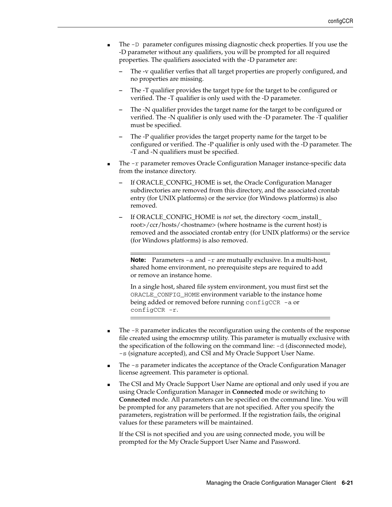- The  $-D$  parameter configures missing diagnostic check properties. If you use the -D parameter without any qualifiers, you will be prompted for all required properties. The qualifiers associated with the -D parameter are:
	- **–** The -v qualifier verfies that all target properties are properly configured, and no properties are missing.
	- **–** The -T qualifier provides the target type for the target to be configured or verified. The -T qualifier is only used with the -D parameter.
	- **–** The -N qualifier provides the target name for the target to be configured or verified. The -N qualifier is only used with the -D parameter. The -T qualifier must be specified.
	- **–** The -P qualifier provides the target property name for the target to be configured or verified. The -P qualifier is only used with the -D parameter. The -T and -N qualifiers must be specified.
- The  $-r$  parameter removes Oracle Configuration Manager instance-specific data from the instance directory.
	- **–** If ORACLE\_CONFIG\_HOME is set, the Oracle Configuration Manager subdirectories are removed from this directory, and the associated crontab entry (for UNIX platforms) or the service (for Windows platforms) is also removed.
	- **–** If ORACLE\_CONFIG\_HOME is *not* set, the directory <ocm\_install\_ root>/ccr/hosts/<hostname> (where hostname is the current host) is removed and the associated crontab entry (for UNIX platforms) or the service (for Windows platforms) is also removed.

**Note:** Parameters -a and -r are mutually exclusive. In a multi-host, shared home environment, no prerequisite steps are required to add or remove an instance home.

In a single host, shared file system environment, you must first set the ORACLE\_CONFIG\_HOME environment variable to the instance home being added or removed before running configCCR -a or configCCR -r.

- The  $-R$  parameter indicates the reconfiguration using the contents of the response file created using the emocmrsp utility. This parameter is mutually exclusive with the specification of the following on the command line: -d (disconnected mode), -s (signature accepted), and CSI and My Oracle Support User Name.
- The  $-$ s parameter indicates the acceptance of the Oracle Configuration Manager license agreement. This parameter is optional.
- The CSI and My Oracle Support User Name are optional and only used if you are using Oracle Configuration Manager in **Connected** mode or switching to **Connected** mode. All parameters can be specified on the command line. You will be prompted for any parameters that are not specified. After you specify the parameters, registration will be performed. If the registration fails, the original values for these parameters will be maintained.

If the CSI is not specified and you are using connected mode, you will be prompted for the My Oracle Support User Name and Password.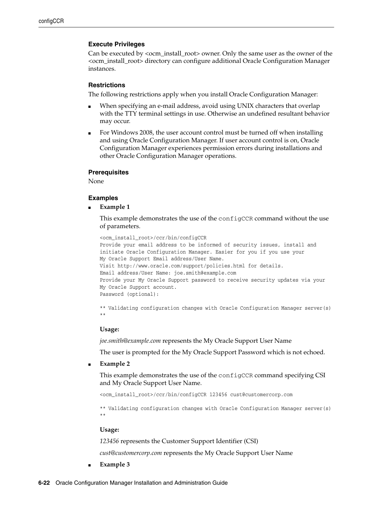#### **Execute Privileges**

Can be executed by  $\leq$  or install\_root  $\geq$  owner. Only the same user as the owner of the <ocm\_install\_root> directory can configure additional Oracle Configuration Manager instances.

#### **Restrictions**

The following restrictions apply when you install Oracle Configuration Manager:

- When specifying an e-mail address, avoid using UNIX characters that overlap with the TTY terminal settings in use. Otherwise an undefined resultant behavior may occur.
- For Windows 2008, the user account control must be turned off when installing and using Oracle Configuration Manager. If user account control is on, Oracle Configuration Manager experiences permission errors during installations and other Oracle Configuration Manager operations.

#### **Prerequisites**

None

#### **Examples**

**Example 1** 

This example demonstrates the use of the configCCR command without the use of parameters.

```
<ocm_install_root>/ccr/bin/configCCR
Provide your email address to be informed of security issues, install and
initiate Oracle Configuration Manager. Easier for you if you use your
My Oracle Support Email address/User Name.
Visit http://www.oracle.com/support/policies.html for details.
Email address/User Name: joe.smith@example.com
Provide your My Oracle Support password to receive security updates via your
My Oracle Support account.
Password (optional):
```
\*\* Validating configuration changes with Oracle Configuration Manager server(s) \*\*

#### **Usage:**

*joe.smith@example.com* represents the My Oracle Support User Name

The user is prompted for the My Oracle Support Password which is not echoed.

Example 2

This example demonstrates the use of the configCCR command specifying CSI and My Oracle Support User Name.

<ocm\_install\_root>/ccr/bin/configCCR 123456 cust@customercorp.com

\*\* Validating configuration changes with Oracle Configuration Manager server(s) \*\*

#### **Usage:**

*123456* represents the Customer Support Identifier (CSI)

*cust@customercorp.com* represents the My Oracle Support User Name

Example 3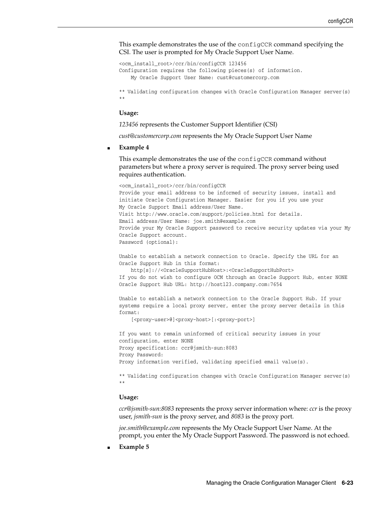This example demonstrates the use of the configCCR command specifying the CSI. The user is prompted for My Oracle Support User Name.

```
<ocm_install_root>/ccr/bin/configCCR 123456 
Configuration requires the following pieces(s) of information.
     My Oracle Support User Name: cust@customercorp.com
** Validating configuration changes with Oracle Configuration Manager server(s) 
**
```
#### **Usage:**

*123456* represents the Customer Support Identifier (CSI)

*cust@customercorp.com* represents the My Oracle Support User Name

■ **Example 4**

This example demonstrates the use of the configCCR command without parameters but where a proxy server is required. The proxy server being used requires authentication.

<ocm\_install\_root>/ccr/bin/configCCR Provide your email address to be informed of security issues, install and initiate Oracle Configuration Manager. Easier for you if you use your My Oracle Support Email address/User Name. Visit http://www.oracle.com/support/policies.html for details. Email address/User Name: joe.smith@example.com Provide your My Oracle Support password to receive security updates via your My Oracle Support account. Password (optional):

Unable to establish a network connection to Oracle. Specify the URL for an Oracle Support Hub in this format:

 http[s]://<OracleSupportHubHost>:<OracleSupportHubPort> If you do not wish to configure OCM through an Oracle Support Hub, enter NONE Oracle Support Hub URL: http://host123.company.com:7654

Unable to establish a network connection to the Oracle Support Hub. If your systems require a local proxy server, enter the proxy server details in this format:

[<proxy-user>@]<proxy-host>[:<proxy-port>]

If you want to remain uninformed of critical security issues in your configuration, enter NONE Proxy specification: ccr@jsmith-sun:8083 Proxy Password: Proxy information verified, validating specified email value(s).

\*\* Validating configuration changes with Oracle Configuration Manager server(s) \*\*

#### **Usage:**

*ccr@jsmith-sun:8083* represents the proxy server information where: *ccr* is the proxy user, *jsmith-sun* is the proxy server, and *8083* is the proxy port.

*joe.smith@example.com* represents the My Oracle Support User Name. At the prompt, you enter the My Oracle Support Password. The password is not echoed.

■ **Example 5**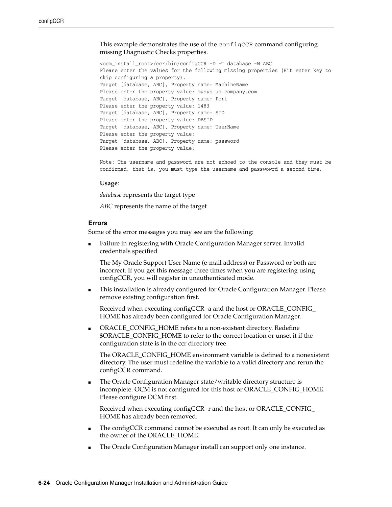This example demonstrates the use of the configCCR command configuring missing Diagnostic Checks properties.

<ocm\_install\_root>/ccr/bin/configCCR -D -T database -N ABC Please enter the values for the following missing properties (Hit enter key to skip configuring a property). Target [database, ABC], Property name: MachineName Please enter the property value: mysys.us.company.com Target [database, ABC], Property name: Port Please enter the property value: 1483 Target [database, ABC], Property name: SID Please enter the property value: DBSID Target [database, ABC], Property name: UserName Please enter the property value: Target [database, ABC], Property name: password Please enter the property value:

Note: The username and password are not echoed to the console and they must be confirmed, that is, you must type the username and passwowrd a second time.

#### **Usage**:

*database* represents the target type

*ABC* represents the name of the target

#### **Errors**

Some of the error messages you may see are the following:

Failure in registering with Oracle Configuration Manager server. Invalid credentials specified

The My Oracle Support User Name (e-mail address) or Password or both are incorrect. If you get this message three times when you are registering using configCCR, you will register in unauthenticated mode.

This installation is already configured for Oracle Configuration Manager. Please remove existing configuration first.

Received when executing configCCR -a and the host or ORACLE\_CONFIG\_ HOME has already been configured for Oracle Configuration Manager.

ORACLE\_CONFIG\_HOME refers to a non-existent directory. Redefine \$ORACLE\_CONFIG\_HOME to refer to the correct location or unset it if the configuration state is in the ccr directory tree.

The ORACLE\_CONFIG\_HOME environment variable is defined to a nonexistent directory. The user must redefine the variable to a valid directory and rerun the configCCR command.

The Oracle Configuration Manager state/writable directory structure is incomplete. OCM is not configured for this host or ORACLE\_CONFIG\_HOME. Please configure OCM first.

Received when executing configCCR -r and the host or ORACLE\_CONFIG\_ HOME has already been removed.

- The configCCR command cannot be executed as root. It can only be executed as the owner of the ORACLE\_HOME.
- The Oracle Configuration Manager install can support only one instance.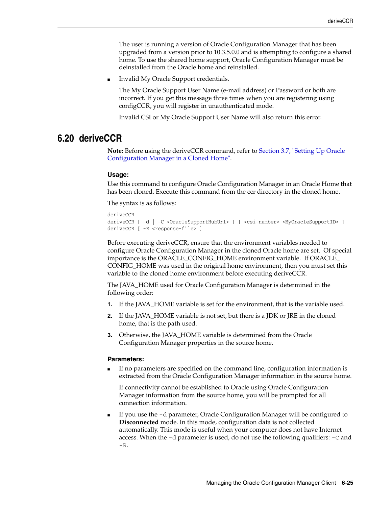The user is running a version of Oracle Configuration Manager that has been upgraded from a version prior to 10.3.5.0.0 and is attempting to configure a shared home. To use the shared home support, Oracle Configuration Manager must be deinstalled from the Oracle home and reinstalled.

Invalid My Oracle Support credentials.

The My Oracle Support User Name (e-mail address) or Password or both are incorrect. If you get this message three times when you are registering using configCCR, you will register in unauthenticated mode.

Invalid CSI or My Oracle Support User Name will also return this error.

# **6.20 deriveCCR**

**Note:** Before using the deriveCCR command, refer to [Section 3.7, "Setting Up Oracle](#page-35-0)  [Configuration Manager in a Cloned Home".](#page-35-0)

#### **Usage:**

Use this command to configure Oracle Configuration Manager in an Oracle Home that has been cloned. Execute this command from the ccr directory in the cloned home.

The syntax is as follows:

```
deriveCCR
deriveCCR [ -d | -C <OracleSupportHubUrl> ] [ <csi-number> <MyOracleSupportID> ]
deriveCCR [ -R <response-file> ]
```
Before executing deriveCCR, ensure that the environment variables needed to configure Oracle Configuration Manager in the cloned Oracle home are set. Of special importance is the ORACLE\_CONFIG\_HOME environment variable. If ORACLE\_ CONFIG\_HOME was used in the original home environment, then you must set this variable to the cloned home environment before executing deriveCCR.

The JAVA\_HOME used for Oracle Configuration Manager is determined in the following order:

- **1.** If the JAVA\_HOME variable is set for the environment, that is the variable used.
- **2.** If the JAVA\_HOME variable is not set, but there is a JDK or JRE in the cloned home, that is the path used.
- **3.** Otherwise, the JAVA\_HOME variable is determined from the Oracle Configuration Manager properties in the source home.

#### **Parameters:**

If no parameters are specified on the command line, configuration information is extracted from the Oracle Configuration Manager information in the source home.

If connectivity cannot be established to Oracle using Oracle Configuration Manager information from the source home, you will be prompted for all connection information.

If you use the  $-d$  parameter, Oracle Configuration Manager will be configured to **Disconnected** mode. In this mode, configuration data is not collected automatically. This mode is useful when your computer does not have Internet access. When the -d parameter is used, do not use the following qualifiers: -C and  $-R.$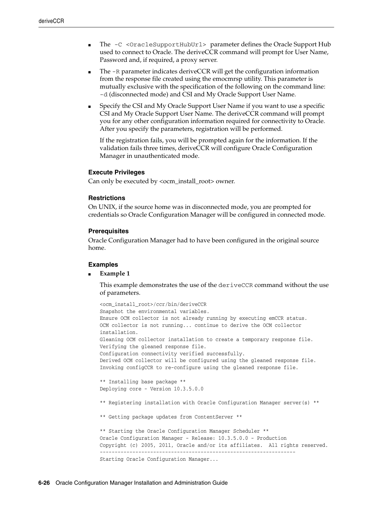- The  $-C \simeq$   $\text{CracleSupportHubUr1}$  parameter defines the Oracle Support Hub used to connect to Oracle. The deriveCCR command will prompt for User Name, Password and, if required, a proxy server.
- The -R parameter indicates deriveCCR will get the configuration information from the response file created using the emocmrsp utility. This parameter is mutually exclusive with the specification of the following on the command line: -d (disconnected mode) and CSI and My Oracle Support User Name.
- Specify the CSI and My Oracle Support User Name if you want to use a specific CSI and My Oracle Support User Name. The deriveCCR command will prompt you for any other configuration information required for connectivity to Oracle. After you specify the parameters, registration will be performed.

If the registration fails, you will be prompted again for the information. If the validation fails three times, deriveCCR will configure Oracle Configuration Manager in unauthenticated mode.

#### **Execute Privileges**

Can only be executed by <oom\_install\_root> owner.

#### **Restrictions**

On UNIX, if the source home was in disconnected mode, you are prompted for credentials so Oracle Configuration Manager will be configured in connected mode.

#### **Prerequisites**

Oracle Configuration Manager had to have been configured in the original source home.

#### **Examples**

Example 1

This example demonstrates the use of the deriveCCR command without the use of parameters.

```
<ocm_install_root>/ccr/bin/deriveCCR
Snapshot the environmental variables.
Ensure OCM collector is not already running by executing emCCR status.
OCM collector is not running... continue to derive the OCM collector 
installation.
Gleaning OCM collector installation to create a temporary response file.
Verifying the gleaned response file.
Configuration connectivity verified successfully.
Derived OCM collector will be configured using the gleaned response file.
Invoking configCCR to re-configure using the gleaned response file.
** Installing base package **
Deploying core - Version 10.3.5.0.0
** Registering installation with Oracle Configuration Manager server(s) **
** Getting package updates from ContentServer **
** Starting the Oracle Configuration Manager Scheduler **
Oracle Configuration Manager - Release: 10.3.5.0.0 - Production
Copyright (c) 2005, 2011, Oracle and/or its affiliates. All rights reserved.
------------------------------------------------------------------
Starting Oracle Configuration Manager...
```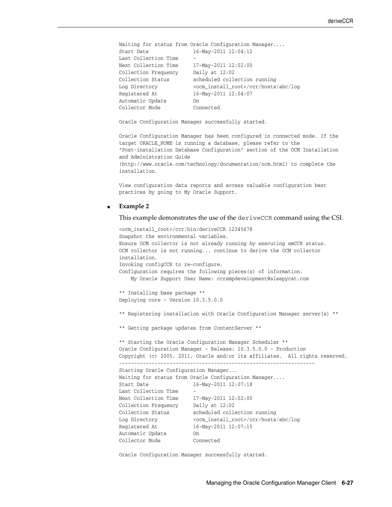Waiting for status from Oracle Configuration Manager.... Start Date 16-May-2011 12:04:12 Last Collection Time - Next Collection Time 17-May-2011 12:02:00 Collection Frequency Daily at 12:02 Collection Status scheduled collection running Log Directory <ocm\_install\_root>/ccr/hosts/abc/log Registered At 16-May-2011 12:04:07 Automatic Update On Collector Mode Connected

Oracle Configuration Manager successfully started.

Oracle Configuration Manager has been configured in connected mode. If the target ORACLE\_HOME is running a database, please refer to the "Post-installation Database Configuration" section of the OCM Installation and Administration Guide (http://www.oracle.com/technology/documentation/ocm.html) to complete the installation.

View configuration data reports and access valuable configuration best practices by going to My Oracle Support.

#### ■ **Example 2**

This example demonstrates the use of the deriveCCR command using the CSI.

```
<ocm_install_root>/ccr/bin/deriveCCR 12345678
Snapshot the environmental variables.
Ensure OCM collector is not already running by executing emCCR status.
OCM collector is not running... continue to derive the OCM collector 
installation.
Invoking configCCR to re-configure.
Configuration requires the following pieces(s) of information.
    My Oracle Support User Name: ccrsmpdevelopment@sleepycat.com
** Installing base package **
Deploying core - Version 10.3.5.0.0
** Registering installation with Oracle Configuration Manager server(s) **
** Getting package updates from ContentServer **
** Starting the Oracle Configuration Manager Scheduler **
Oracle Configuration Manager - Release: 10.3.5.0.0 - Production
Copyright (c) 2005, 2011, Oracle and/or its affiliates. All rights reserved.
------------------------------------------------------------------
Starting Oracle Configuration Manager...
Waiting for status from Oracle Configuration Manager....
Start Date 16-May-2011 12:07:18
Last Collection Time
Next Collection Time 17-May-2011 12:02:00
Collection Frequency Daily at 12:02
Collection Status scheduled collection running
Log Directory <com_install_root>/ccr/hosts/abc/log
Registered At 16-May-2011 12:07:15
Automatic Update On
Collector Mode Connected
```
Oracle Configuration Manager successfully started.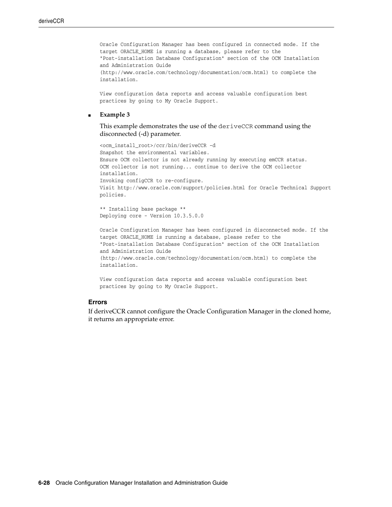Oracle Configuration Manager has been configured in connected mode. If the target ORACLE\_HOME is running a database, please refer to the "Post-installation Database Configuration" section of the OCM Installation and Administration Guide (http://www.oracle.com/technology/documentation/ocm.html) to complete the installation.

View configuration data reports and access valuable configuration best practices by going to My Oracle Support.

#### ■ **Example 3**

This example demonstrates the use of the deriveCCR command using the disconnected (-d) parameter.

```
<ocm_install_root>/ccr/bin/deriveCCR -d
Snapshot the environmental variables.
Ensure OCM collector is not already running by executing emCCR status.
OCM collector is not running... continue to derive the OCM collector 
installation.
Invoking configCCR to re-configure.
Visit http://www.oracle.com/support/policies.html for Oracle Technical Support 
policies.
```

```
** Installing base package **
Deploying core - Version 10.3.5.0.0
```
Oracle Configuration Manager has been configured in disconnected mode. If the target ORACLE HOME is running a database, please refer to the "Post-installation Database Configuration" section of the OCM Installation and Administration Guide (http://www.oracle.com/technology/documentation/ocm.html) to complete the installation.

View configuration data reports and access valuable configuration best practices by going to My Oracle Support.

## **Errors**

If deriveCCR cannot configure the Oracle Configuration Manager in the cloned home, it returns an appropriate error.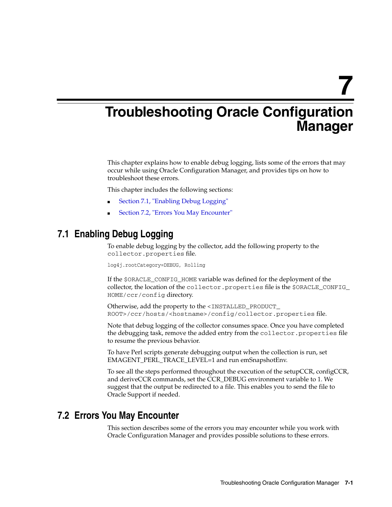**7**

# <sup>7</sup>**Troubleshooting Oracle Configuration Manager**

This chapter explains how to enable debug logging, lists some of the errors that may occur while using Oracle Configuration Manager, and provides tips on how to troubleshoot these errors.

This chapter includes the following sections:

- [Section 7.1, "Enabling Debug Logging"](#page-82-0)
- [Section 7.2, "Errors You May Encounter"](#page-82-1)

# <span id="page-82-0"></span>**7.1 Enabling Debug Logging**

To enable debug logging by the collector, add the following property to the collector.properties file.

log4j.rootCategory=DEBUG, Rolling

If the \$ORACLE\_CONFIG\_HOME variable was defined for the deployment of the collector, the location of the collector.properties file is the \$ORACLE\_CONFIG\_ HOME/ccr/config directory.

Otherwise, add the property to the <INSTALLED\_PRODUCT\_ ROOT>/ccr/hosts/<hostname>/config/collector.properties file.

Note that debug logging of the collector consumes space. Once you have completed the debugging task, remove the added entry from the collector.properties file to resume the previous behavior.

To have Perl scripts generate debugging output when the collection is run, set EMAGENT\_PERL\_TRACE\_LEVEL=1 and run emSnapshotEnv.

To see all the steps performed throughout the execution of the setupCCR, configCCR, and deriveCCR commands, set the CCR\_DEBUG environment variable to 1. We suggest that the output be redirected to a file. This enables you to send the file to Oracle Support if needed.

# <span id="page-82-1"></span>**7.2 Errors You May Encounter**

This section describes some of the errors you may encounter while you work with Oracle Configuration Manager and provides possible solutions to these errors.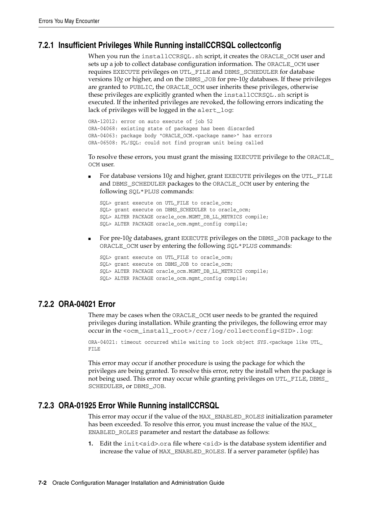# **7.2.1 Insufficient Privileges While Running installCCRSQL collectconfig**

When you run the installCCRSQL.sh script, it creates the ORACLE\_OCM user and sets up a job to collect database configuration information. The ORACLE\_OCM user requires EXECUTE privileges on UTL\_FILE and DBMS\_SCHEDULER for database versions 10*g* or higher, and on the DBMS\_JOB for pre-10*g* databases. If these privileges are granted to PUBLIC, the ORACLE\_OCM user inherits these privileges, otherwise these privileges are explicitly granted when the installCCRSQL.sh script is executed. If the inherited privileges are revoked, the following errors indicating the lack of privileges will be logged in the alert\_log:

ORA-12012: error on auto execute of job 52 ORA-04068: existing state of packages has been discarded ORA-04063: package body "ORACLE\_OCM.<package name>" has errors ORA-06508: PL/SQL: could not find program unit being called

To resolve these errors, you must grant the missing EXECUTE privilege to the ORACLE\_ OCM user.

For database versions 10g and higher, grant EXECUTE privileges on the UTL\_FILE and DBMS SCHEDULER packages to the ORACLE OCM user by entering the following SQL\*PLUS commands:

SQL> grant execute on UTL\_FILE to oracle\_ocm; SQL> grant execute on DBMS\_SCHEDULER to oracle\_ocm; SOL> ALTER PACKAGE oracle ocm.MGMT DB\_LL\_METRICS compile; SQL> ALTER PACKAGE oracle\_ocm.mgmt\_config compile;

■ For pre-10*g* databases, grant EXECUTE privileges on the DBMS\_JOB package to the ORACLE\_OCM user by entering the following SQL\*PLUS commands:

```
SOL> grant execute on UTL FILE to oracle ocm;
SQL> grant execute on DBMS_JOB to oracle_ocm;
SQL> ALTER PACKAGE oracle_ocm.MGMT_DB_LL_METRICS compile;
SQL> ALTER PACKAGE oracle_ocm.mgmt_config compile;
```
# **7.2.2 ORA-04021 Error**

There may be cases when the ORACLE\_OCM user needs to be granted the required privileges during installation. While granting the privileges, the following error may occur in the <ocm\_install\_root>/ccr/log/collectconfig<SID>.log:

```
ORA-04021: timeout occurred while waiting to lock object SYS.<package like UTL_
FILE
```
This error may occur if another procedure is using the package for which the privileges are being granted. To resolve this error, retry the install when the package is not being used. This error may occur while granting privileges on UTL\_FILE, DBMS\_ SCHEDULER, or DBMS\_JOB.

# **7.2.3 ORA-01925 Error While Running installCCRSQL**

This error may occur if the value of the MAX\_ENABLED\_ROLES initialization parameter has been exceeded. To resolve this error, you must increase the value of the MAX\_ ENABLED\_ROLES parameter and restart the database as follows:

**1.** Edit the init  $\leq$  sid $>$ .ora file where  $\leq$  sid $>$  is the database system identifier and increase the value of MAX\_ENABLED\_ROLES. If a server parameter (spfile) has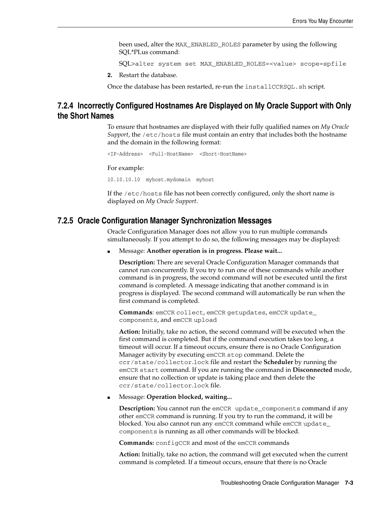been used, alter the MAX\_ENABLED\_ROLES parameter by using the following SQL\*PLus command:

SQL>alter system set MAX\_ENABLED\_ROLES=<value> scope=spfile

**2.** Restart the database.

Once the database has been restarted, re-run the installCCRSQL.sh script.

# **7.2.4 Incorrectly Configured Hostnames Are Displayed on My Oracle Support with Only the Short Names**

To ensure that hostnames are displayed with their fully qualified names on *My Oracle Support*, the /etc/hosts file must contain an entry that includes both the hostname and the domain in the following format:

<IP-Address> <Full-HostName> <Short-HostName>

For example:

10.10.10.10 myhost.mydomain myhost

If the /etc/hosts file has not been correctly configured, only the short name is displayed on *My Oracle Support*.

## **7.2.5 Oracle Configuration Manager Synchronization Messages**

Oracle Configuration Manager does not allow you to run multiple commands simultaneously. If you attempt to do so, the following messages may be displayed:

Message: Another operation is in progress. Please wait...

**Description:** There are several Oracle Configuration Manager commands that cannot run concurrently. If you try to run one of these commands while another command is in progress, the second command will not be executed until the first command is completed. A message indicating that another command is in progress is displayed. The second command will automatically be run when the first command is completed.

**Commands**: emCCR collect, emCCR getupdates, emCCR update\_ components, and emCCR upload

**Action:** Initially, take no action, the second command will be executed when the first command is completed. But if the command execution takes too long, a timeout will occur. If a timeout occurs, ensure there is no Oracle Configuration Manager activity by executing emCCR stop command. Delete the ccr/state/collector.lock file and restart the **Scheduler** by running the emCCR start command. If you are running the command in **Disconnected** mode, ensure that no collection or update is taking place and then delete the ccr/state/collector.lock file.

■ Message: **Operation blocked, waiting...**

**Description:** You cannot run the emCCR update\_components command if any other emCCR command is running. If you try to run the command, it will be blocked. You also cannot run any emCCR command while emCCR update\_ components is running as all other commands will be blocked.

**Commands:** configCCR and most of the emCCR commands

**Action:** Initially, take no action, the command will get executed when the current command is completed. If a timeout occurs, ensure that there is no Oracle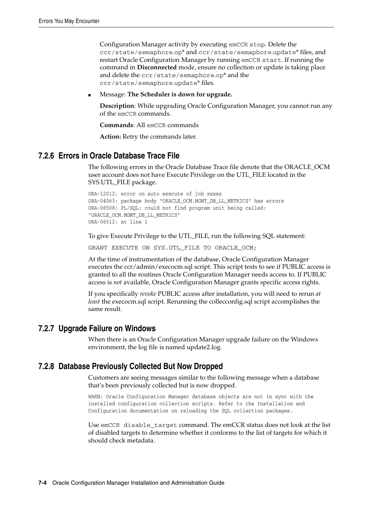Configuration Manager activity by executing emCCR stop. Delete the ccr/state/semaphore.op\* and ccr/state/semaphore.update\* files, and restart Oracle Configuration Manager by running emCCR start. If running the command in **Disconnected** mode, ensure no collection or update is taking place and delete the ccr/state/semaphore.op\* and the ccr/state/semaphore.update\* files.

Message: The Scheduler is down for upgrade.

**Description**: While upgrading Oracle Configuration Manager, you cannot run any of the emCCR commands.

**Commands**: All emCCR commands

**Action:** Retry the commands later.

# **7.2.6 Errors in Oracle Database Trace File**

The following errors in the Oracle Database Trace file denote that the ORACLE\_OCM user account does not have Execute Privilege on the UTL\_FILE located in the SYS.UTL\_FILE package.

ORA-12012: error on auto execute of job xxxxx ORA-04063: package body "ORACLE\_OCM.MGMT\_DB\_LL\_METRICS" has errors ORA-06508: PL/SQL: could not find program unit being called: "ORACLE\_OCM.MGMT\_DB\_LL\_METRICS" ORA-06512: at line 1

To give Execute Privilege to the UTL\_FILE, run the following SQL statement:

GRANT EXECUTE ON SYS.UTL FILE TO ORACLE OCM;

At the time of instrumentation of the database, Oracle Configuration Manager executes the ccr/admin/execocm.sql script. This script tests to see if PUBLIC access is granted to all the routines Oracle Configuration Manager needs access to. If PUBLIC access is *not* available, Oracle Configuration Manager grants specific access rights.

If you specifically *revoke* PUBLIC access after installation, you will need to rerun *at least* the execocm.sql script. Rerunning the collecconfig.sql script accomplishes the same result.

# **7.2.7 Upgrade Failure on Windows**

When there is an Oracle Configuration Manager upgrade failure on the Windows environment, the log file is named update2.log.

# **7.2.8 Database Previously Collected But Now Dropped**

Customers are seeing messages similar to the following message when a database that's been previously collected but is now dropped.

WARN: Oracle Configuration Manager database objects are not in sync with the installed configuration collection scripts. Refer to the Installation and Configuration documentation on reloading the SQL collection packages.

Use emCCR disable\_target command. The emCCR status does not look at the list of disabled targets to determine whether it conforms to the list of targets for which it should check metadata.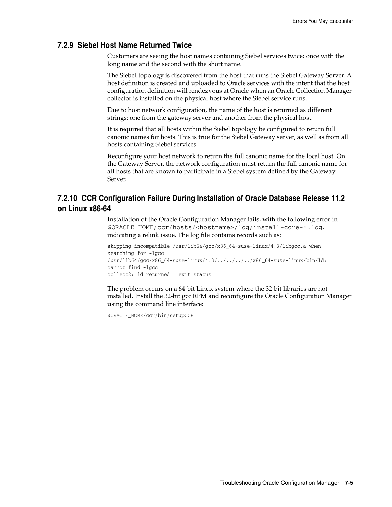# **7.2.9 Siebel Host Name Returned Twice**

Customers are seeing the host names containing Siebel services twice: once with the long name and the second with the short name.

The Siebel topology is discovered from the host that runs the Siebel Gateway Server. A host definition is created and uploaded to Oracle services with the intent that the host configuration definition will rendezvous at Oracle when an Oracle Collection Manager collector is installed on the physical host where the Siebel service runs.

Due to host network configuration, the name of the host is returned as different strings; one from the gateway server and another from the physical host.

It is required that all hosts within the Siebel topology be configured to return full canonic names for hosts. This is true for the Siebel Gateway server, as well as from all hosts containing Siebel services.

Reconfigure your host network to return the full canonic name for the local host. On the Gateway Server, the network configuration must return the full canonic name for all hosts that are known to participate in a Siebel system defined by the Gateway Server.

# **7.2.10 CCR Configuration Failure During Installation of Oracle Database Release 11.2 on Linux x86-64**

Installation of the Oracle Configuration Manager fails, with the following error in \$ORACLE\_HOME/ccr/hosts/<hostname>/log/install-core-\*.log, indicating a relink issue. The log file contains records such as:

skipping incompatible /usr/lib64/gcc/x86\_64-suse-linux/4.3/libgcc.a when searching for -lgcc /usr/lib64/gcc/x86\_64-suse-linux/4.3/../../../../x86\_64-suse-linux/bin/ld: cannot find -lgcc collect2: ld returned 1 exit status

The problem occurs on a 64-bit Linux system where the 32-bit libraries are not installed. Install the 32-bit gcc RPM and reconfigure the Oracle Configuration Manager using the command line interface:

\$ORACLE\_HOME/ccr/bin/setupCCR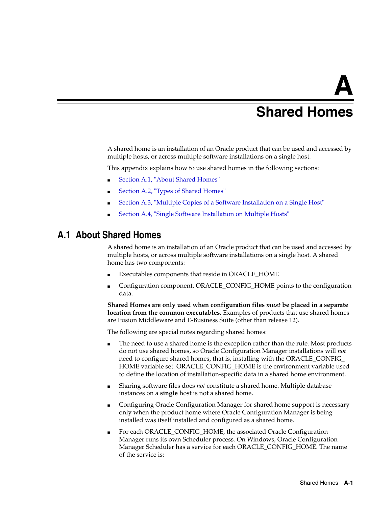# **A**

# <sup>A</sup>**Shared Homes**

A shared home is an installation of an Oracle product that can be used and accessed by multiple hosts, or across multiple software installations on a single host.

This appendix explains how to use shared homes in the following sections:

- [Section A.1, "About Shared Homes"](#page-88-0)
- [Section A.2, "Types of Shared Homes"](#page-89-0)
- [Section A.3, "Multiple Copies of a Software Installation on a Single Host"](#page-89-1)
- [Section A.4, "Single Software Installation on Multiple Hosts"](#page-91-0)

# <span id="page-88-0"></span>**A.1 About Shared Homes**

A shared home is an installation of an Oracle product that can be used and accessed by multiple hosts, or across multiple software installations on a single host. A shared home has two components:

- Executables components that reside in ORACLE\_HOME
- Configuration component. ORACLE\_CONFIG\_HOME points to the configuration data.

**Shared Homes are only used when configuration files** *must* **be placed in a separate location from the common executables.** Examples of products that use shared homes are Fusion Middleware and E-Business Suite (other than release 12).

The following are special notes regarding shared homes:

- The need to use a shared home is the exception rather than the rule. Most products do not use shared homes, so Oracle Configuration Manager installations will *not* need to configure shared homes, that is, installing with the ORACLE\_CONFIG\_ HOME variable set. ORACLE\_CONFIG\_HOME is the environment variable used to define the location of installation-specific data in a shared home environment.
- Sharing software files does *not* constitute a shared home. Multiple database instances on a **single** host is not a shared home.
- Configuring Oracle Configuration Manager for shared home support is necessary only when the product home where Oracle Configuration Manager is being installed was itself installed and configured as a shared home.
- For each ORACLE\_CONFIG\_HOME, the associated Oracle Configuration Manager runs its own Scheduler process. On Windows, Oracle Configuration Manager Scheduler has a service for each ORACLE\_CONFIG\_HOME. The name of the service is: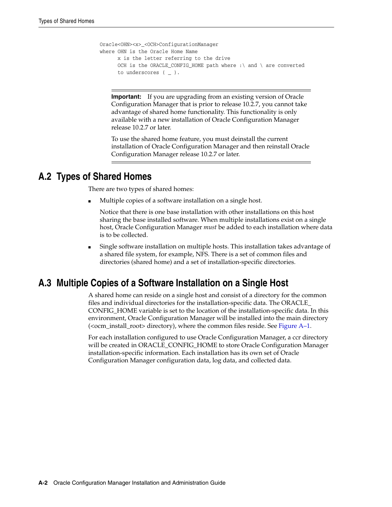```
Oracle<OHN><x>_<OCH>ConfigurationManager 
where OHN is the Oracle Home Name
       x is the letter referring to the drive
       OCH is the ORACLE_CONFIG_HOME path where :\ and \ are converted 
       to underscores ( _ ).
```
**Important:** If you are upgrading from an existing version of Oracle Configuration Manager that is prior to release 10.2.7, you cannot take advantage of shared home functionality. This functionality is only available with a new installation of Oracle Configuration Manager release 10.2.7 or later.

To use the shared home feature, you must deinstall the current installation of Oracle Configuration Manager and then reinstall Oracle Configuration Manager release 10.2.7 or later.

# <span id="page-89-0"></span>**A.2 Types of Shared Homes**

There are two types of shared homes:

Multiple copies of a software installation on a single host.

Notice that there is one base installation with other installations on this host sharing the base installed software. When multiple installations exist on a single host, Oracle Configuration Manager *must* be added to each installation where data is to be collected.

Single software installation on multiple hosts. This installation takes advantage of a shared file system, for example, NFS. There is a set of common files and directories (shared home) and a set of installation-specific directories.

# <span id="page-89-1"></span>**A.3 Multiple Copies of a Software Installation on a Single Host**

A shared home can reside on a single host and consist of a directory for the common files and individual directories for the installation-specific data. The ORACLE\_ CONFIG\_HOME variable is set to the location of the installation-specific data. In this environment, Oracle Configuration Manager will be installed into the main directory (<ocm\_install\_root> directory), where the common files reside. See Figure A–1.

For each installation configured to use Oracle Configuration Manager, a ccr directory will be created in ORACLE\_CONFIG\_HOME to store Oracle Configuration Manager installation-specific information. Each installation has its own set of Oracle Configuration Manager configuration data, log data, and collected data.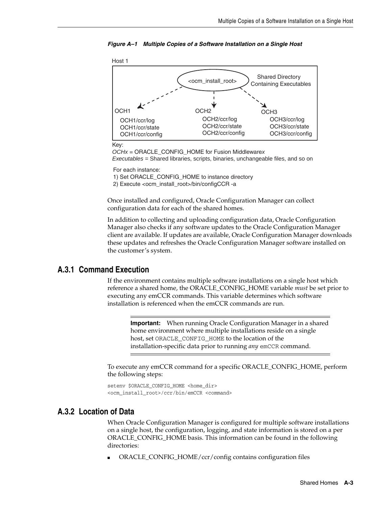

*Figure A–1 Multiple Copies of a Software Installation on a Single Host*

Key:

*OCHx* = ORACLE\_CONFIG\_HOME for Fusion Middleware*x Executables =* Shared libraries, scripts, binaries, unchangeable files, and so on

For each instance:

1) Set ORACLE\_CONFIG\_HOME to instance directory

2) Execute <ocm\_install\_root>/bin/configCCR -a

Once installed and configured, Oracle Configuration Manager can collect configuration data for each of the shared homes.

In addition to collecting and uploading configuration data, Oracle Configuration Manager also checks if any software updates to the Oracle Configuration Manager client are available. If updates are available, Oracle Configuration Manager downloads these updates and refreshes the Oracle Configuration Manager software installed on the customer's system.

# **A.3.1 Command Execution**

If the environment contains multiple software installations on a single host which reference a shared home, the ORACLE\_CONFIG\_HOME variable *must* be set prior to executing any emCCR commands. This variable determines which software installation is referenced when the emCCR commands are run.

**Important:** When running Oracle Configuration Manager in a shared home environment where multiple installations reside on a single host, set ORACLE\_CONFIG\_HOME to the location of the installation-specific data prior to running *any* emCCR command.

To execute any emCCR command for a specific ORACLE\_CONFIG\_HOME, perform the following steps:

setenv \$ORACLE CONFIG HOME <home dir> <ocm\_install\_root>/ccr/bin/emCCR <command>

# **A.3.2 Location of Data**

When Oracle Configuration Manager is configured for multiple software installations on a single host, the configuration, logging, and state information is stored on a per ORACLE\_CONFIG\_HOME basis. This information can be found in the following directories:

ORACLE\_CONFIG\_HOME/ccr/config contains configuration files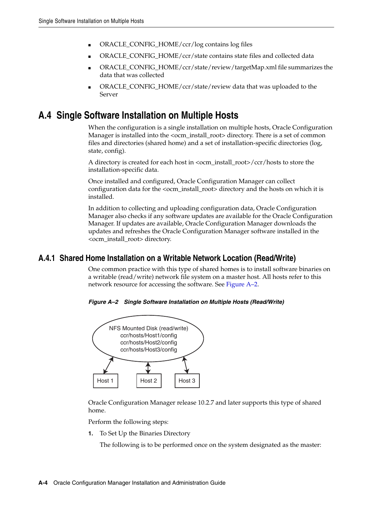- ORACLE\_CONFIG\_HOME/ccr/log contains log files
- ORACLE\_CONFIG\_HOME/ccr/state contains state files and collected data
- ORACLE\_CONFIG\_HOME/ccr/state/review/targetMap.xml file summarizes the data that was collected
- ORACLE\_CONFIG\_HOME/ccr/state/review data that was uploaded to the Server

# <span id="page-91-0"></span>**A.4 Single Software Installation on Multiple Hosts**

When the configuration is a single installation on multiple hosts, Oracle Configuration Manager is installed into the <ocm\_install\_root> directory. There is a set of common files and directories (shared home) and a set of installation-specific directories (log, state, config).

A directory is created for each host in <ocm\_install\_root>/ccr/hosts to store the installation-specific data.

Once installed and configured, Oracle Configuration Manager can collect configuration data for the <ocm\_install\_root> directory and the hosts on which it is installed.

In addition to collecting and uploading configuration data, Oracle Configuration Manager also checks if any software updates are available for the Oracle Configuration Manager. If updates are available, Oracle Configuration Manager downloads the updates and refreshes the Oracle Configuration Manager software installed in the <ocm\_install\_root> directory.

# **A.4.1 Shared Home Installation on a Writable Network Location (Read/Write)**

One common practice with this type of shared homes is to install software binaries on a writable (read/write) network file system on a master host. All hosts refer to this network resource for accessing the software. See Figure A–2.

*Figure A–2 Single Software Installation on Multiple Hosts (Read/Write)*



Oracle Configuration Manager release 10.2.7 and later supports this type of shared home.

Perform the following steps:

**1.** To Set Up the Binaries Directory

The following is to be performed once on the system designated as the master: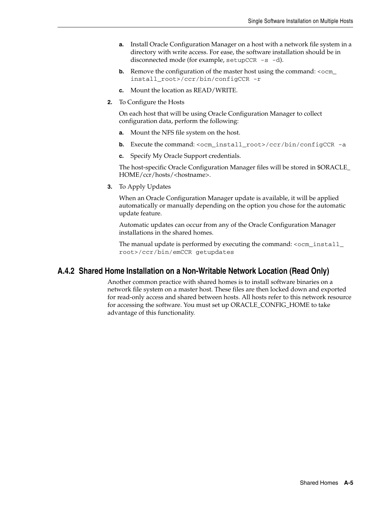- **a.** Install Oracle Configuration Manager on a host with a network file system in a directory with write access. For ease, the software installation should be in disconnected mode (for example, setupCCR -s -d).
- **b.** Remove the configuration of the master host using the command: <ocm\_ install\_root>/ccr/bin/configCCR -r
- **c.** Mount the location as READ/WRITE.
- **2.** To Configure the Hosts

On each host that will be using Oracle Configuration Manager to collect configuration data, perform the following:

- **a.** Mount the NFS file system on the host.
- **b.** Execute the command: <ocm\_install\_root>/ccr/bin/configCCR -a
- **c.** Specify My Oracle Support credentials.

The host-specific Oracle Configuration Manager files will be stored in \$ORACLE\_ HOME/ccr/hosts/<hostname>.

**3.** To Apply Updates

When an Oracle Configuration Manager update is available, it will be applied automatically or manually depending on the option you chose for the automatic update feature.

Automatic updates can occur from any of the Oracle Configuration Manager installations in the shared homes.

The manual update is performed by executing the command: <ocm\_install\_ root>/ccr/bin/emCCR getupdates

# **A.4.2 Shared Home Installation on a Non-Writable Network Location (Read Only)**

Another common practice with shared homes is to install software binaries on a network file system on a master host. These files are then locked down and exported for read-only access and shared between hosts. All hosts refer to this network resource for accessing the software. You must set up ORACLE\_CONFIG\_HOME to take advantage of this functionality.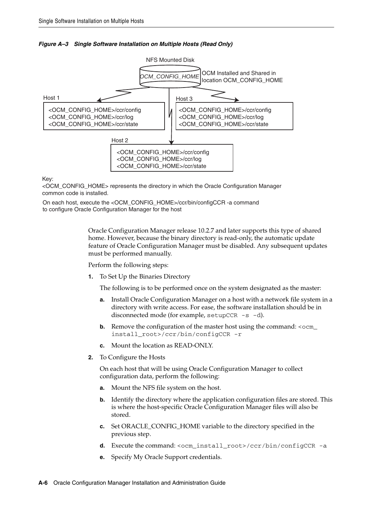



Key:

<OCM\_CONFIG\_HOME> represents the directory in which the Oracle Configuration Manager common code is installed.

On each host, execute the <OCM\_CONFIG\_HOME>/ccr/bin/configCCR -a command to configure Oracle Configuration Manager for the host

> Oracle Configuration Manager release 10.2.7 and later supports this type of shared home. However, because the binary directory is read-only, the automatic update feature of Oracle Configuration Manager must be disabled. Any subsequent updates must be performed manually.

Perform the following steps:

**1.** To Set Up the Binaries Directory

The following is to be performed once on the system designated as the master:

- **a.** Install Oracle Configuration Manager on a host with a network file system in a directory with write access. For ease, the software installation should be in disconnected mode (for example, setupCCR -s -d).
- **b.** Remove the configuration of the master host using the command: < $ocm$ install\_root>/ccr/bin/configCCR -r
- **c.** Mount the location as READ-ONLY.
- **2.** To Configure the Hosts

On each host that will be using Oracle Configuration Manager to collect configuration data, perform the following:

- **a.** Mount the NFS file system on the host.
- **b.** Identify the directory where the application configuration files are stored. This is where the host-specific Oracle Configuration Manager files will also be stored.
- **c.** Set ORACLE\_CONFIG\_HOME variable to the directory specified in the previous step.
- **d.** Execute the command: <ocm\_install\_root>/ccr/bin/configCCR -a
- **e.** Specify My Oracle Support credentials.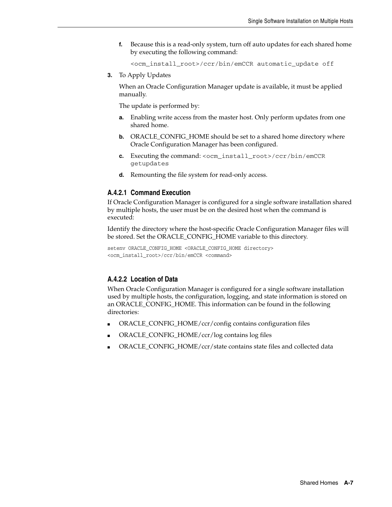**f.** Because this is a read-only system, turn off auto updates for each shared home by executing the following command:

```
<ocm_install_root>/ccr/bin/emCCR automatic_update off
```
**3.** To Apply Updates

When an Oracle Configuration Manager update is available, it must be applied manually.

The update is performed by:

- **a.** Enabling write access from the master host. Only perform updates from one shared home.
- **b.** ORACLE\_CONFIG\_HOME should be set to a shared home directory where Oracle Configuration Manager has been configured.
- **c.** Executing the command: <ocm\_install\_root>/ccr/bin/emCCR getupdates
- **d.** Remounting the file system for read-only access.

#### **A.4.2.1 Command Execution**

If Oracle Configuration Manager is configured for a single software installation shared by multiple hosts, the user must be on the desired host when the command is executed:

Identify the directory where the host-specific Oracle Configuration Manager files will be stored. Set the ORACLE\_CONFIG\_HOME variable to this directory.

```
setenv ORACLE_CONFIG_HOME <ORACLE_CONFIG_HOME directory>
<ocm_install_root>/ccr/bin/emCCR <command>
```
# **A.4.2.2 Location of Data**

When Oracle Configuration Manager is configured for a single software installation used by multiple hosts, the configuration, logging, and state information is stored on an ORACLE\_CONFIG\_HOME. This information can be found in the following directories:

- ORACLE\_CONFIG\_HOME/ccr/config contains configuration files
- ORACLE\_CONFIG\_HOME/ccr/log contains log files
- ORACLE\_CONFIG\_HOME/ccr/state contains state files and collected data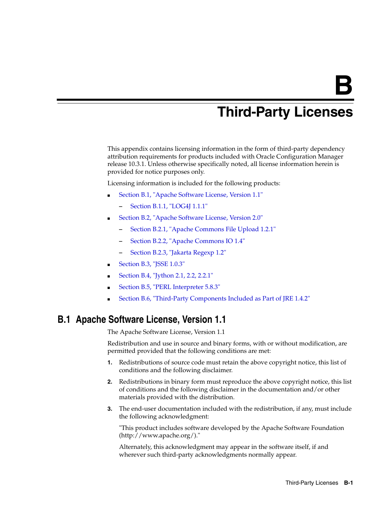# <sup>B</sup>**Third-Party Licenses**

This appendix contains licensing information in the form of third-party dependency attribution requirements for products included with Oracle Configuration Manager release 10.3.1. Unless otherwise specifically noted, all license information herein is provided for notice purposes only.

Licensing information is included for the following products:

- [Section B.1, "Apache Software License, Version 1.1"](#page-96-0)
	- **–** [Section B.1.1, "LOG4J 1.1.1"](#page-97-0)
- [Section B.2, "Apache Software License, Version 2.0"](#page-97-1)
	- **–** [Section B.2.1, "Apache Commons File Upload 1.2.1"](#page-100-0)
	- **–** [Section B.2.2, "Apache Commons IO 1.4"](#page-100-1)
	- **–** [Section B.2.3, "Jakarta Regexp 1.2"](#page-100-2)
- [Section B.3, "JSSE 1.0.3"](#page-101-0)
- [Section B.4, "Jython 2.1, 2.2, 2.2.1"](#page-101-2)
- [Section B.5, "PERL Interpreter 5.8.3"](#page-101-1)
- [Section B.6, "Third-Party Components Included as Part of JRE 1.4.2"](#page-103-0)

# <span id="page-96-0"></span>**B.1 Apache Software License, Version 1.1**

The Apache Software License, Version 1.1

Redistribution and use in source and binary forms, with or without modification, are permitted provided that the following conditions are met:

- **1.** Redistributions of source code must retain the above copyright notice, this list of conditions and the following disclaimer.
- **2.** Redistributions in binary form must reproduce the above copyright notice, this list of conditions and the following disclaimer in the documentation and/or other materials provided with the distribution.
- **3.** The end-user documentation included with the redistribution, if any, must include the following acknowledgment:

"This product includes software developed by the Apache Software Foundation (http://www.apache.org/)."

Alternately, this acknowledgment may appear in the software itself, if and wherever such third-party acknowledgments normally appear.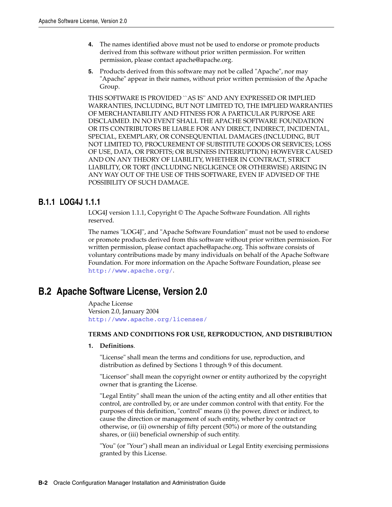- **4.** The names identified above must not be used to endorse or promote products derived from this software without prior written permission. For written permission, please contact apache@apache.org.
- **5.** Products derived from this software may not be called "Apache", nor may "Apache" appear in their names, without prior written permission of the Apache Group.

THIS SOFTWARE IS PROVIDED ``AS IS'' AND ANY EXPRESSED OR IMPLIED WARRANTIES, INCLUDING, BUT NOT LIMITED TO, THE IMPLIED WARRANTIES OF MERCHANTABILITY AND FITNESS FOR A PARTICULAR PURPOSE ARE DISCLAIMED. IN NO EVENT SHALL THE APACHE SOFTWARE FOUNDATION OR ITS CONTRIBUTORS BE LIABLE FOR ANY DIRECT, INDIRECT, INCIDENTAL, SPECIAL, EXEMPLARY, OR CONSEQUENTIAL DAMAGES (INCLUDING, BUT NOT LIMITED TO, PROCUREMENT OF SUBSTITUTE GOODS OR SERVICES; LOSS OF USE, DATA, OR PROFITS; OR BUSINESS INTERRUPTION) HOWEVER CAUSED AND ON ANY THEORY OF LIABILITY, WHETHER IN CONTRACT, STRICT LIABILITY, OR TORT (INCLUDING NEGLIGENCE OR OTHERWISE) ARISING IN ANY WAY OUT OF THE USE OF THIS SOFTWARE, EVEN IF ADVISED OF THE POSSIBILITY OF SUCH DAMAGE.

# <span id="page-97-0"></span>**B.1.1 LOG4J 1.1.1**

LOG4J version 1.1.1, Copyright © The Apache Software Foundation. All rights reserved.

The names "LOG4J", and "Apache Software Foundation" must not be used to endorse or promote products derived from this software without prior written permission. For written permission, please contact apache@apache.org. This software consists of voluntary contributions made by many individuals on behalf of the Apache Software Foundation. For more information on the Apache Software Foundation, please see http://www.apache.org/.

# <span id="page-97-1"></span>**B.2 Apache Software License, Version 2.0**

Apache License Version 2.0, January 2004 http://www.apache.org/licenses/

## **TERMS AND CONDITIONS FOR USE, REPRODUCTION, AND DISTRIBUTION**

## **1. Definitions**.

"License" shall mean the terms and conditions for use, reproduction, and distribution as defined by Sections 1 through 9 of this document.

"Licensor" shall mean the copyright owner or entity authorized by the copyright owner that is granting the License.

"Legal Entity" shall mean the union of the acting entity and all other entities that control, are controlled by, or are under common control with that entity. For the purposes of this definition, "control" means (i) the power, direct or indirect, to cause the direction or management of such entity, whether by contract or otherwise, or (ii) ownership of fifty percent (50%) or more of the outstanding shares, or (iii) beneficial ownership of such entity.

"You" (or "Your") shall mean an individual or Legal Entity exercising permissions granted by this License.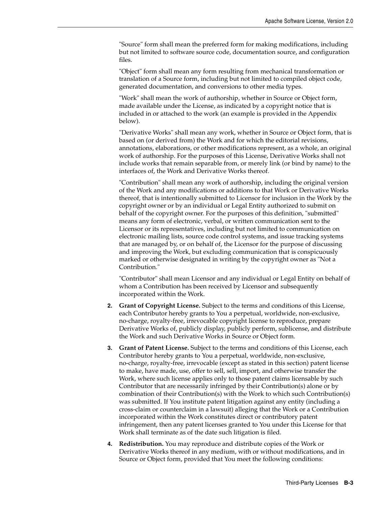"Source" form shall mean the preferred form for making modifications, including but not limited to software source code, documentation source, and configuration files.

"Object" form shall mean any form resulting from mechanical transformation or translation of a Source form, including but not limited to compiled object code, generated documentation, and conversions to other media types.

"Work" shall mean the work of authorship, whether in Source or Object form, made available under the License, as indicated by a copyright notice that is included in or attached to the work (an example is provided in the Appendix below).

"Derivative Works" shall mean any work, whether in Source or Object form, that is based on (or derived from) the Work and for which the editorial revisions, annotations, elaborations, or other modifications represent, as a whole, an original work of authorship. For the purposes of this License, Derivative Works shall not include works that remain separable from, or merely link (or bind by name) to the interfaces of, the Work and Derivative Works thereof.

"Contribution" shall mean any work of authorship, including the original version of the Work and any modifications or additions to that Work or Derivative Works thereof, that is intentionally submitted to Licensor for inclusion in the Work by the copyright owner or by an individual or Legal Entity authorized to submit on behalf of the copyright owner. For the purposes of this definition, "submitted" means any form of electronic, verbal, or written communication sent to the Licensor or its representatives, including but not limited to communication on electronic mailing lists, source code control systems, and issue tracking systems that are managed by, or on behalf of, the Licensor for the purpose of discussing and improving the Work, but excluding communication that is conspicuously marked or otherwise designated in writing by the copyright owner as "Not a Contribution."

"Contributor" shall mean Licensor and any individual or Legal Entity on behalf of whom a Contribution has been received by Licensor and subsequently incorporated within the Work.

- **2. Grant of Copyright License.** Subject to the terms and conditions of this License, each Contributor hereby grants to You a perpetual, worldwide, non-exclusive, no-charge, royalty-free, irrevocable copyright license to reproduce, prepare Derivative Works of, publicly display, publicly perform, sublicense, and distribute the Work and such Derivative Works in Source or Object form.
- **3. Grant of Patent License.** Subject to the terms and conditions of this License, each Contributor hereby grants to You a perpetual, worldwide, non-exclusive, no-charge, royalty-free, irrevocable (except as stated in this section) patent license to make, have made, use, offer to sell, sell, import, and otherwise transfer the Work, where such license applies only to those patent claims licensable by such Contributor that are necessarily infringed by their Contribution(s) alone or by combination of their Contribution(s) with the Work to which such Contribution(s) was submitted. If You institute patent litigation against any entity (including a cross-claim or counterclaim in a lawsuit) alleging that the Work or a Contribution incorporated within the Work constitutes direct or contributory patent infringement, then any patent licenses granted to You under this License for that Work shall terminate as of the date such litigation is filed.
- **4. Redistribution.** You may reproduce and distribute copies of the Work or Derivative Works thereof in any medium, with or without modifications, and in Source or Object form, provided that You meet the following conditions: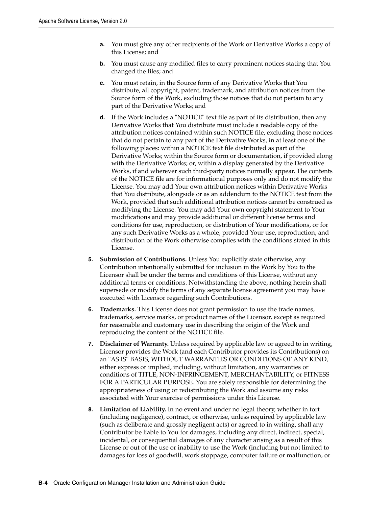- **a.** You must give any other recipients of the Work or Derivative Works a copy of this License; and
- **b.** You must cause any modified files to carry prominent notices stating that You changed the files; and
- **c.** You must retain, in the Source form of any Derivative Works that You distribute, all copyright, patent, trademark, and attribution notices from the Source form of the Work, excluding those notices that do not pertain to any part of the Derivative Works; and
- **d.** If the Work includes a "NOTICE" text file as part of its distribution, then any Derivative Works that You distribute must include a readable copy of the attribution notices contained within such NOTICE file, excluding those notices that do not pertain to any part of the Derivative Works, in at least one of the following places: within a NOTICE text file distributed as part of the Derivative Works; within the Source form or documentation, if provided along with the Derivative Works; or, within a display generated by the Derivative Works, if and wherever such third-party notices normally appear. The contents of the NOTICE file are for informational purposes only and do not modify the License. You may add Your own attribution notices within Derivative Works that You distribute, alongside or as an addendum to the NOTICE text from the Work, provided that such additional attribution notices cannot be construed as modifying the License. You may add Your own copyright statement to Your modifications and may provide additional or different license terms and conditions for use, reproduction, or distribution of Your modifications, or for any such Derivative Works as a whole, provided Your use, reproduction, and distribution of the Work otherwise complies with the conditions stated in this License.
- **5. Submission of Contributions.** Unless You explicitly state otherwise, any Contribution intentionally submitted for inclusion in the Work by You to the Licensor shall be under the terms and conditions of this License, without any additional terms or conditions. Notwithstanding the above, nothing herein shall supersede or modify the terms of any separate license agreement you may have executed with Licensor regarding such Contributions.
- **6. Trademarks.** This License does not grant permission to use the trade names, trademarks, service marks, or product names of the Licensor, except as required for reasonable and customary use in describing the origin of the Work and reproducing the content of the NOTICE file.
- **7. Disclaimer of Warranty.** Unless required by applicable law or agreed to in writing, Licensor provides the Work (and each Contributor provides its Contributions) on an "AS IS" BASIS, WITHOUT WARRANTIES OR CONDITIONS OF ANY KIND, either express or implied, including, without limitation, any warranties or conditions of TITLE, NON-INFRINGEMENT, MERCHANTABILITY, or FITNESS FOR A PARTICULAR PURPOSE. You are solely responsible for determining the appropriateness of using or redistributing the Work and assume any risks associated with Your exercise of permissions under this License.
- **8. Limitation of Liability.** In no event and under no legal theory, whether in tort (including negligence), contract, or otherwise, unless required by applicable law (such as deliberate and grossly negligent acts) or agreed to in writing, shall any Contributor be liable to You for damages, including any direct, indirect, special, incidental, or consequential damages of any character arising as a result of this License or out of the use or inability to use the Work (including but not limited to damages for loss of goodwill, work stoppage, computer failure or malfunction, or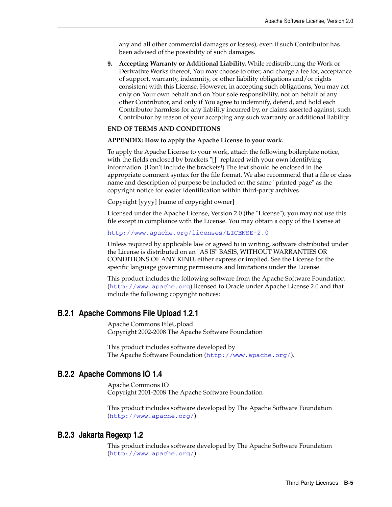any and all other commercial damages or losses), even if such Contributor has been advised of the possibility of such damages.

**9. Accepting Warranty or Additional Liability.** While redistributing the Work or Derivative Works thereof, You may choose to offer, and charge a fee for, acceptance of support, warranty, indemnity, or other liability obligations and/or rights consistent with this License. However, in accepting such obligations, You may act only on Your own behalf and on Your sole responsibility, not on behalf of any other Contributor, and only if You agree to indemnify, defend, and hold each Contributor harmless for any liability incurred by, or claims asserted against, such Contributor by reason of your accepting any such warranty or additional liability.

#### **END OF TERMS AND CONDITIONS**

#### **APPENDIX: How to apply the Apache License to your work.**

To apply the Apache License to your work, attach the following boilerplate notice, with the fields enclosed by brackets "[]" replaced with your own identifying information. (Don't include the brackets!) The text should be enclosed in the appropriate comment syntax for the file format. We also recommend that a file or class name and description of purpose be included on the same "printed page" as the copyright notice for easier identification within third-party archives.

Copyright [yyyy] [name of copyright owner]

Licensed under the Apache License, Version 2.0 (the "License"); you may not use this file except in compliance with the License. You may obtain a copy of the License at

http://www.apache.org/licenses/LICENSE-2.0

Unless required by applicable law or agreed to in writing, software distributed under the License is distributed on an "AS IS" BASIS, WITHOUT WARRANTIES OR CONDITIONS OF ANY KIND, either express or implied. See the License for the specific language governing permissions and limitations under the License.

This product includes the following software from the Apache Software Foundation (http://www.apache.org) licensed to Oracle under Apache License 2.0 and that include the following copyright notices:

# <span id="page-100-0"></span>**B.2.1 Apache Commons File Upload 1.2.1**

Apache Commons FileUpload Copyright 2002-2008 The Apache Software Foundation

This product includes software developed by The Apache Software Foundation (http://www.apache.org/).

# <span id="page-100-1"></span>**B.2.2 Apache Commons IO 1.4**

Apache Commons IO Copyright 2001-2008 The Apache Software Foundation

This product includes software developed by The Apache Software Foundation (http://www.apache.org/).

# <span id="page-100-2"></span>**B.2.3 Jakarta Regexp 1.2**

This product includes software developed by The Apache Software Foundation (http://www.apache.org/).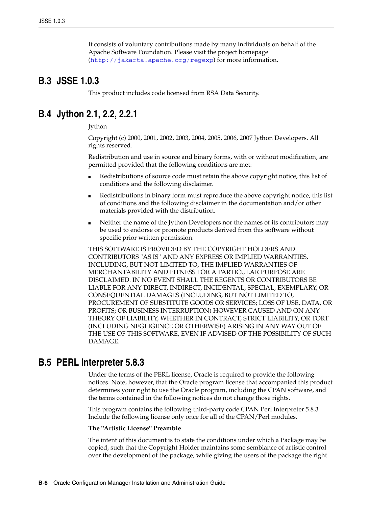It consists of voluntary contributions made by many individuals on behalf of the Apache Software Foundation. Please visit the project homepage (http://jakarta.apache.org/regexp) for more information.

# <span id="page-101-0"></span>**B.3 JSSE 1.0.3**

This product includes code licensed from RSA Data Security.

# <span id="page-101-2"></span>**B.4 Jython 2.1, 2.2, 2.2.1**

Jython

Copyright (c) 2000, 2001, 2002, 2003, 2004, 2005, 2006, 2007 Jython Developers. All rights reserved.

Redistribution and use in source and binary forms, with or without modification, are permitted provided that the following conditions are met:

- Redistributions of source code must retain the above copyright notice, this list of conditions and the following disclaimer.
- Redistributions in binary form must reproduce the above copyright notice, this list of conditions and the following disclaimer in the documentation and/or other materials provided with the distribution.
- Neither the name of the Jython Developers nor the names of its contributors may be used to endorse or promote products derived from this software without specific prior written permission.

THIS SOFTWARE IS PROVIDED BY THE COPYRIGHT HOLDERS AND CONTRIBUTORS "AS IS'' AND ANY EXPRESS OR IMPLIED WARRANTIES, INCLUDING, BUT NOT LIMITED TO, THE IMPLIED WARRANTIES OF MERCHANTABILITY AND FITNESS FOR A PARTICULAR PURPOSE ARE DISCLAIMED. IN NO EVENT SHALL THE REGENTS OR CONTRIBUTORS BE LIABLE FOR ANY DIRECT, INDIRECT, INCIDENTAL, SPECIAL, EXEMPLARY, OR CONSEQUENTIAL DAMAGES (INCLUDING, BUT NOT LIMITED TO, PROCUREMENT OF SUBSTITUTE GOODS OR SERVICES; LOSS OF USE, DATA, OR PROFITS; OR BUSINESS INTERRUPTION) HOWEVER CAUSED AND ON ANY THEORY OF LIABILITY, WHETHER IN CONTRACT, STRICT LIABILITY, OR TORT (INCLUDING NEGLIGENCE OR OTHERWISE) ARISING IN ANY WAY OUT OF THE USE OF THIS SOFTWARE, EVEN IF ADVISED OF THE POSSIBILITY OF SUCH DAMAGE.

# <span id="page-101-1"></span>**B.5 PERL Interpreter 5.8.3**

Under the terms of the PERL license, Oracle is required to provide the following notices. Note, however, that the Oracle program license that accompanied this product determines your right to use the Oracle program, including the CPAN software, and the terms contained in the following notices do not change those rights.

This program contains the following third-party code CPAN Perl Interpreter 5.8.3 Include the following license only once for all of the CPAN/Perl modules.

#### **The "Artistic License" Preamble**

The intent of this document is to state the conditions under which a Package may be copied, such that the Copyright Holder maintains some semblance of artistic control over the development of the package, while giving the users of the package the right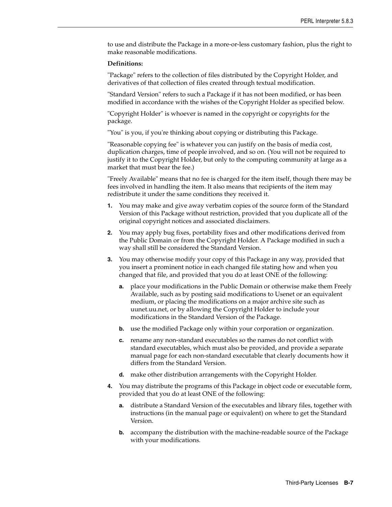to use and distribute the Package in a more-or-less customary fashion, plus the right to make reasonable modifications.

#### **Definitions:**

"Package" refers to the collection of files distributed by the Copyright Holder, and derivatives of that collection of files created through textual modification.

"Standard Version" refers to such a Package if it has not been modified, or has been modified in accordance with the wishes of the Copyright Holder as specified below.

"Copyright Holder" is whoever is named in the copyright or copyrights for the package.

"You" is you, if you're thinking about copying or distributing this Package.

"Reasonable copying fee" is whatever you can justify on the basis of media cost, duplication charges, time of people involved, and so on. (You will not be required to justify it to the Copyright Holder, but only to the computing community at large as a market that must bear the fee.)

"Freely Available" means that no fee is charged for the item itself, though there may be fees involved in handling the item. It also means that recipients of the item may redistribute it under the same conditions they received it.

- **1.** You may make and give away verbatim copies of the source form of the Standard Version of this Package without restriction, provided that you duplicate all of the original copyright notices and associated disclaimers.
- **2.** You may apply bug fixes, portability fixes and other modifications derived from the Public Domain or from the Copyright Holder. A Package modified in such a way shall still be considered the Standard Version.
- **3.** You may otherwise modify your copy of this Package in any way, provided that you insert a prominent notice in each changed file stating how and when you changed that file, and provided that you do at least ONE of the following:
	- **a.** place your modifications in the Public Domain or otherwise make them Freely Available, such as by posting said modifications to Usenet or an equivalent medium, or placing the modifications on a major archive site such as uunet.uu.net, or by allowing the Copyright Holder to include your modifications in the Standard Version of the Package.
	- **b.** use the modified Package only within your corporation or organization.
	- **c.** rename any non-standard executables so the names do not conflict with standard executables, which must also be provided, and provide a separate manual page for each non-standard executable that clearly documents how it differs from the Standard Version.
	- **d.** make other distribution arrangements with the Copyright Holder.
- **4.** You may distribute the programs of this Package in object code or executable form, provided that you do at least ONE of the following:
	- **a.** distribute a Standard Version of the executables and library files, together with instructions (in the manual page or equivalent) on where to get the Standard Version.
	- **b.** accompany the distribution with the machine-readable source of the Package with your modifications.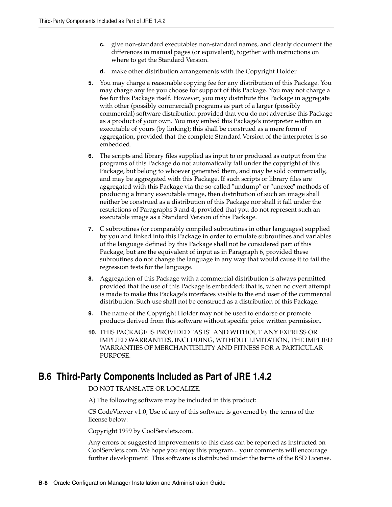- **c.** give non-standard executables non-standard names, and clearly document the differences in manual pages (or equivalent), together with instructions on where to get the Standard Version.
- **d.** make other distribution arrangements with the Copyright Holder.
- **5.** You may charge a reasonable copying fee for any distribution of this Package. You may charge any fee you choose for support of this Package. You may not charge a fee for this Package itself. However, you may distribute this Package in aggregate with other (possibly commercial) programs as part of a larger (possibly commercial) software distribution provided that you do not advertise this Package as a product of your own. You may embed this Package's interpreter within an executable of yours (by linking); this shall be construed as a mere form of aggregation, provided that the complete Standard Version of the interpreter is so embedded.
- **6.** The scripts and library files supplied as input to or produced as output from the programs of this Package do not automatically fall under the copyright of this Package, but belong to whoever generated them, and may be sold commercially, and may be aggregated with this Package. If such scripts or library files are aggregated with this Package via the so-called "undump" or "unexec" methods of producing a binary executable image, then distribution of such an image shall neither be construed as a distribution of this Package nor shall it fall under the restrictions of Paragraphs 3 and 4, provided that you do not represent such an executable image as a Standard Version of this Package.
- **7.** C subroutines (or comparably compiled subroutines in other languages) supplied by you and linked into this Package in order to emulate subroutines and variables of the language defined by this Package shall not be considered part of this Package, but are the equivalent of input as in Paragraph 6, provided these subroutines do not change the language in any way that would cause it to fail the regression tests for the language.
- **8.** Aggregation of this Package with a commercial distribution is always permitted provided that the use of this Package is embedded; that is, when no overt attempt is made to make this Package's interfaces visible to the end user of the commercial distribution. Such use shall not be construed as a distribution of this Package.
- **9.** The name of the Copyright Holder may not be used to endorse or promote products derived from this software without specific prior written permission.
- **10.** THIS PACKAGE IS PROVIDED "AS IS" AND WITHOUT ANY EXPRESS OR IMPLIED WARRANTIES, INCLUDING, WITHOUT LIMITATION, THE IMPLIED WARRANTIES OF MERCHANTIBILITY AND FITNESS FOR A PARTICULAR PURPOSE.

# <span id="page-103-0"></span>**B.6 Third-Party Components Included as Part of JRE 1.4.2**

DO NOT TRANSLATE OR LOCALIZE.

A) The following software may be included in this product:

CS CodeViewer v1.0; Use of any of this software is governed by the terms of the license below:

Copyright 1999 by CoolServlets.com.

Any errors or suggested improvements to this class can be reported as instructed on CoolServlets.com. We hope you enjoy this program... your comments will encourage further development! This software is distributed under the terms of the BSD License.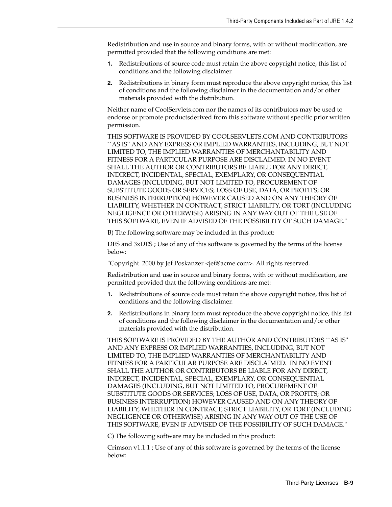Redistribution and use in source and binary forms, with or without modification, are permitted provided that the following conditions are met:

- **1.** Redistributions of source code must retain the above copyright notice, this list of conditions and the following disclaimer.
- **2.** Redistributions in binary form must reproduce the above copyright notice, this list of conditions and the following disclaimer in the documentation and/or other materials provided with the distribution.

Neither name of CoolServlets.com nor the names of its contributors may be used to endorse or promote productsderived from this software without specific prior written permission.

THIS SOFTWARE IS PROVIDED BY COOLSERVLETS.COM AND CONTRIBUTORS ``AS IS'' AND ANY EXPRESS OR IMPLIED WARRANTIES, INCLUDING, BUT NOT LIMITED TO, THE IMPLIED WARRANTIES OF MERCHANTABILITY AND FITNESS FOR A PARTICULAR PURPOSE ARE DISCLAIMED. IN NO EVENT SHALL THE AUTHOR OR CONTRIBUTORS BE LIABLE FOR ANY DIRECT, INDIRECT, INCIDENTAL, SPECIAL, EXEMPLARY, OR CONSEQUENTIAL DAMAGES (INCLUDING, BUT NOT LIMITED TO, PROCUREMENT OF SUBSTITUTE GOODS OR SERVICES; LOSS OF USE, DATA, OR PROFITS; OR BUSINESS INTERRUPTION) HOWEVER CAUSED AND ON ANY THEORY OF LIABILITY, WHETHER IN CONTRACT, STRICT LIABILITY, OR TORT (INCLUDING NEGLIGENCE OR OTHERWISE) ARISING IN ANY WAY OUT OF THE USE OF THIS SOFTWARE, EVEN IF ADVISED OF THE POSSIBILITY OF SUCH DAMAGE."

B) The following software may be included in this product:

DES and 3xDES ; Use of any of this software is governed by the terms of the license below:

"Copyright 2000 by Jef Poskanzer <jef@acme.com>. All rights reserved.

Redistribution and use in source and binary forms, with or without modification, are permitted provided that the following conditions are met:

- **1.** Redistributions of source code must retain the above copyright notice, this list of conditions and the following disclaimer.
- **2.** Redistributions in binary form must reproduce the above copyright notice, this list of conditions and the following disclaimer in the documentation and/or other materials provided with the distribution.

THIS SOFTWARE IS PROVIDED BY THE AUTHOR AND CONTRIBUTORS ``AS IS'' AND ANY EXPRESS OR IMPLIED WARRANTIES, INCLUDING, BUT NOT LIMITED TO, THE IMPLIED WARRANTIES OF MERCHANTABILITY AND FITNESS FOR A PARTICULAR PURPOSE ARE DISCLAIMED. IN NO EVENT SHALL THE AUTHOR OR CONTRIBUTORS BE LIABLE FOR ANY DIRECT, INDIRECT, INCIDENTAL, SPECIAL, EXEMPLARY, OR CONSEQUENTIAL DAMAGES (INCLUDING, BUT NOT LIMITED TO, PROCUREMENT OF SUBSTITUTE GOODS OR SERVICES; LOSS OF USE, DATA, OR PROFITS; OR BUSINESS INTERRUPTION) HOWEVER CAUSED AND ON ANY THEORY OF LIABILITY, WHETHER IN CONTRACT, STRICT LIABILITY, OR TORT (INCLUDING NEGLIGENCE OR OTHERWISE) ARISING IN ANY WAY OUT OF THE USE OF THIS SOFTWARE, EVEN IF ADVISED OF THE POSSIBILITY OF SUCH DAMAGE."

C) The following software may be included in this product:

Crimson v1.1.1 ; Use of any of this software is governed by the terms of the license below: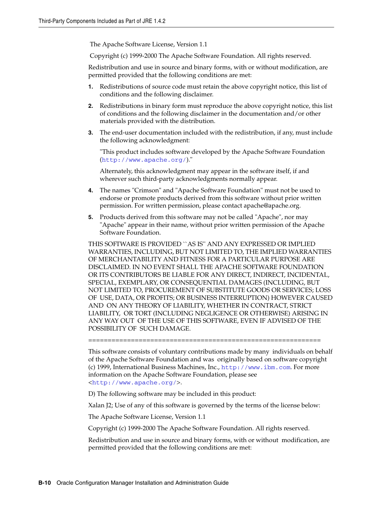The Apache Software License, Version 1.1

Copyright (c) 1999-2000 The Apache Software Foundation. All rights reserved.

Redistribution and use in source and binary forms, with or without modification, are permitted provided that the following conditions are met:

- **1.** Redistributions of source code must retain the above copyright notice, this list of conditions and the following disclaimer.
- **2.** Redistributions in binary form must reproduce the above copyright notice, this list of conditions and the following disclaimer in the documentation and/or other materials provided with the distribution.
- **3.** The end-user documentation included with the redistribution, if any, must include the following acknowledgment:

"This product includes software developed by the Apache Software Foundation (http://www.apache.org/)."

Alternately, this acknowledgment may appear in the software itself, if and wherever such third-party acknowledgments normally appear.

- **4.** The names "Crimson" and "Apache Software Foundation" must not be used to endorse or promote products derived from this software without prior written permission. For written permission, please contact apache@apache.org.
- **5.** Products derived from this software may not be called "Apache", nor may "Apache" appear in their name, without prior written permission of the Apache Software Foundation.

THIS SOFTWARE IS PROVIDED ``AS IS'' AND ANY EXPRESSED OR IMPLIED WARRANTIES, INCLUDING, BUT NOT LIMITED TO, THE IMPLIED WARRANTIES OF MERCHANTABILITY AND FITNESS FOR A PARTICULAR PURPOSE ARE DISCLAIMED. IN NO EVENT SHALL THE APACHE SOFTWARE FOUNDATION OR ITS CONTRIBUTORS BE LIABLE FOR ANY DIRECT, INDIRECT, INCIDENTAL, SPECIAL, EXEMPLARY, OR CONSEQUENTIAL DAMAGES (INCLUDING, BUT NOT LIMITED TO, PROCUREMENT OF SUBSTITUTE GOODS OR SERVICES; LOSS OF USE, DATA, OR PROFITS; OR BUSINESS INTERRUPTION) HOWEVER CAUSED AND ON ANY THEORY OF LIABILITY, WHETHER IN CONTRACT, STRICT LIABILITY, OR TORT (INCLUDING NEGLIGENCE OR OTHERWISE) ARISING IN ANY WAY OUT OF THE USE OF THIS SOFTWARE, EVEN IF ADVISED OF THE POSSIBILITY OF SUCH DAMAGE.

============================================================

This software consists of voluntary contributions made by many individuals on behalf of the Apache Software Foundation and was originally based on software copyright (c) 1999, International Business Machines, Inc., http://www.ibm.com. For more information on the Apache Software Foundation, please see <http://www.apache.org/>.

D) The following software may be included in this product:

Xalan J2; Use of any of this software is governed by the terms of the license below:

The Apache Software License, Version 1.1

Copyright (c) 1999-2000 The Apache Software Foundation. All rights reserved.

Redistribution and use in source and binary forms, with or without modification, are permitted provided that the following conditions are met: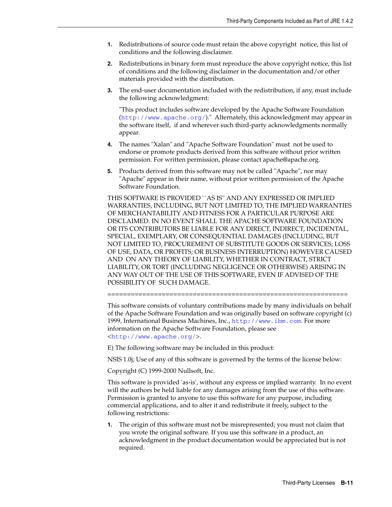- **1.** Redistributions of source code must retain the above copyright notice, this list of conditions and the following disclaimer.
- **2.** Redistributions in binary form must reproduce the above copyright notice, this list of conditions and the following disclaimer in the documentation and/or other materials provided with the distribution.
- **3.** The end-user documentation included with the redistribution, if any, must include the following acknowledgment:

"This product includes software developed by the Apache Software Foundation (http://www.apache.org/)." Alternately, this acknowledgment may appear in the software itself, if and wherever such third-party acknowledgments normally appear.

- **4.** The names "Xalan" and "Apache Software Foundation" must not be used to endorse or promote products derived from this software without prior written permission. For written permission, please contact apache@apache.org.
- **5.** Products derived from this software may not be called "Apache", nor may "Apache" appear in their name, without prior written permission of the Apache Software Foundation.

THIS SOFTWARE IS PROVIDED ``AS IS'' AND ANY EXPRESSED OR IMPLIED WARRANTIES, INCLUDING, BUT NOT LIMITED TO, THE IMPLIED WARRANTIES OF MERCHANTABILITY AND FITNESS FOR A PARTICULAR PURPOSE ARE DISCLAIMED. IN NO EVENT SHALL THE APACHE SOFTWARE FOUNDATION OR ITS CONTRIBUTORS BE LIABLE FOR ANY DIRECT, INDIRECT, INCIDENTAL, SPECIAL, EXEMPLARY, OR CONSEQUENTIAL DAMAGES (INCLUDING, BUT NOT LIMITED TO, PROCUREMENT OF SUBSTITUTE GOODS OR SERVICES; LOSS OF USE, DATA, OR PROFITS; OR BUSINESS INTERRUPTION) HOWEVER CAUSED AND ON ANY THEORY OF LIABILITY, WHETHER IN CONTRACT, STRICT LIABILITY, OR TORT (INCLUDING NEGLIGENCE OR OTHERWISE) ARISING IN ANY WAY OUT OF THE USE OF THIS SOFTWARE, EVEN IF ADVISED OF THE POSSIBILITY OF SUCH DAMAGE.

==============================================================

This software consists of voluntary contributions made by many individuals on behalf of the Apache Software Foundation and was originally based on software copyright (c) 1999, International Business Machines, Inc., http://www.ibm.com. For more information on the Apache Software Foundation, please see <http://www.apache.org/>.

E) The following software may be included in this product:

NSIS 1.0j; Use of any of this software is governed by the terms of the license below:

Copyright (C) 1999-2000 Nullsoft, Inc.

This software is provided 'as-is', without any express or implied warranty. In no event will the authors be held liable for any damages arising from the use of this software. Permission is granted to anyone to use this software for any purpose, including commercial applications, and to alter it and redistribute it freely, subject to the following restrictions:

**1.** The origin of this software must not be misrepresented; you must not claim that you wrote the original software. If you use this software in a product, an acknowledgment in the product documentation would be appreciated but is not required.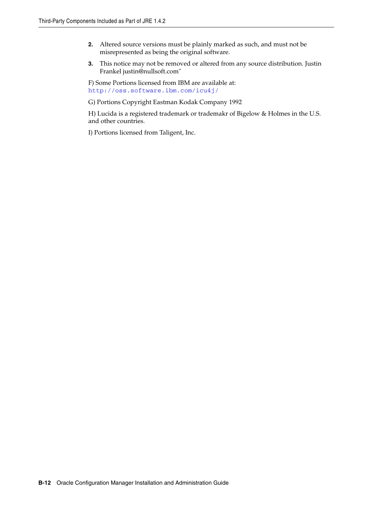- **2.** Altered source versions must be plainly marked as such, and must not be misrepresented as being the original software.
- **3.** This notice may not be removed or altered from any source distribution. Justin Frankel justin@nullsoft.com"

F) Some Portions licensed from IBM are available at: http://oss.software.ibm.com/icu4j/

G) Portions Copyright Eastman Kodak Company 1992

H) Lucida is a registered trademark or trademakr of Bigelow & Holmes in the U.S. and other countries.

I) Portions licensed from Taligent, Inc.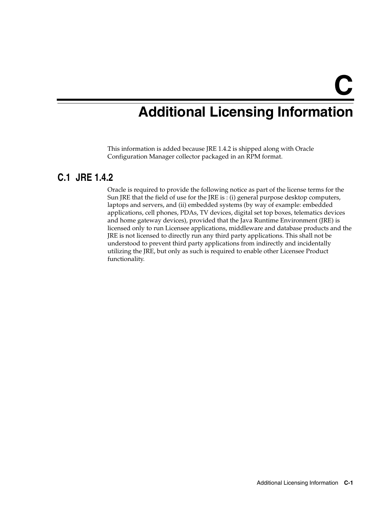**C**

# **Additional Licensing Information**

This information is added because JRE 1.4.2 is shipped along with Oracle Configuration Manager collector packaged in an RPM format.

# **C.1 JRE 1.4.2**

Oracle is required to provide the following notice as part of the license terms for the Sun JRE that the field of use for the JRE is : (i) general purpose desktop computers, laptops and servers, and (ii) embedded systems (by way of example: embedded applications, cell phones, PDAs, TV devices, digital set top boxes, telematics devices and home gateway devices), provided that the Java Runtime Environment (JRE) is licensed only to run Licensee applications, middleware and database products and the JRE is not licensed to directly run any third party applications. This shall not be understood to prevent third party applications from indirectly and incidentally utilizing the JRE, but only as such is required to enable other Licensee Product functionality.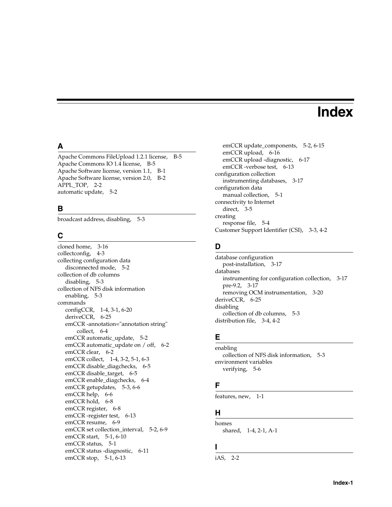# **Index**

## **A**

[Apache Commons FileUpload 1.2.1 license, B-5](#page-100-0) [Apache Commons IO 1.4 license, B-5](#page-100-1) [Apache Software license, version 1.1, B-1](#page-96-0) [Apache Software license, version 2.0, B-2](#page-97-0) [APPL\\_TOP, 2-2](#page-15-0) [automatic update, 5-2](#page-47-0)

# **B**

[broadcast address, disabling, 5-3](#page-48-0)

# **C**

[cloned home, 3-16](#page-35-0) [collectconfig, 4-3](#page-44-0) collecting configuration data [disconnected mode, 5-2](#page-47-1) collection of db columns [disabling, 5-3](#page-48-1) collection of NFS disk information [enabling, 5-3](#page-48-2) commands [configCCR, 1-4,](#page-11-0) [3-1,](#page-20-0) [6-20](#page-73-0) [deriveCCR, 6-25](#page-78-0) [emCCR -annotation="annotation string"](#page-57-0)  collect, 6-4 [emCCR automatic\\_update, 5-2](#page-47-2) [emCCR automatic\\_update on / off, 6-2](#page-55-0) [emCCR clear, 6-2](#page-55-1) [emCCR collect, 1-4,](#page-11-1) [3-2,](#page-21-0) [5-1,](#page-46-0) [6-3](#page-56-0) [emCCR disable\\_diagchecks, 6-5](#page-58-0) [emCCR disable\\_target, 6-5](#page-58-1) [emCCR enable\\_diagchecks, 6-4](#page-57-1) [emCCR getupdates, 5-3,](#page-48-3) [6-6](#page-59-0) [emCCR help, 6-6](#page-59-1) [emCCR hold, 6-8](#page-61-0) [emCCR register, 6-8](#page-61-1) [emCCR -register test, 6-13](#page-66-0) [emCCR resume, 6-9](#page-62-0) [emCCR set collection\\_interval, 5-2,](#page-47-3) [6-9](#page-62-1) [emCCR start, 5-1,](#page-46-1) [6-10](#page-63-0) [emCCR status, 5-1](#page-46-2) [emCCR status -diagnostic, 6-11](#page-64-0) [emCCR stop, 5-1,](#page-46-3) [6-13](#page-66-1)

[emCCR update\\_components, 5-2,](#page-47-4) [6-15](#page-68-0) [emCCR upload, 6-16](#page-69-0) [emCCR upload -diagnostic, 6-17](#page-70-0) [emCCR -verbose test, 6-13](#page-66-2) configuration collection [instrumenting databases, 3-17](#page-36-0) configuration data [manual collection, 5-1](#page-46-4) connectivity to Internet [direct, 3-5](#page-24-0) creating [response file, 5-4](#page-49-0) [Customer Support Identifier \(CSI\), 3-3,](#page-22-0) [4-2](#page-43-0)

# **D**

database configuration [post-installation, 3-17](#page-36-1) databases [instrumenting for configuration collection, 3-17](#page-36-0) [pre-9.2, 3-17](#page-36-2) [removing OCM instrumentation, 3-20](#page-39-0) [deriveCCR, 6-25](#page-78-0) disabling [collection of db columns, 5-3](#page-48-1) [distribution file, 3-4,](#page-23-0) [4-2](#page-43-1)

## **E**

enabling [collection of NFS disk information, 5-3](#page-48-2) environment variables [verifying, 5-6](#page-51-0)

## **F**

[features, new, 1-1](#page-8-0)

# **H**

homes [shared, 1-4,](#page-11-2) [2-1,](#page-14-0) [A-1](#page-88-0)

# **I**

[iAS, 2-2](#page-15-1)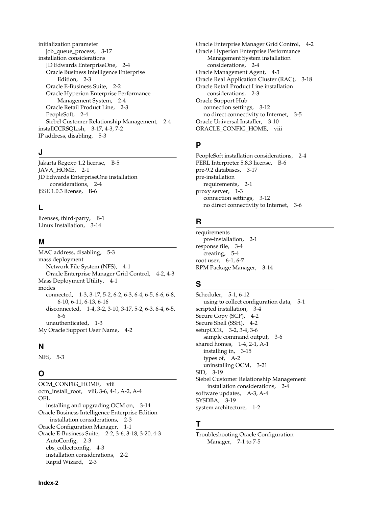initialization parameter [job\\_queue\\_process, 3-17](#page-36-3) installation considerations [JD Edwards EnterpriseOne, 2-4](#page-17-0) [Oracle Business Intelligence Enterprise](#page-16-0)  Edition, 2-3 [Oracle E-Business Suite, 2-2](#page-15-2) [Oracle Hyperion Enterprise Performance](#page-17-1)  Management System, 2-4 [Oracle Retail Product Line, 2-3](#page-16-1) [PeopleSoft, 2-4](#page-17-2) [Siebel Customer Relationship Management, 2-4](#page-17-3) [installCCRSQL.sh, 3-17,](#page-36-4) [4-3,](#page-44-1) [7-2](#page-83-0) [IP address, disabling, 5-3](#page-48-4)

#### **J**

[Jakarta Regexp 1.2 license, B-5](#page-100-2) [JAVA\\_HOME, 2-1](#page-14-1) [JD Edwards EnterpriseOne installation](#page-17-0)  considerations, 2-4 [JSSE 1.0.3 license, B-6](#page-101-0)

## **L**

[licenses, third-party, B-1](#page-96-1) [Linux Installation, 3-14](#page-33-0)

#### **M**

[MAC address, disabling, 5-3](#page-48-5) mass deployment [Network File System \(NFS\), 4-1](#page-42-0) [Oracle Enterprise Manager Grid Control, 4-2,](#page-43-2) [4-3](#page-44-2) [Mass Deployment Utility, 4-1](#page-42-1) modes [connected, 1-3,](#page-10-0) [3-17,](#page-36-5) [5-2,](#page-47-5) [6-2,](#page-55-2) [6-3,](#page-56-1) [6-4,](#page-57-2) [6-5,](#page-58-2) [6-6,](#page-59-2) [6-8,](#page-61-2)  [6-10,](#page-63-1) [6-11,](#page-64-1) [6-13,](#page-66-3) [6-16](#page-69-1) [disconnected, 1-4,](#page-11-3) [3-2,](#page-21-1) [3-10,](#page-29-0) [3-17,](#page-36-6) [5-2,](#page-47-6) [6-3,](#page-56-2) [6-4,](#page-57-3) [6-5,](#page-58-3)  [6-6](#page-59-3) [unauthenticated, 1-3](#page-10-1) [My Oracle Support User Name, 4-2](#page-43-3)

#### **N**

[NFS, 5-3](#page-48-6)

# **O**

[OCM\\_CONFIG\\_HOME, viii](#page-7-0) [ocm\\_install\\_root, viii,](#page-7-1) [3-6,](#page-25-0) [4-1,](#page-42-2) [A-2,](#page-89-0) [A-4](#page-91-0) OEL [installing and upgrading OCM on, 3-14](#page-33-1) [Oracle Business Intelligence Enterprise Edition](#page-16-0)  installation considerations, 2-3 [Oracle Configuration Manager, 1-1](#page-8-1) [Oracle E-Business Suite, 2-2,](#page-15-3) [3-6,](#page-25-1) [3-18,](#page-37-0) [3-20,](#page-39-1) [4-3](#page-44-3) [AutoConfig, 2-3](#page-16-2) [ebs\\_collectconfig, 4-3](#page-44-4) [installation considerations, 2-2](#page-15-2) [Rapid Wizard, 2-3](#page-16-3)

[Oracle Enterprise Manager Grid Control, 4-2](#page-43-4) [Oracle Hyperion Enterprise Performance](#page-17-1)  Management System installation considerations, 2-4 [Oracle Management Agent, 4-3](#page-44-5) [Oracle Real Application Cluster \(RAC\), 3-18](#page-37-1) [Oracle Retail Product Line installation](#page-16-1)  considerations, 2-3 Oracle Support Hub [connection settings, 3-12](#page-31-0) [no direct connectivity to Internet, 3-5](#page-24-1) [Oracle Universal Installer, 3-10](#page-29-1) [ORACLE\\_CONFIG\\_HOME, viii](#page-7-2)

#### **P**

[PeopleSoft installation considerations, 2-4](#page-17-2) [PERL Interpreter 5.8.3 license, B-6](#page-101-1) [pre-9.2 databases, 3-17](#page-36-2) pre-installation [requirements, 2-1](#page-14-2) [proxy server, 1-3](#page-10-2) [connection settings, 3-12](#page-31-1) [no direct connectivity to Internet, 3-6](#page-25-2)

# **R**

requirements [pre-installation, 2-1](#page-14-2) [response file, 3-4](#page-23-1) [creating, 5-4](#page-49-0) [root user, 6-1,](#page-54-0) [6-7](#page-60-0) [RPM Package Manager, 3-14](#page-33-2)

# **S**

[Scheduler, 5-1,](#page-46-5) [6-12](#page-65-0) [using to collect configuration data, 5-1](#page-46-6) [scripted installation, 3-4](#page-23-1) [Secure Copy \(SCP\), 4-2](#page-43-5) [Secure Shell \(SSH\), 4-2](#page-43-5) [setupCCR, 3-2,](#page-21-2) [3-4,](#page-23-2) [3-6](#page-25-3) [sample command output, 3-6](#page-25-4) [shared homes, 1-4,](#page-11-2) [2-1,](#page-14-0) [A-1](#page-88-0) [installing in, 3-15](#page-34-0) [types of, A-2](#page-89-1) [uninstalling OCM, 3-21](#page-40-0) [SID, 3-19](#page-38-0) [Siebel Customer Relationship Management](#page-17-3)  installation considerations, 2-4 [software updates, A-3,](#page-90-0) [A-4](#page-91-1) [SYSDBA, 3-19](#page-38-1) [system architecture, 1-2](#page-9-0)

## **T**

[Troubleshooting Oracle Configuration](#page-82-0)  [Manager, 7-1 to](#page-82-0) [7-5](#page-86-0)